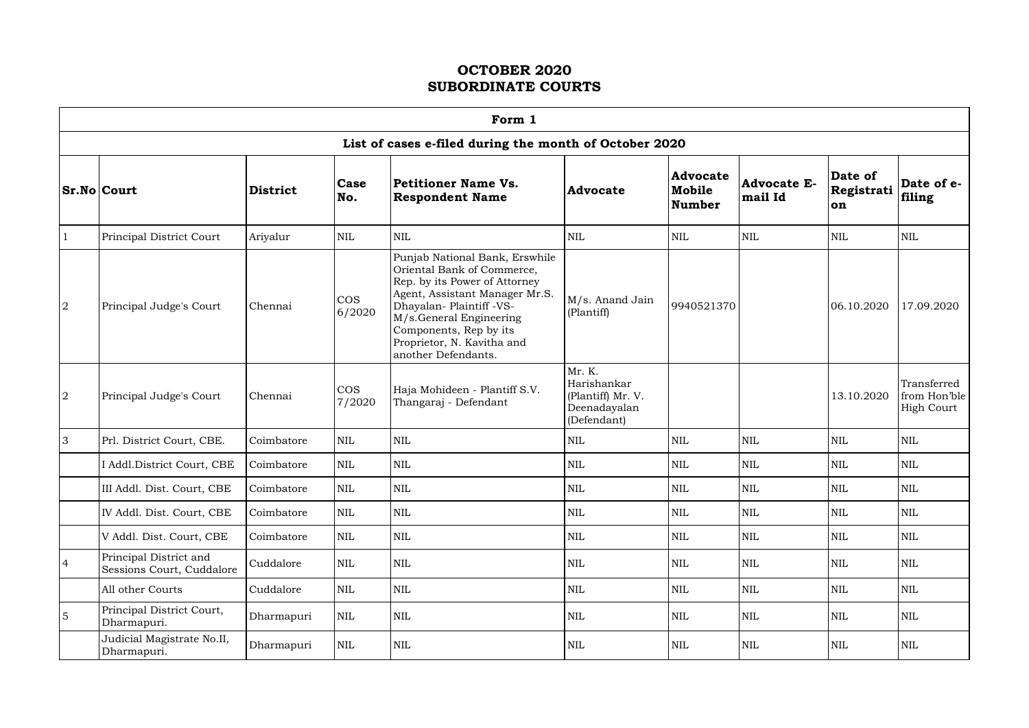$\Gamma$ 

|                |                                                     |                 |                      | Form 1                                                                                                                                                                                                                                                                |                                                                           |                                            |                               |                             |                                                  |
|----------------|-----------------------------------------------------|-----------------|----------------------|-----------------------------------------------------------------------------------------------------------------------------------------------------------------------------------------------------------------------------------------------------------------------|---------------------------------------------------------------------------|--------------------------------------------|-------------------------------|-----------------------------|--------------------------------------------------|
|                |                                                     |                 |                      | List of cases e-filed during the month of October 2020                                                                                                                                                                                                                |                                                                           |                                            |                               |                             |                                                  |
|                | <b>Sr.No Court</b>                                  | <b>District</b> | <b>Case</b><br>No.   | <b>Petitioner Name Vs.</b><br><b>Respondent Name</b>                                                                                                                                                                                                                  | <b>Advocate</b>                                                           | <b>Advocate</b><br>Mobile<br><b>Number</b> | <b>Advocate E-</b><br>mail Id | Date of<br>Registrati<br>on | Date of e-<br>filing                             |
|                | Principal District Court                            | Ariyalur        | <b>NIL</b>           | $\text{NIL}$                                                                                                                                                                                                                                                          | NIL                                                                       | $\text{NIL}$                               | <b>NIL</b>                    | <b>NIL</b>                  | <b>NIL</b>                                       |
| 2              | Principal Judge's Court                             | Chennai         | <b>COS</b><br>6/2020 | Punjab National Bank, Erswhile<br>Oriental Bank of Commerce,<br>Rep. by its Power of Attorney<br>Agent, Assistant Manager Mr.S.<br>Dhayalan- Plaintiff -VS-<br>M/s.General Engineering<br>Components, Rep by its<br>Proprietor, N. Kavitha and<br>another Defendants. | M/s. Anand Jain<br>(Plantiff)                                             | 9940521370                                 |                               | 06.10.2020                  | 17.09.2020                                       |
| $\overline{2}$ | Principal Judge's Court                             | Chennai         | <b>COS</b><br>7/2020 | Haja Mohideen - Plantiff S.V.<br>Thangaraj - Defendant                                                                                                                                                                                                                | Mr. K.<br>Harishankar<br>(Plantiff) Mr. V.<br>Deenadayalan<br>(Defendant) |                                            |                               | 13.10.2020                  | Transferred<br>from Hon'ble<br><b>High Court</b> |
| 3              | Prl. District Court, CBE.                           | Coimbatore      | <b>NIL</b>           | $\mbox{NIL}$                                                                                                                                                                                                                                                          | <b>NIL</b>                                                                | <b>NIL</b>                                 | <b>NIL</b>                    | <b>NIL</b>                  | <b>NIL</b>                                       |
|                | I Addl.District Court, CBE                          | Coimbatore      | <b>NIL</b>           | <b>NIL</b>                                                                                                                                                                                                                                                            | <b>NIL</b>                                                                | <b>NIL</b>                                 | <b>NIL</b>                    | <b>NIL</b>                  | <b>NIL</b>                                       |
|                | III Addl. Dist. Court, CBE                          | Coimbatore      | <b>NIL</b>           | $\text{NIL}$                                                                                                                                                                                                                                                          | <b>NIL</b>                                                                | <b>NIL</b>                                 | <b>NIL</b>                    | <b>NIL</b>                  | <b>NIL</b>                                       |
|                | IV Addl. Dist. Court, CBE                           | Coimbatore      | <b>NIL</b>           | $\mbox{NIL}$                                                                                                                                                                                                                                                          | $\mbox{NIL}$                                                              | $\mbox{NIL}$                               | <b>NIL</b>                    | <b>NIL</b>                  | <b>NIL</b>                                       |
|                | V Addl. Dist. Court, CBE                            | Coimbatore      | <b>NIL</b>           | $\mbox{NIL}$                                                                                                                                                                                                                                                          | $\mbox{NIL}$                                                              | $\mbox{NIL}$                               | <b>NIL</b>                    | <b>NIL</b>                  | <b>NIL</b>                                       |
| $\overline{4}$ | Principal District and<br>Sessions Court, Cuddalore | Cuddalore       | <b>NIL</b>           | $\mbox{NIL}$                                                                                                                                                                                                                                                          | $\mbox{NIL}$                                                              | $\mbox{NIL}$                               | <b>NIL</b>                    | <b>NIL</b>                  | $\mbox{NIL}$                                     |
|                | All other Courts                                    | Cuddalore       | <b>NIL</b>           | $\mbox{NIL}$                                                                                                                                                                                                                                                          | $\mbox{NIL}$                                                              | $\mbox{NIL}$                               | <b>NIL</b>                    | <b>NIL</b>                  | <b>NIL</b>                                       |
| 5              | Principal District Court,<br>Dharmapuri.            | Dharmapuri      | NIL                  | $\mbox{NIL}$                                                                                                                                                                                                                                                          | $\mbox{NIL}$                                                              | $\mbox{NIL}$                               | <b>NIL</b>                    | <b>NIL</b>                  | <b>NIL</b>                                       |
|                | Judicial Magistrate No.II,<br>Dharmapuri.           | Dharmapuri      | <b>NIL</b>           | $\mbox{NIL}$                                                                                                                                                                                                                                                          | $\mbox{NIL}$                                                              | $\mbox{NIL}$                               | $\mbox{NIL}$                  | <b>NIL</b>                  | <b>NIL</b>                                       |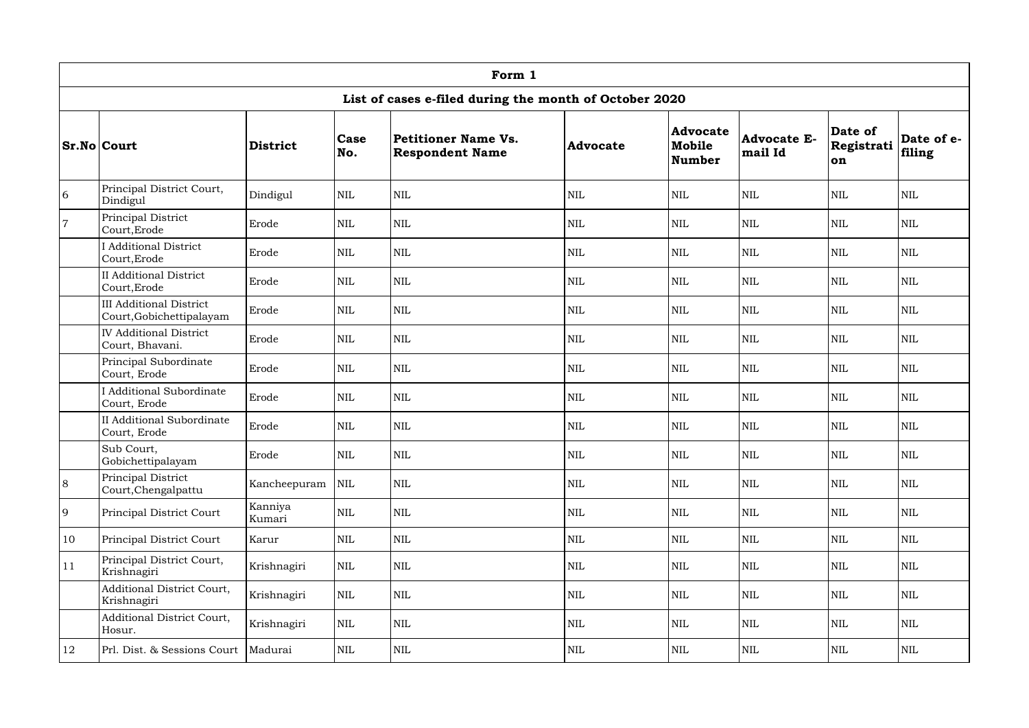|                | Form 1                                                     |                   |              |                                                        |            |                                            |                               |                             |                      |  |  |
|----------------|------------------------------------------------------------|-------------------|--------------|--------------------------------------------------------|------------|--------------------------------------------|-------------------------------|-----------------------------|----------------------|--|--|
|                |                                                            |                   |              | List of cases e-filed during the month of October 2020 |            |                                            |                               |                             |                      |  |  |
|                | <b>Sr.No Court</b>                                         | <b>District</b>   | Case<br>No.  | Petitioner Name Vs.<br><b>Respondent Name</b>          | Advocate   | <b>Advocate</b><br>Mobile<br><b>Number</b> | <b>Advocate E-</b><br>mail Id | Date of<br>Registrati<br>on | Date of e-<br>filing |  |  |
| 6              | Principal District Court,<br>Dindigul                      | Dindigul          | <b>NIL</b>   | <b>NIL</b>                                             | <b>NIL</b> | <b>NIL</b>                                 | $\mbox{NIL}$                  | <b>NIL</b>                  | <b>NIL</b>           |  |  |
| $\overline{7}$ | Principal District<br>Court, Erode                         | Erode             | $\mbox{NIL}$ | <b>NIL</b>                                             | <b>NIL</b> | <b>NIL</b>                                 | <b>NIL</b>                    | <b>NIL</b>                  | <b>NIL</b>           |  |  |
|                | <b>I</b> Additional District<br>Court, Erode               | Erode             | <b>NIL</b>   | $\mbox{NIL}$                                           | <b>NIL</b> | $\mbox{NIL}$                               | <b>NIL</b>                    | <b>NIL</b>                  | <b>NIL</b>           |  |  |
|                | <b>II Additional District</b><br>Court, Erode              | Erode             | $\mbox{NIL}$ | $\mbox{NIL}$                                           | <b>NIL</b> | $\mbox{NIL}$                               | $\mbox{NIL}$                  | $\mbox{NIL}$                | <b>NIL</b>           |  |  |
|                | <b>III Additional District</b><br>Court, Gobichettipalayam | Erode             | <b>NIL</b>   | <b>NIL</b>                                             | <b>NIL</b> | NIL                                        | <b>NIL</b>                    | <b>NIL</b>                  | <b>NIL</b>           |  |  |
|                | <b>IV</b> Additional District<br>Court, Bhavani.           | Erode             | <b>NIL</b>   | $\mbox{NIL}$                                           | <b>NIL</b> | <b>NIL</b>                                 | <b>NIL</b>                    | <b>NIL</b>                  | <b>NIL</b>           |  |  |
|                | Principal Subordinate<br>Court, Erode                      | Erode             | $\mbox{NIL}$ | <b>NIL</b>                                             | <b>NIL</b> | <b>NIL</b>                                 | <b>NIL</b>                    | <b>NIL</b>                  | <b>NIL</b>           |  |  |
|                | <b>I</b> Additional Subordinate<br>Court, Erode            | Erode             | <b>NIL</b>   | <b>NIL</b>                                             | <b>NIL</b> | <b>NIL</b>                                 | <b>NIL</b>                    | <b>NIL</b>                  | <b>NIL</b>           |  |  |
|                | <b>II Additional Subordinate</b><br>Court, Erode           | Erode             | $\mbox{NIL}$ | $\mbox{NIL}$                                           | <b>NIL</b> | $\mbox{NIL}$                               | $\text{NIL}$                  | $\mbox{NIL}$                | $\mbox{NIL}$         |  |  |
|                | Sub Court,<br>Gobichettipalayam                            | Erode             | $\mbox{NIL}$ | <b>NIL</b>                                             | <b>NIL</b> | $\mbox{NIL}$                               | $\mbox{NIL}$                  | <b>NIL</b>                  | <b>NIL</b>           |  |  |
| $\,8\,$        | Principal District<br>Court, Chengalpattu                  | Kancheepuram      | $\mbox{NIL}$ | $\mbox{NIL}$                                           | <b>NIL</b> | $\mbox{NIL}$                               | $\text{NIL}$                  | <b>NIL</b>                  | <b>NIL</b>           |  |  |
| 9              | Principal District Court                                   | Kanniya<br>Kumari | $\mbox{NIL}$ | $\mbox{NIL}$                                           | <b>NIL</b> | $\mbox{NIL}$                               | $\mbox{NIL}$                  | <b>NIL</b>                  | <b>NIL</b>           |  |  |
| 10             | Principal District Court                                   | Karur             | $\mbox{NIL}$ | $\mbox{NIL}$                                           | <b>NIL</b> | $\mbox{NIL}$                               | $\mbox{NIL}$                  | <b>NIL</b>                  | <b>NIL</b>           |  |  |
| 11             | Principal District Court,<br>Krishnagiri                   | Krishnagiri       | $\mbox{NIL}$ | NIL                                                    | <b>NIL</b> | $\mbox{NIL}$                               | $\mbox{NIL}$                  | <b>NIL</b>                  | NIL                  |  |  |
|                | Additional District Court,<br>Krishnagiri                  | Krishnagiri       | <b>NIL</b>   | NIL                                                    | <b>NIL</b> | $\mbox{NIL}$                               | $\mbox{NIL}$                  | <b>NIL</b>                  | <b>NIL</b>           |  |  |
|                | Additional District Court,<br>Hosur.                       | Krishnagiri       | $\mbox{NIL}$ | $\mbox{NIL}$                                           | <b>NIL</b> | $\mbox{NIL}$                               | $\mbox{NIL}$                  | <b>NIL</b>                  | <b>NIL</b>           |  |  |
| <b>12</b>      | Prl. Dist. & Sessions Court                                | Madurai           | $\mbox{NIL}$ | $\mbox{NIL}$                                           | <b>NIL</b> | $\mbox{NIL}$                               | $\mbox{NIL}$                  | NIL                         | <b>NIL</b>           |  |  |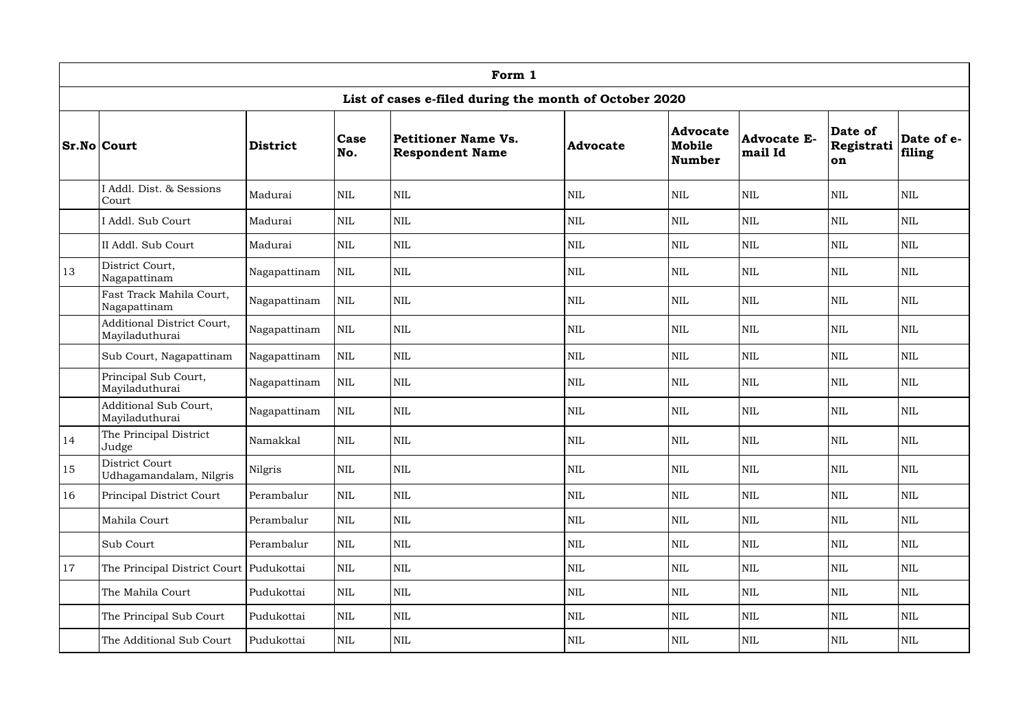|    | Form 1                                              |                 |              |                                                        |                 |                                     |                               |                                    |                      |  |  |  |
|----|-----------------------------------------------------|-----------------|--------------|--------------------------------------------------------|-----------------|-------------------------------------|-------------------------------|------------------------------------|----------------------|--|--|--|
|    |                                                     |                 |              | List of cases e-filed during the month of October 2020 |                 |                                     |                               |                                    |                      |  |  |  |
|    | <b>Sr.No Court</b>                                  | <b>District</b> | Case<br>No.  | Petitioner Name Vs.<br><b>Respondent Name</b>          | <b>Advocate</b> | <b>Advocate</b><br>Mobile<br>Number | <b>Advocate E-</b><br>mail Id | Date of<br>Registrati<br><b>on</b> | Date of e-<br>filing |  |  |  |
|    | I Addl. Dist. & Sessions<br>Court                   | Madurai         | <b>NIL</b>   | <b>NIL</b>                                             | <b>NIL</b>      | $\mbox{NIL}$                        | <b>NIL</b>                    | <b>NIL</b>                         | <b>NIL</b>           |  |  |  |
|    | I Addl. Sub Court                                   | Madurai         | NIL          | <b>NIL</b>                                             | <b>NIL</b>      | $\mbox{NIL}$                        | <b>NIL</b>                    | <b>NIL</b>                         | <b>NIL</b>           |  |  |  |
|    | II Addl. Sub Court                                  | Madurai         | $\mbox{NIL}$ | $\mbox{NIL}$                                           | NIL             | $\mbox{NIL}$                        | $\mbox{NIL}$                  | <b>NIL</b>                         | <b>NIL</b>           |  |  |  |
| 13 | District Court,<br>Nagapattinam                     | Nagapattinam    | $\mbox{NIL}$ | <b>NIL</b>                                             | <b>NIL</b>      | <b>NIL</b>                          | <b>NIL</b>                    | <b>NIL</b>                         | <b>NIL</b>           |  |  |  |
|    | Fast Track Mahila Court,<br>Nagapattinam            | Nagapattinam    | $\mbox{NIL}$ | $\mbox{NIL}$                                           | <b>NIL</b>      | <b>NIL</b>                          | <b>NIL</b>                    | <b>NIL</b>                         | <b>NIL</b>           |  |  |  |
|    | <b>Additional District Court,</b><br>Mayiladuthurai | Nagapattinam    | $\mbox{NIL}$ | $\mbox{NIL}$                                           | <b>NIL</b>      | $\mbox{NIL}$                        | $\mbox{NIL}$                  | <b>NIL</b>                         | <b>NIL</b>           |  |  |  |
|    | Sub Court, Nagapattinam                             | Nagapattinam    | $\mbox{NIL}$ | $\mbox{NIL}$                                           | <b>NIL</b>      | <b>NIL</b>                          | <b>NIL</b>                    | <b>NIL</b>                         | $\mbox{NIL}$         |  |  |  |
|    | Principal Sub Court,<br>Mayiladuthurai              | Nagapattinam    | $\mbox{NIL}$ | $\mbox{NIL}$                                           | <b>NIL</b>      | $\mbox{NIL}$                        | <b>NIL</b>                    | <b>NIL</b>                         | <b>NIL</b>           |  |  |  |
|    | Additional Sub Court,<br>Mayiladuthurai             | Nagapattinam    | $\mbox{NIL}$ | <b>NIL</b>                                             | <b>NIL</b>      | $\mbox{NIL}$                        | <b>NIL</b>                    | <b>NIL</b>                         | <b>NIL</b>           |  |  |  |
| 14 | The Principal District<br>Judge                     | Namakkal        | $\mbox{NIL}$ | $\mbox{NIL}$                                           | <b>NIL</b>      | $\mbox{NIL}$                        | $\mbox{NIL}$                  | <b>NIL</b>                         | $\mbox{NIL}$         |  |  |  |
| 15 | District Court<br>Udhagamandalam, Nilgris           | Nilgris         | <b>NIL</b>   | <b>NIL</b>                                             | <b>NIL</b>      | $\mbox{NIL}$                        | $\mbox{NIL}$                  | <b>NIL</b>                         | <b>NIL</b>           |  |  |  |
| 16 | Principal District Court                            | Perambalur      | $\mbox{NIL}$ | $\mbox{NIL}$                                           | <b>NIL</b>      | $\mbox{NIL}$                        | $\mbox{NIL}$                  | <b>NIL</b>                         | <b>NIL</b>           |  |  |  |
|    | Mahila Court                                        | Perambalur      | $\mbox{NIL}$ | NIL                                                    | <b>NIL</b>      | $\mbox{NIL}$                        | $\mbox{NIL}$                  | <b>NIL</b>                         | <b>NIL</b>           |  |  |  |
|    | Sub Court                                           | Perambalur      | $\mbox{NIL}$ | NIL                                                    | <b>NIL</b>      | <b>NIL</b>                          | <b>NIL</b>                    | <b>NIL</b>                         | <b>NIL</b>           |  |  |  |
| 17 | The Principal District Court Pudukottai             |                 | NIL          | <b>NIL</b>                                             | <b>NIL</b>      | NIL                                 | $\mbox{NIL}$                  | <b>NIL</b>                         | <b>NIL</b>           |  |  |  |
|    | The Mahila Court                                    | Pudukottai      | $\mbox{NIL}$ | NIL                                                    | <b>NIL</b>      | $\mbox{NIL}$                        | $\mbox{NIL}$                  | <b>NIL</b>                         | $\mbox{NIL}$         |  |  |  |
|    | The Principal Sub Court                             | Pudukottai      | $\mbox{NIL}$ | NIL                                                    | <b>NIL</b>      | $\mbox{NIL}$                        | <b>NIL</b>                    | <b>NIL</b>                         | <b>NIL</b>           |  |  |  |
|    | The Additional Sub Court                            | Pudukottai      | $\mbox{NIL}$ | NIL                                                    | <b>NIL</b>      | $\mbox{NIL}$                        | $\mbox{NIL}$                  | <b>NIL</b>                         | <b>NIL</b>           |  |  |  |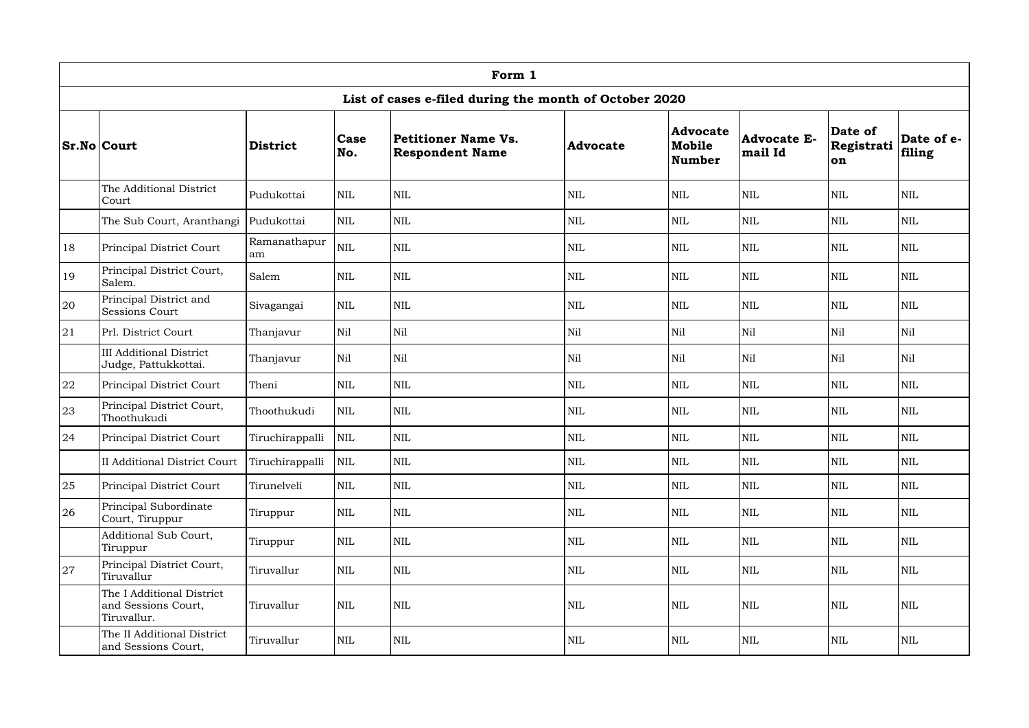|    | Form 1                                                          |                    |              |                                                        |            |                                     |                               |                             |                      |  |  |  |
|----|-----------------------------------------------------------------|--------------------|--------------|--------------------------------------------------------|------------|-------------------------------------|-------------------------------|-----------------------------|----------------------|--|--|--|
|    |                                                                 |                    |              | List of cases e-filed during the month of October 2020 |            |                                     |                               |                             |                      |  |  |  |
|    | <b>Sr.No Court</b>                                              | <b>District</b>    | Case<br>No.  | Petitioner Name Vs.<br><b>Respondent Name</b>          | Advocate   | <b>Advocate</b><br>Mobile<br>Number | <b>Advocate E-</b><br>mail Id | Date of<br>Registrati<br>on | Date of e-<br>filing |  |  |  |
|    | The Additional District<br>Court                                | Pudukottai         | <b>NIL</b>   | <b>NIL</b>                                             | <b>NIL</b> | <b>NIL</b>                          | $\mbox{NIL}$                  | <b>NIL</b>                  | <b>NIL</b>           |  |  |  |
|    | The Sub Court, Aranthangi                                       | Pudukottai         | <b>NIL</b>   | $\mbox{NIL}$                                           | <b>NIL</b> | <b>NIL</b>                          | <b>NIL</b>                    | <b>NIL</b>                  | <b>NIL</b>           |  |  |  |
| 18 | Principal District Court                                        | Ramanathapur<br>am | <b>NIL</b>   | $\mbox{NIL}$                                           | <b>NIL</b> | $\mbox{NIL}$                        | $\mbox{NIL}$                  | <b>NIL</b>                  | <b>NIL</b>           |  |  |  |
| 19 | Principal District Court,<br>Salem.                             | Salem              | <b>NIL</b>   | <b>NIL</b>                                             | <b>NIL</b> | <b>NIL</b>                          | <b>NIL</b>                    | <b>NIL</b>                  | <b>NIL</b>           |  |  |  |
| 20 | Principal District and<br><b>Sessions Court</b>                 | Sivagangai         | <b>NIL</b>   | <b>NIL</b>                                             | <b>NIL</b> | <b>NIL</b>                          | <b>NIL</b>                    | <b>NIL</b>                  | <b>NIL</b>           |  |  |  |
| 21 | Prl. District Court                                             | Thanjavur          | Nil          | Nil                                                    | Nil        | Nil                                 | Nil                           | Nil                         | Nil                  |  |  |  |
|    | <b>III Additional District</b><br>Judge, Pattukkottai.          | Thanjavur          | Nil          | Nil                                                    | Nil        | Nil                                 | Nil                           | Nil                         | Nil                  |  |  |  |
| 22 | Principal District Court                                        | Theni              | <b>NIL</b>   | $\mbox{NIL}$                                           | <b>NIL</b> | <b>NIL</b>                          | <b>NIL</b>                    | <b>NIL</b>                  | <b>NIL</b>           |  |  |  |
| 23 | Principal District Court,<br>Thoothukudi                        | Thoothukudi        | <b>NIL</b>   | <b>NIL</b>                                             | <b>NIL</b> | <b>NIL</b>                          | <b>NIL</b>                    | <b>NIL</b>                  | <b>NIL</b>           |  |  |  |
| 24 | Principal District Court                                        | Tiruchirappalli    | <b>NIL</b>   | $\mbox{NIL}$                                           | <b>NIL</b> | $\mbox{NIL}$                        | <b>NIL</b>                    | <b>NIL</b>                  | <b>NIL</b>           |  |  |  |
|    | <b>II Additional District Court</b>                             | Tiruchirappalli    | $\mbox{NIL}$ | $\mbox{NIL}$                                           | <b>NIL</b> | $\mbox{NIL}$                        | $\mbox{NIL}$                  | $\mbox{NIL}$                | <b>NIL</b>           |  |  |  |
| 25 | Principal District Court                                        | Tirunelveli        | $\mbox{NIL}$ | <b>NIL</b>                                             | <b>NIL</b> | <b>NIL</b>                          | <b>NIL</b>                    | <b>NIL</b>                  | <b>NIL</b>           |  |  |  |
| 26 | Principal Subordinate<br>Court, Tiruppur                        | Tiruppur           | $\mbox{NIL}$ | <b>NIL</b>                                             | <b>NIL</b> | $\mbox{NIL}$                        | <b>NIL</b>                    | <b>NIL</b>                  | <b>NIL</b>           |  |  |  |
|    | Additional Sub Court,<br>Tiruppur                               | Tiruppur           | $\mbox{NIL}$ | <b>NIL</b>                                             | <b>NIL</b> | $\mbox{NIL}$                        | <b>NIL</b>                    | <b>NIL</b>                  | <b>NIL</b>           |  |  |  |
| 27 | Principal District Court,<br>Tiruvallur                         | Tiruvallur         | <b>NIL</b>   | <b>NIL</b>                                             | <b>NIL</b> | <b>NIL</b>                          | $\mbox{NIL}$                  | <b>NIL</b>                  | <b>NIL</b>           |  |  |  |
|    | The I Additional District<br>and Sessions Court,<br>Tiruvallur. | Tiruvallur         | $\mbox{NIL}$ | $\mbox{NIL}$                                           | <b>NIL</b> | $\mbox{NIL}$                        | <b>NIL</b>                    | <b>NIL</b>                  | <b>NIL</b>           |  |  |  |
|    | The II Additional District<br>and Sessions Court,               | Tiruvallur         | $\mbox{NIL}$ | NIL                                                    | <b>NIL</b> | <b>NIL</b>                          | <b>NIL</b>                    | <b>NIL</b>                  | $\mbox{NIL}$         |  |  |  |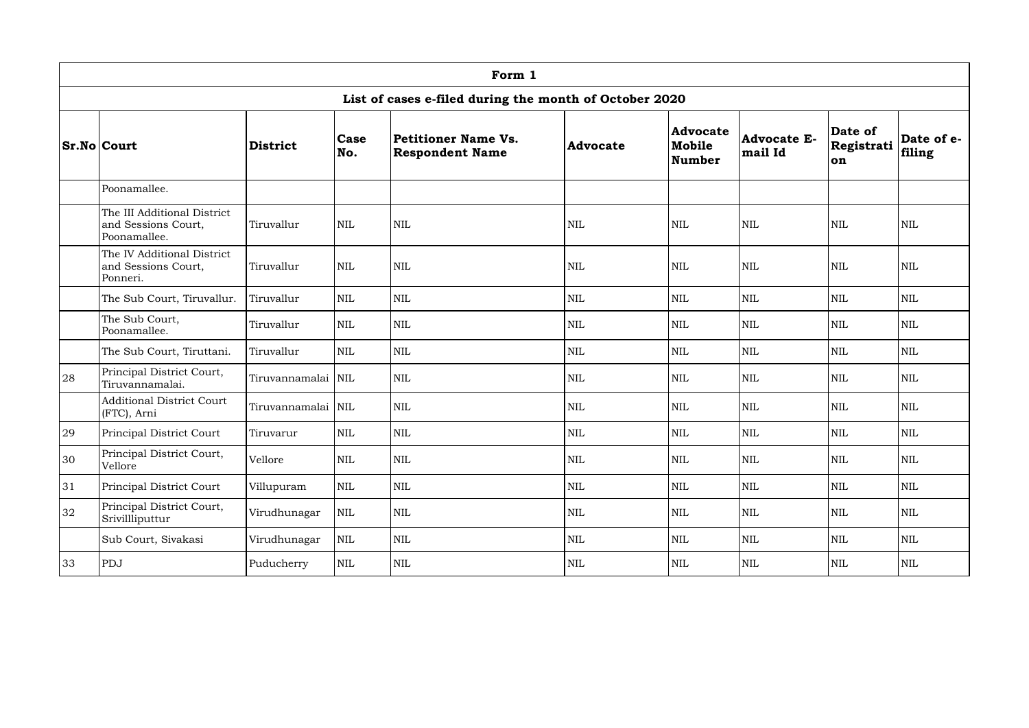|    | Form 1                                                             |                    |              |                                                        |                 |                                     |                               |                             |                      |  |  |  |
|----|--------------------------------------------------------------------|--------------------|--------------|--------------------------------------------------------|-----------------|-------------------------------------|-------------------------------|-----------------------------|----------------------|--|--|--|
|    |                                                                    |                    |              | List of cases e-filed during the month of October 2020 |                 |                                     |                               |                             |                      |  |  |  |
|    | <b>Sr.No Court</b>                                                 | <b>District</b>    | Case<br>No.  | Petitioner Name Vs.<br><b>Respondent Name</b>          | <b>Advocate</b> | <b>Advocate</b><br>Mobile<br>Number | <b>Advocate E-</b><br>mail Id | Date of<br>Registrati<br>on | Date of e-<br>filing |  |  |  |
|    | Poonamallee.                                                       |                    |              |                                                        |                 |                                     |                               |                             |                      |  |  |  |
|    | The III Additional District<br>and Sessions Court,<br>Poonamallee. | Tiruvallur         | <b>NIL</b>   | <b>NIL</b>                                             | <b>NIL</b>      | $\mbox{NIL}$                        | <b>NIL</b>                    | <b>NIL</b>                  | <b>NIL</b>           |  |  |  |
|    | The IV Additional District<br>and Sessions Court,<br>Ponneri.      | Tiruvallur         | <b>NIL</b>   | <b>NIL</b>                                             | <b>NIL</b>      | <b>NIL</b>                          | <b>NIL</b>                    | <b>NIL</b>                  | <b>NIL</b>           |  |  |  |
|    | The Sub Court, Tiruvallur.                                         | Tiruvallur         | $\mbox{NIL}$ | <b>NIL</b>                                             | <b>NIL</b>      | $\mbox{NIL}$                        | <b>NIL</b>                    | <b>NIL</b>                  | <b>NIL</b>           |  |  |  |
|    | The Sub Court,<br>Poonamallee.                                     | Tiruvallur         | <b>NIL</b>   | <b>NIL</b>                                             | $\mbox{NIL}$    | $\mbox{NIL}$                        | <b>NIL</b>                    | <b>NIL</b>                  | $\mbox{NIL}$         |  |  |  |
|    | The Sub Court, Tiruttani.                                          | Tiruvallur         | <b>NIL</b>   | $\mbox{NIL}$                                           | <b>NIL</b>      | <b>NIL</b>                          | <b>NIL</b>                    | <b>NIL</b>                  | <b>NIL</b>           |  |  |  |
| 28 | Principal District Court,<br>Tiruvannamalai.                       | Tiruvannamalai NIL |              | <b>NIL</b>                                             | $\mbox{NIL}$    | $\mbox{NIL}$                        | $\mbox{NIL}$                  | <b>NIL</b>                  | <b>NIL</b>           |  |  |  |
|    | <b>Additional District Court</b><br>(FTC), Arni                    | Tiruvannamalai NIL |              | <b>NIL</b>                                             | <b>NIL</b>      | <b>NIL</b>                          | <b>NIL</b>                    | <b>NIL</b>                  | <b>NIL</b>           |  |  |  |
| 29 | Principal District Court                                           | Tiruvarur          | <b>NIL</b>   | <b>NIL</b>                                             | <b>NIL</b>      | <b>NIL</b>                          | <b>NIL</b>                    | <b>NIL</b>                  | <b>NIL</b>           |  |  |  |
| 30 | Principal District Court,<br>Vellore                               | Vellore            | $\mbox{NIL}$ | $\mbox{NIL}$                                           | $\mbox{NIL}$    | $\mbox{NIL}$                        | <b>NIL</b>                    | $\mbox{NIL}$                | $\mbox{NIL}$         |  |  |  |
| 31 | Principal District Court                                           | Villupuram         | $\mbox{NIL}$ | $\mbox{NIL}$                                           | $\mbox{NIL}$    | <b>NIL</b>                          | <b>NIL</b>                    | <b>NIL</b>                  | <b>NIL</b>           |  |  |  |
| 32 | Principal District Court,<br>Srivillliputtur                       | Virudhunagar       | $\mbox{NIL}$ | $\mbox{NIL}$                                           | $\mbox{NIL}$    | <b>NIL</b>                          | <b>NIL</b>                    | <b>NIL</b>                  | NIL                  |  |  |  |
|    | Sub Court, Sivakasi                                                | Virudhunagar       | NIL          | $\mbox{NIL}$                                           | $\mbox{NIL}$    | $\mbox{NIL}$                        | <b>NIL</b>                    | <b>NIL</b>                  | <b>NIL</b>           |  |  |  |
| 33 | PDJ                                                                | Puducherry         | $\mbox{NIL}$ | $\mbox{NIL}$                                           | $\mbox{NIL}$    | $\mbox{NIL}$                        | NIL                           | <b>NIL</b>                  | <b>NIL</b>           |  |  |  |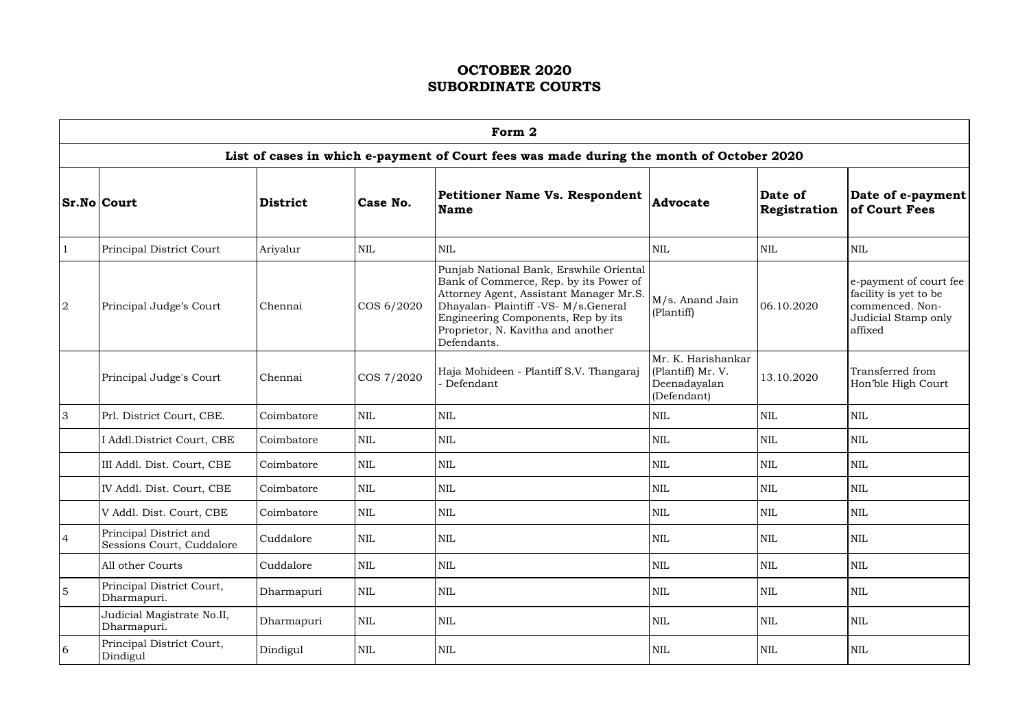|                | Form 2                                              |                 |              |                                                                                                                                                                                                                                                                 |                                                                        |                                |                                                                                                      |  |  |  |  |
|----------------|-----------------------------------------------------|-----------------|--------------|-----------------------------------------------------------------------------------------------------------------------------------------------------------------------------------------------------------------------------------------------------------------|------------------------------------------------------------------------|--------------------------------|------------------------------------------------------------------------------------------------------|--|--|--|--|
|                |                                                     |                 |              | List of cases in which e-payment of Court fees was made during the month of October 2020                                                                                                                                                                        |                                                                        |                                |                                                                                                      |  |  |  |  |
|                | <b>Sr.No Court</b>                                  | <b>District</b> | Case No.     | <b>Petitioner Name Vs. Respondent</b><br>Name                                                                                                                                                                                                                   | <b>Advocate</b>                                                        | Date of<br><b>Registration</b> | Date of e-payment<br>of Court Fees                                                                   |  |  |  |  |
|                | Principal District Court                            | Ariyalur        | <b>NIL</b>   | <b>NIL</b>                                                                                                                                                                                                                                                      | <b>NIL</b>                                                             | <b>NIL</b>                     | <b>NIL</b>                                                                                           |  |  |  |  |
| $\overline{2}$ | Principal Judge's Court                             | Chennai         | COS 6/2020   | Punjab National Bank, Erswhile Oriental<br>Bank of Commerce, Rep. by its Power of<br>Attorney Agent, Assistant Manager Mr.S.<br>Dhayalan- Plaintiff -VS- M/s.General<br>Engineering Components, Rep by its<br>Proprietor, N. Kavitha and another<br>Defendants. | M/s. Anand Jain<br>(Plantiff)                                          | 06.10.2020                     | e-payment of court fee<br>facility is yet to be<br>commenced. Non-<br>Judicial Stamp only<br>affixed |  |  |  |  |
|                | Principal Judge's Court                             | Chennai         | COS 7/2020   | Haja Mohideen - Plantiff S.V. Thangaraj<br>- Defendant                                                                                                                                                                                                          | Mr. K. Harishankar<br>(Plantiff) Mr. V.<br>Deenadayalan<br>(Defendant) | 13.10.2020                     | Transferred from<br>Hon'ble High Court                                                               |  |  |  |  |
| $\overline{3}$ | Prl. District Court, CBE.                           | Coimbatore      | <b>NIL</b>   | <b>NIL</b>                                                                                                                                                                                                                                                      | <b>NIL</b>                                                             | <b>NIL</b>                     | <b>NIL</b>                                                                                           |  |  |  |  |
|                | I Addl.District Court, CBE                          | Coimbatore      | <b>NIL</b>   | <b>NIL</b>                                                                                                                                                                                                                                                      | $\mbox{NIL}$                                                           | <b>NIL</b>                     | <b>NIL</b>                                                                                           |  |  |  |  |
|                | III Addl. Dist. Court, CBE                          | Coimbatore      | <b>NIL</b>   | <b>NIL</b>                                                                                                                                                                                                                                                      | <b>NIL</b>                                                             | <b>NIL</b>                     | <b>NIL</b>                                                                                           |  |  |  |  |
|                | IV Addl. Dist. Court, CBE                           | Coimbatore      | $\mbox{NIL}$ | <b>NIL</b>                                                                                                                                                                                                                                                      | <b>NIL</b>                                                             | <b>NIL</b>                     | <b>NIL</b>                                                                                           |  |  |  |  |
|                | V Addl. Dist. Court, CBE                            | Coimbatore      | $\mbox{NIL}$ | NIL                                                                                                                                                                                                                                                             | $\mbox{NIL}$                                                           | $\mbox{NIL}$                   | NIL                                                                                                  |  |  |  |  |
| $\overline{4}$ | Principal District and<br>Sessions Court, Cuddalore | Cuddalore       | <b>NIL</b>   | NIL                                                                                                                                                                                                                                                             | <b>NIL</b>                                                             | <b>NIL</b>                     | <b>NIL</b>                                                                                           |  |  |  |  |
|                | All other Courts                                    | Cuddalore       | <b>NIL</b>   | NIL                                                                                                                                                                                                                                                             | NIL                                                                    | <b>NIL</b>                     | <b>NIL</b>                                                                                           |  |  |  |  |
| $\overline{5}$ | Principal District Court,<br>Dharmapuri.            | Dharmapuri      | $\mbox{NIL}$ | NIL                                                                                                                                                                                                                                                             | NIL                                                                    | <b>NIL</b>                     | <b>NIL</b>                                                                                           |  |  |  |  |
|                | Judicial Magistrate No.II,<br>Dharmapuri.           | Dharmapuri      | $\mbox{NIL}$ | NIL                                                                                                                                                                                                                                                             | <b>NIL</b>                                                             | <b>NIL</b>                     | <b>NIL</b>                                                                                           |  |  |  |  |
| 6              | Principal District Court,<br>Dindigul               | Dindigul        | NIL          | <b>NIL</b>                                                                                                                                                                                                                                                      | NIL                                                                    | NIL                            | <b>NIL</b>                                                                                           |  |  |  |  |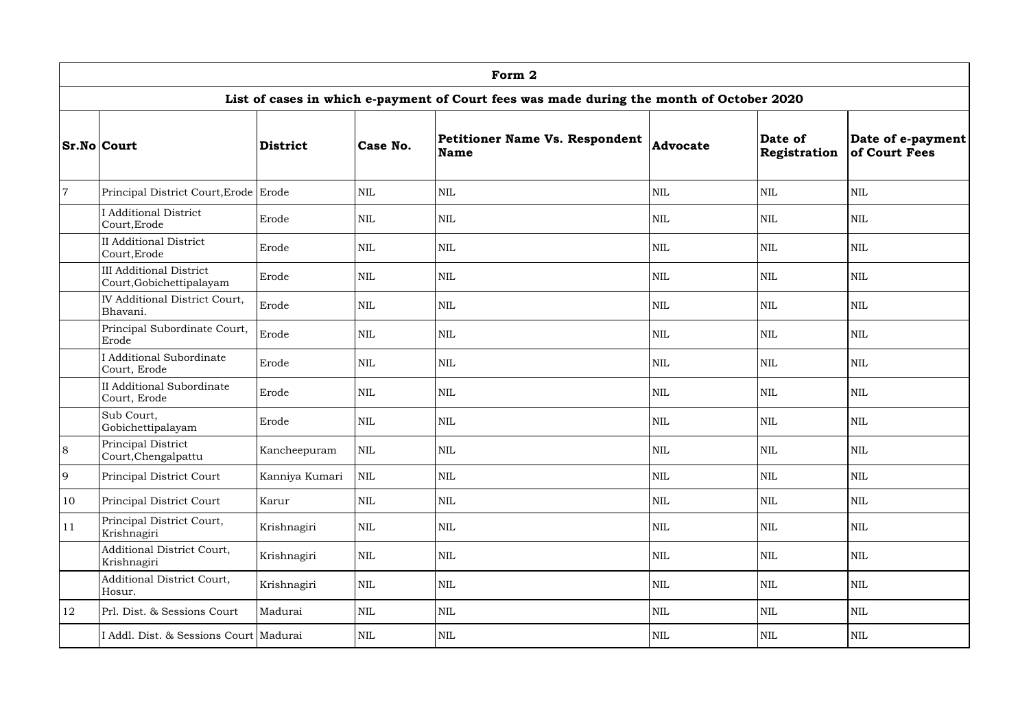|                |                                                            |                 |              | Form 2                                                                                   |                 |                         |                                    |
|----------------|------------------------------------------------------------|-----------------|--------------|------------------------------------------------------------------------------------------|-----------------|-------------------------|------------------------------------|
|                |                                                            |                 |              | List of cases in which e-payment of Court fees was made during the month of October 2020 |                 |                         |                                    |
|                | <b>Sr.No Court</b>                                         | <b>District</b> | Case No.     | Petitioner Name Vs. Respondent<br><b>Name</b>                                            | <b>Advocate</b> | Date of<br>Registration | Date of e-payment<br>of Court Fees |
| $\overline{7}$ | Principal District Court, Erode Erode                      |                 | <b>NIL</b>   | <b>NIL</b>                                                                               | <b>NIL</b>      | <b>NIL</b>              | <b>NIL</b>                         |
|                | <b>I</b> Additional District<br>Court, Erode               | Erode           | <b>NIL</b>   | <b>NIL</b>                                                                               | <b>NIL</b>      | <b>NIL</b>              | <b>NIL</b>                         |
|                | <b>II Additional District</b><br>Court, Erode              | Erode           | <b>NIL</b>   | <b>NIL</b>                                                                               | <b>NIL</b>      | <b>NIL</b>              | <b>NIL</b>                         |
|                | <b>III Additional District</b><br>Court, Gobichettipalayam | Erode           | <b>NIL</b>   | <b>NIL</b>                                                                               | $\mbox{NIL}$    | <b>NIL</b>              | <b>NIL</b>                         |
|                | IV Additional District Court,<br>Bhavani.                  | Erode           | $\mbox{NIL}$ | <b>NIL</b>                                                                               | $\mbox{NIL}$    | <b>NIL</b>              | <b>NIL</b>                         |
|                | Principal Subordinate Court,<br>Erode                      | Erode           | NIL          | <b>NIL</b>                                                                               | <b>NIL</b>      | <b>NIL</b>              | <b>NIL</b>                         |
|                | I Additional Subordinate<br>Court, Erode                   | Erode           | <b>NIL</b>   | <b>NIL</b>                                                                               | <b>NIL</b>      | <b>NIL</b>              | <b>NIL</b>                         |
|                | <b>II</b> Additional Subordinate<br>Court, Erode           | Erode           | $\mbox{NIL}$ | <b>NIL</b>                                                                               | <b>NIL</b>      | <b>NIL</b>              | <b>NIL</b>                         |
|                | Sub Court,<br>Gobichettipalayam                            | Erode           | <b>NIL</b>   | <b>NIL</b>                                                                               | <b>NIL</b>      | <b>NIL</b>              | <b>NIL</b>                         |
| 8              | Principal District<br>Court, Chengal pattu                 | Kancheepuram    | $\text{NIL}$ | NIL                                                                                      | <b>NIL</b>      | <b>NIL</b>              | <b>NIL</b>                         |
| 9              | Principal District Court                                   | Kanniya Kumari  | $\mbox{NIL}$ | <b>NIL</b>                                                                               | <b>NIL</b>      | $\mbox{NIL}$            | <b>NIL</b>                         |
| 10             | Principal District Court                                   | Karur           | NIL          | <b>NIL</b>                                                                               | <b>NIL</b>      | <b>NIL</b>              | <b>NIL</b>                         |
| 11             | Principal District Court,<br>Krishnagiri                   | Krishnagiri     | $\mbox{NIL}$ | <b>NIL</b>                                                                               | <b>NIL</b>      | <b>NIL</b>              | <b>NIL</b>                         |
|                | Additional District Court,<br>Krishnagiri                  | Krishnagiri     | $\mbox{NIL}$ | <b>NIL</b>                                                                               | <b>NIL</b>      | <b>NIL</b>              | <b>NIL</b>                         |
|                | Additional District Court,<br>Hosur.                       | Krishnagiri     | $\mbox{NIL}$ | <b>NIL</b>                                                                               | <b>NIL</b>      | <b>NIL</b>              | <b>NIL</b>                         |
| 12             | Prl. Dist. & Sessions Court                                | Madurai         | $\mbox{NIL}$ | NIL                                                                                      | <b>NIL</b>      | <b>NIL</b>              | <b>NIL</b>                         |
|                | I Addl. Dist. & Sessions Court   Madurai                   |                 | NIL          | <b>NIL</b>                                                                               | $\mbox{NIL}$    | NIL                     | <b>NIL</b>                         |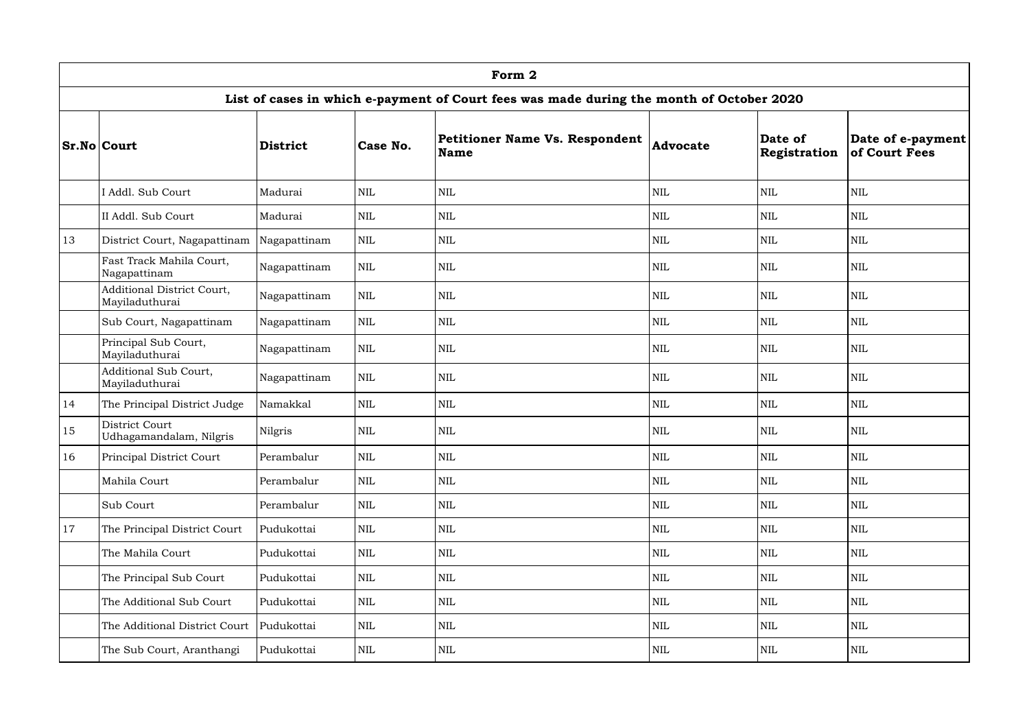|               |                                              |                 |              | Form 2                                                                                   |                 |                         |                                    |
|---------------|----------------------------------------------|-----------------|--------------|------------------------------------------------------------------------------------------|-----------------|-------------------------|------------------------------------|
|               |                                              |                 |              | List of cases in which e-payment of Court fees was made during the month of October 2020 |                 |                         |                                    |
|               | <b>Sr.No Court</b>                           | <b>District</b> | Case No.     | Petitioner Name Vs. Respondent<br>Name                                                   | <b>Advocate</b> | Date of<br>Registration | Date of e-payment<br>of Court Fees |
|               | I Addl. Sub Court                            | Madurai         | <b>NIL</b>   | <b>NIL</b>                                                                               | <b>NIL</b>      | <b>NIL</b>              | <b>NIL</b>                         |
|               | II Addl. Sub Court                           | Madurai         | <b>NIL</b>   | <b>NIL</b>                                                                               | <b>NIL</b>      | <b>NIL</b>              | $\mbox{NIL}$                       |
| 13            | District Court, Nagapattinam                 | Nagapattinam    | <b>NIL</b>   | <b>NIL</b>                                                                               | <b>NIL</b>      | <b>NIL</b>              | <b>NIL</b>                         |
|               | Fast Track Mahila Court,<br>Nagapattinam     | Nagapattinam    | $\mbox{NIL}$ | <b>NIL</b>                                                                               | <b>NIL</b>      | <b>NIL</b>              | <b>NIL</b>                         |
|               | Additional District Court,<br>Mayiladuthurai | Nagapattinam    | <b>NIL</b>   | <b>NIL</b>                                                                               | <b>NIL</b>      | <b>NIL</b>              | <b>NIL</b>                         |
|               | Sub Court, Nagapattinam                      | Nagapattinam    | <b>NIL</b>   | <b>NIL</b>                                                                               | <b>NIL</b>      | <b>NIL</b>              | <b>NIL</b>                         |
|               | Principal Sub Court,<br>Mayiladuthurai       | Nagapattinam    | <b>NIL</b>   | <b>NIL</b>                                                                               | <b>NIL</b>      | <b>NIL</b>              | <b>NIL</b>                         |
|               | Additional Sub Court,<br>Mayiladuthurai      | Nagapattinam    | $\mbox{NIL}$ | <b>NIL</b>                                                                               | <b>NIL</b>      | <b>NIL</b>              | <b>NIL</b>                         |
| 14            | The Principal District Judge                 | Namakkal        | $\mbox{NIL}$ | <b>NIL</b>                                                                               | <b>NIL</b>      | <b>NIL</b>              | <b>NIL</b>                         |
| 15            | District Court<br>Udhagamandalam, Nilgris    | Nilgris         | <b>NIL</b>   | <b>NIL</b>                                                                               | <b>NIL</b>      | <b>NIL</b>              | <b>NIL</b>                         |
| <sup>16</sup> | Principal District Court                     | Perambalur      | $\mbox{NIL}$ | $\mbox{NIL}$                                                                             | $\mbox{NIL}$    | $\mbox{NIL}$            | <b>NIL</b>                         |
|               | Mahila Court                                 | Perambalur      | $\mbox{NIL}$ | $\mbox{NIL}$                                                                             | <b>NIL</b>      | <b>NIL</b>              | <b>NIL</b>                         |
|               | Sub Court                                    | Perambalur      | $\mbox{NIL}$ | $\mbox{NIL}$                                                                             | <b>NIL</b>      | <b>NIL</b>              | <b>NIL</b>                         |
| 17            | The Principal District Court                 | Pudukottai      | $\mbox{NIL}$ | <b>NIL</b>                                                                               | <b>NIL</b>      | <b>NIL</b>              | <b>NIL</b>                         |
|               | The Mahila Court                             | Pudukottai      | NIL          | $\mbox{NIL}$                                                                             | <b>NIL</b>      | <b>NIL</b>              | <b>NIL</b>                         |
|               | The Principal Sub Court                      | Pudukottai      | NIL          | <b>NIL</b>                                                                               | <b>NIL</b>      | <b>NIL</b>              | <b>NIL</b>                         |
|               | The Additional Sub Court                     | Pudukottai      | $\mbox{NIL}$ | <b>NIL</b>                                                                               | <b>NIL</b>      | <b>NIL</b>              | <b>NIL</b>                         |
|               | The Additional District Court                | Pudukottai      | $\mbox{NIL}$ | <b>NIL</b>                                                                               | $\mbox{NIL}$    | <b>NIL</b>              | <b>NIL</b>                         |
|               | The Sub Court, Aranthangi                    | Pudukottai      | NIL          | NIL                                                                                      | <b>NIL</b>      | $\mbox{NIL}$            | <b>NIL</b>                         |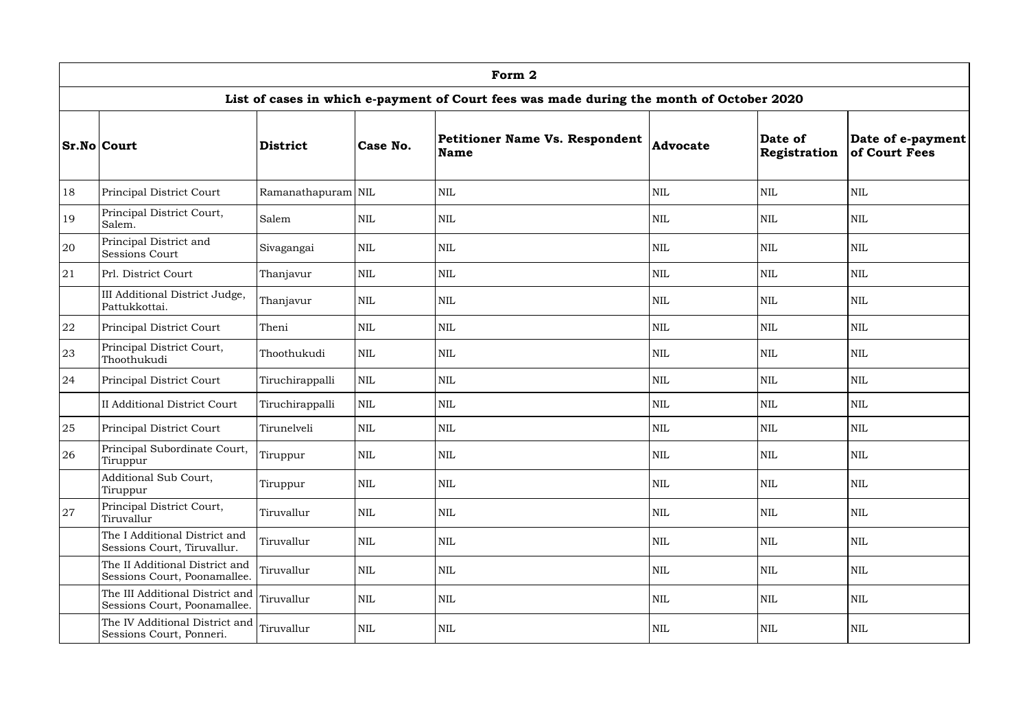|    |                                                                            |                    |              | Form 2                                                                                   |                 |                         |                                    |
|----|----------------------------------------------------------------------------|--------------------|--------------|------------------------------------------------------------------------------------------|-----------------|-------------------------|------------------------------------|
|    |                                                                            |                    |              | List of cases in which e-payment of Court fees was made during the month of October 2020 |                 |                         |                                    |
|    | <b>Sr.No Court</b>                                                         | <b>District</b>    | Case No.     | <b>Petitioner Name Vs. Respondent</b><br><b>Name</b>                                     | <b>Advocate</b> | Date of<br>Registration | Date of e-payment<br>of Court Fees |
| 18 | Principal District Court                                                   | Ramanathapuram NIL |              | <b>NIL</b>                                                                               | <b>NIL</b>      | <b>NIL</b>              | <b>NIL</b>                         |
| 19 | Principal District Court,<br>Salem.                                        | Salem              | <b>NIL</b>   | <b>NIL</b>                                                                               | <b>NIL</b>      | <b>NIL</b>              | <b>NIL</b>                         |
| 20 | Principal District and<br><b>Sessions Court</b>                            | Sivagangai         | $\mbox{NIL}$ | <b>NIL</b>                                                                               | $\mbox{NIL}$    | <b>NIL</b>              | <b>NIL</b>                         |
| 21 | Prl. District Court                                                        | Thanjavur          | NIL          | <b>NIL</b>                                                                               | <b>NIL</b>      | <b>NIL</b>              | <b>NIL</b>                         |
|    | III Additional District Judge,<br>Pattukkottai.                            | Thanjavur          | NIL          | <b>NIL</b>                                                                               | $\mbox{NIL}$    | <b>NIL</b>              | <b>NIL</b>                         |
| 22 | Principal District Court                                                   | Theni              | <b>NIL</b>   | <b>NIL</b>                                                                               | <b>NIL</b>      | <b>NIL</b>              | <b>NIL</b>                         |
| 23 | Principal District Court,<br>Thoothukudi                                   | Thoothukudi        | <b>NIL</b>   | <b>NIL</b>                                                                               | <b>NIL</b>      | <b>NIL</b>              | <b>NIL</b>                         |
| 24 | Principal District Court                                                   | Tiruchirappalli    | NIL          | <b>NIL</b>                                                                               | <b>NIL</b>      | <b>NIL</b>              | <b>NIL</b>                         |
|    | <b>II Additional District Court</b>                                        | Tiruchirappalli    | $\mbox{NIL}$ | $\mbox{NIL}$                                                                             | <b>NIL</b>      | <b>NIL</b>              | <b>NIL</b>                         |
| 25 | Principal District Court                                                   | Tirunelveli        | NIL          | <b>NIL</b>                                                                               | <b>NIL</b>      | <b>NIL</b>              | <b>NIL</b>                         |
| 26 | Principal Subordinate Court,<br>Tiruppur                                   | Tiruppur           | $\mbox{NIL}$ | NIL                                                                                      | $\mbox{NIL}$    | $\mbox{NIL}$            | <b>NIL</b>                         |
|    | Additional Sub Court,<br>Tiruppur                                          | Tiruppur           | $\mbox{NIL}$ | NIL                                                                                      | <b>NIL</b>      | <b>NIL</b>              | <b>NIL</b>                         |
| 27 | Principal District Court,<br>Tiruvallur                                    | Tiruvallur         | $\mbox{NIL}$ | <b>NIL</b>                                                                               | <b>NIL</b>      | <b>NIL</b>              | <b>NIL</b>                         |
|    | The I Additional District and<br>Sessions Court, Tiruvallur.               | Tiruvallur         | $\mbox{NIL}$ | NIL                                                                                      | <b>NIL</b>      | <b>NIL</b>              | <b>NIL</b>                         |
|    | The II Additional District and<br>Sessions Court, Poonamallee.             | Tiruvallur         | <b>NIL</b>   | NIL                                                                                      | <b>NIL</b>      | <b>NIL</b>              | <b>NIL</b>                         |
|    | The III Additional District and Tiruvallur<br>Sessions Court, Poonamallee. |                    | NIL          | <b>NIL</b>                                                                               | <b>NIL</b>      | <b>NIL</b>              | <b>NIL</b>                         |
|    | The IV Additional District and Tiruvallur<br>Sessions Court, Ponneri.      |                    | $\mbox{NIL}$ | NIL                                                                                      | NIL             | NIL                     | NIL                                |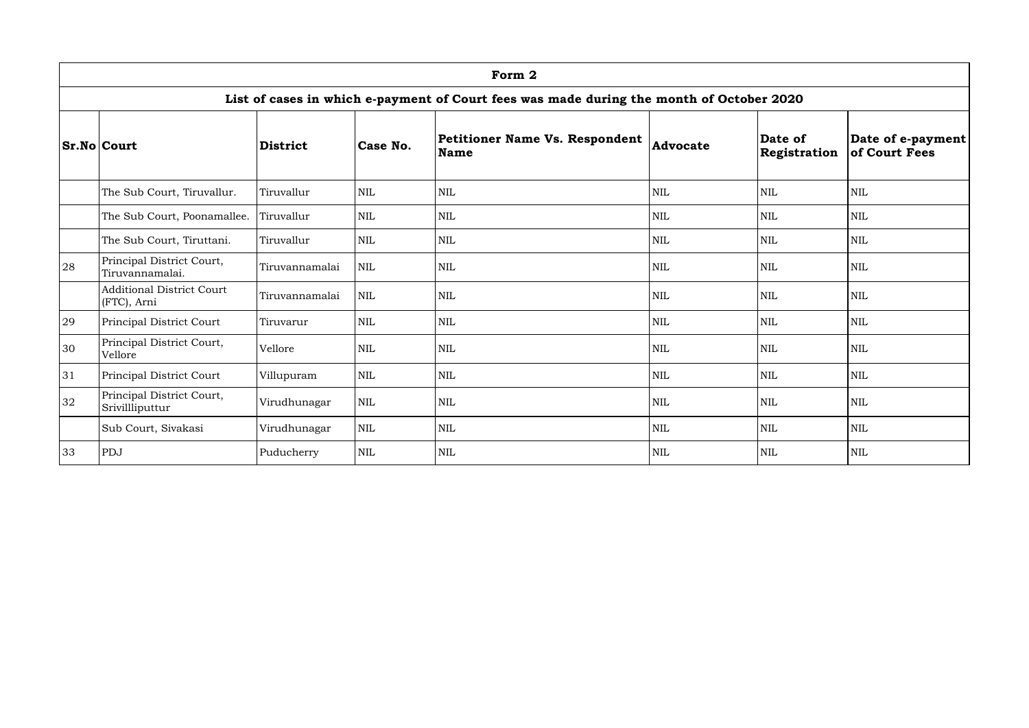|    | Form 2                                                                                                                                                                                        |                |            |            |            |            |            |  |  |  |  |
|----|-----------------------------------------------------------------------------------------------------------------------------------------------------------------------------------------------|----------------|------------|------------|------------|------------|------------|--|--|--|--|
|    | List of cases in which e-payment of Court fees was made during the month of October 2020                                                                                                      |                |            |            |            |            |            |  |  |  |  |
|    | Petitioner Name Vs. Respondent<br>Date of<br>Date of e-payment<br><b>Sr.No Court</b><br>Case No.<br><b>Advocate</b><br><b>District</b><br>of Court Fees<br><b>Name</b><br><b>Registration</b> |                |            |            |            |            |            |  |  |  |  |
|    | The Sub Court, Tiruvallur.                                                                                                                                                                    | Tiruvallur     | <b>NIL</b> | <b>NIL</b> | <b>NIL</b> | <b>NIL</b> | <b>NIL</b> |  |  |  |  |
|    | The Sub Court, Poonamallee.                                                                                                                                                                   | Tiruvallur     | NIL        | <b>NIL</b> | <b>NIL</b> | <b>NIL</b> | <b>NIL</b> |  |  |  |  |
|    | The Sub Court, Tiruttani.                                                                                                                                                                     | Tiruvallur     | NIL        | <b>NIL</b> | <b>NIL</b> | <b>NIL</b> | <b>NIL</b> |  |  |  |  |
| 28 | Principal District Court,<br>Tiruvannamalai.                                                                                                                                                  | Tiruvannamalai | <b>NIL</b> | <b>NIL</b> | <b>NIL</b> | <b>NIL</b> | <b>NIL</b> |  |  |  |  |
|    | <b>Additional District Court</b><br>(FTC), Arni                                                                                                                                               | Tiruvannamalai | <b>NIL</b> | <b>NIL</b> | <b>NIL</b> | <b>NIL</b> | <b>NIL</b> |  |  |  |  |
| 29 | Principal District Court                                                                                                                                                                      | Tiruvarur      | NIL        | <b>NIL</b> | <b>NIL</b> | <b>NIL</b> | <b>NIL</b> |  |  |  |  |
| 30 | Principal District Court,<br>Vellore                                                                                                                                                          | Vellore        | NIL        | <b>NIL</b> | <b>NIL</b> | <b>NIL</b> | <b>NIL</b> |  |  |  |  |
| 31 | Principal District Court                                                                                                                                                                      | Villupuram     | NIL        | <b>NIL</b> | <b>NIL</b> | <b>NIL</b> | <b>NIL</b> |  |  |  |  |
| 32 | Principal District Court,<br>Srivillliputtur                                                                                                                                                  | Virudhunagar   | NIL        | <b>NIL</b> | <b>NIL</b> | <b>NIL</b> | <b>NIL</b> |  |  |  |  |
|    | Sub Court, Sivakasi                                                                                                                                                                           | Virudhunagar   | <b>NIL</b> | <b>NIL</b> | <b>NIL</b> | <b>NIL</b> | <b>NIL</b> |  |  |  |  |
| 33 | PDJ                                                                                                                                                                                           | Puducherry     | <b>NIL</b> | <b>NIL</b> | <b>NIL</b> | <b>NIL</b> | <b>NIL</b> |  |  |  |  |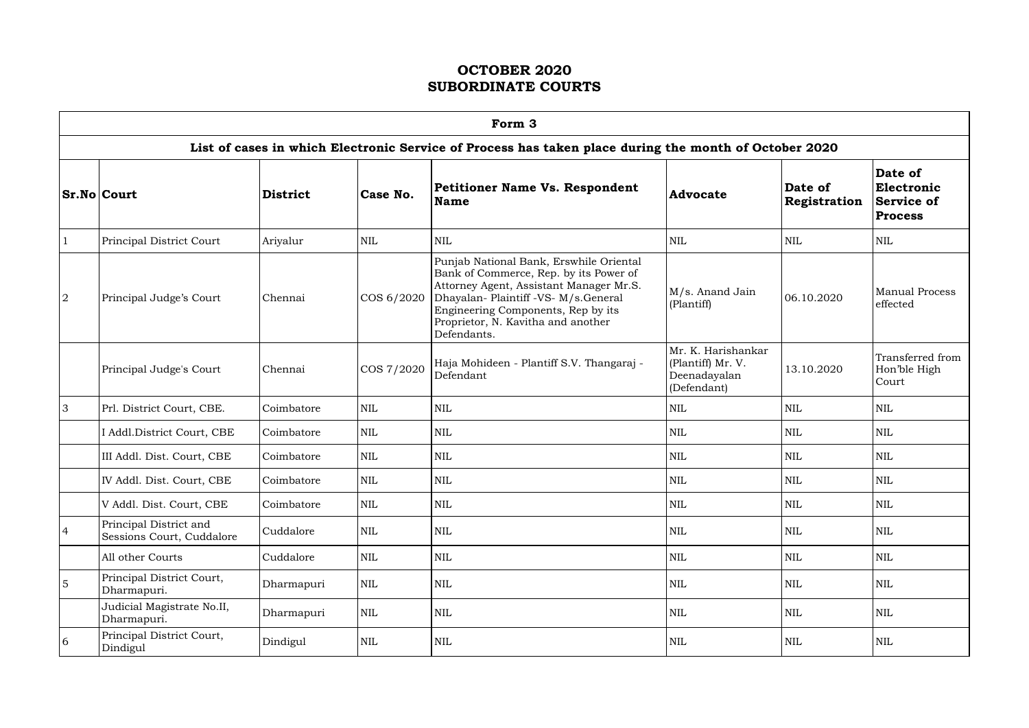|                | Form 3                                              |                 |              |                                                                                                                                                                                                                                                                 |                                                                        |                                |                                                       |  |  |  |  |  |
|----------------|-----------------------------------------------------|-----------------|--------------|-----------------------------------------------------------------------------------------------------------------------------------------------------------------------------------------------------------------------------------------------------------------|------------------------------------------------------------------------|--------------------------------|-------------------------------------------------------|--|--|--|--|--|
|                |                                                     |                 |              | List of cases in which Electronic Service of Process has taken place during the month of October 2020                                                                                                                                                           |                                                                        |                                |                                                       |  |  |  |  |  |
|                | <b>Sr.No Court</b>                                  | <b>District</b> | Case No.     | <b>Petitioner Name Vs. Respondent</b><br><b>Name</b>                                                                                                                                                                                                            | <b>Advocate</b>                                                        | Date of<br><b>Registration</b> | Date of<br>Electronic<br>Service of<br><b>Process</b> |  |  |  |  |  |
| $\mathbf{1}$   | Principal District Court                            | Ariyalur        | <b>NIL</b>   | <b>NIL</b>                                                                                                                                                                                                                                                      | <b>NIL</b>                                                             | <b>NIL</b>                     | <b>NIL</b>                                            |  |  |  |  |  |
| 2              | Principal Judge's Court                             | Chennai         | COS 6/2020   | Punjab National Bank, Erswhile Oriental<br>Bank of Commerce, Rep. by its Power of<br>Attorney Agent, Assistant Manager Mr.S.<br>Dhayalan- Plaintiff -VS- M/s.General<br>Engineering Components, Rep by its<br>Proprietor, N. Kavitha and another<br>Defendants. | M/s. Anand Jain<br>(Plantiff)                                          | 06.10.2020                     | Manual Process<br>effected                            |  |  |  |  |  |
|                | Principal Judge's Court                             | Chennai         | COS 7/2020   | Haja Mohideen - Plantiff S.V. Thangaraj -<br>Defendant                                                                                                                                                                                                          | Mr. K. Harishankar<br>(Plantiff) Mr. V.<br>Deenadayalan<br>(Defendant) | 13.10.2020                     | Transferred from<br>Hon'ble High<br>Court             |  |  |  |  |  |
| $\overline{3}$ | Prl. District Court, CBE.                           | Coimbatore      | <b>NIL</b>   | <b>NIL</b>                                                                                                                                                                                                                                                      | <b>NIL</b>                                                             | <b>NIL</b>                     | <b>NIL</b>                                            |  |  |  |  |  |
|                | I Addl. District Court, CBE                         | Coimbatore      | <b>NIL</b>   | <b>NIL</b>                                                                                                                                                                                                                                                      | <b>NIL</b>                                                             | <b>NIL</b>                     | <b>NIL</b>                                            |  |  |  |  |  |
|                | III Addl. Dist. Court, CBE                          | Coimbatore      | <b>NIL</b>   | <b>NIL</b>                                                                                                                                                                                                                                                      | <b>NIL</b>                                                             | <b>NIL</b>                     | <b>NIL</b>                                            |  |  |  |  |  |
|                | IV Addl. Dist. Court, CBE                           | Coimbatore      | <b>NIL</b>   | <b>NIL</b>                                                                                                                                                                                                                                                      | $\mbox{NIL}$                                                           | <b>NIL</b>                     | <b>NIL</b>                                            |  |  |  |  |  |
|                | V Addl. Dist. Court, CBE                            | Coimbatore      | <b>NIL</b>   | <b>NIL</b>                                                                                                                                                                                                                                                      | NIL                                                                    | <b>NIL</b>                     | <b>NIL</b>                                            |  |  |  |  |  |
| $\overline{4}$ | Principal District and<br>Sessions Court, Cuddalore | Cuddalore       | NIL          | $\mbox{NIL}$                                                                                                                                                                                                                                                    | $\mbox{NIL}$                                                           | <b>NIL</b>                     | <b>NIL</b>                                            |  |  |  |  |  |
|                | All other Courts                                    | Cuddalore       | $\mbox{NIL}$ | <b>NIL</b>                                                                                                                                                                                                                                                      | $\mbox{NIL}$                                                           | <b>NIL</b>                     | $\mbox{NIL}$                                          |  |  |  |  |  |
| $\overline{5}$ | Principal District Court,<br>Dharmapuri.            | Dharmapuri      | <b>NIL</b>   | <b>NIL</b>                                                                                                                                                                                                                                                      | <b>NIL</b>                                                             | <b>NIL</b>                     | <b>NIL</b>                                            |  |  |  |  |  |
|                | Judicial Magistrate No.II,<br>Dharmapuri.           | Dharmapuri      | <b>NIL</b>   | <b>NIL</b>                                                                                                                                                                                                                                                      | <b>NIL</b>                                                             | <b>NIL</b>                     | <b>NIL</b>                                            |  |  |  |  |  |
| 6              | Principal District Court,<br>Dindigul               | Dindigul        | $\mbox{NIL}$ | $\mbox{NIL}$                                                                                                                                                                                                                                                    | $\mbox{NIL}$                                                           | <b>NIL</b>                     | <b>NIL</b>                                            |  |  |  |  |  |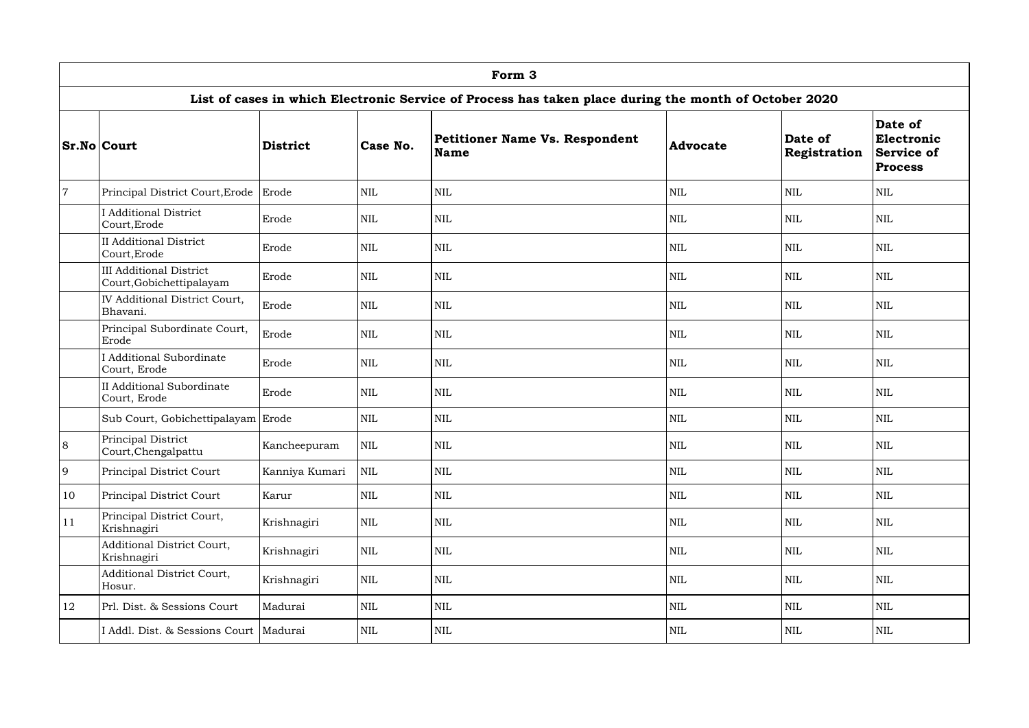|                | Form 3                                                     |                |            |                                                                                                       |                 |                                |                                                              |  |  |  |  |  |
|----------------|------------------------------------------------------------|----------------|------------|-------------------------------------------------------------------------------------------------------|-----------------|--------------------------------|--------------------------------------------------------------|--|--|--|--|--|
|                |                                                            |                |            | List of cases in which Electronic Service of Process has taken place during the month of October 2020 |                 |                                |                                                              |  |  |  |  |  |
|                | <b>Sr.No Court</b>                                         | District       | Case No.   | <b>Petitioner Name Vs. Respondent</b><br>Name                                                         | <b>Advocate</b> | Date of<br><b>Registration</b> | Date of<br>Electronic<br><b>Service of</b><br><b>Process</b> |  |  |  |  |  |
| $\overline{7}$ | Principal District Court, Erode                            | Erode          | <b>NIL</b> | $\mbox{NIL}$                                                                                          | $\mbox{NIL}$    | <b>NIL</b>                     | <b>NIL</b>                                                   |  |  |  |  |  |
|                | <b>Additional District</b><br>Court, Erode                 | Erode          | <b>NIL</b> | <b>NIL</b>                                                                                            | <b>NIL</b>      | <b>NIL</b>                     | <b>NIL</b>                                                   |  |  |  |  |  |
|                | <b>II</b> Additional District<br>Court, Erode              | Erode          | <b>NIL</b> | <b>NIL</b>                                                                                            | <b>NIL</b>      | <b>NIL</b>                     | <b>NIL</b>                                                   |  |  |  |  |  |
|                | <b>III Additional District</b><br>Court, Gobichettipalayam | Erode          | <b>NIL</b> | $\mbox{NIL}$                                                                                          | $\mbox{NIL}$    | <b>NIL</b>                     | <b>NIL</b>                                                   |  |  |  |  |  |
|                | <b>IV Additional District Court,</b><br>Bhavani.           | Erode          | <b>NIL</b> | $\text{NIL}$                                                                                          | <b>NIL</b>      | <b>NIL</b>                     | <b>NIL</b>                                                   |  |  |  |  |  |
|                | Principal Subordinate Court,<br>Erode                      | Erode          | <b>NIL</b> | $\mbox{NIL}$                                                                                          | <b>NIL</b>      | <b>NIL</b>                     | <b>NIL</b>                                                   |  |  |  |  |  |
|                | <b>I</b> Additional Subordinate<br>Court, Erode            | Erode          | <b>NIL</b> | $\text{NIL}$                                                                                          | <b>NIL</b>      | <b>NIL</b>                     | <b>NIL</b>                                                   |  |  |  |  |  |
|                | <b>II Additional Subordinate</b><br>Court, Erode           | Erode          | <b>NIL</b> | $\text{NIL}$                                                                                          | <b>NIL</b>      | <b>NIL</b>                     | <b>NIL</b>                                                   |  |  |  |  |  |
|                | Sub Court, Gobichettipalayam Erode                         |                | <b>NIL</b> | $\text{NIL}$                                                                                          | <b>NIL</b>      | <b>NIL</b>                     | <b>NIL</b>                                                   |  |  |  |  |  |
| 8              | Principal District<br>Court, Chengalpattu                  | Kancheepuram   | <b>NIL</b> | <b>NIL</b>                                                                                            | <b>NIL</b>      | <b>NIL</b>                     | <b>NIL</b>                                                   |  |  |  |  |  |
| 9              | Principal District Court                                   | Kanniya Kumari | <b>NIL</b> | $\mbox{NIL}$                                                                                          | <b>NIL</b>      | <b>NIL</b>                     | $\mbox{NIL}$                                                 |  |  |  |  |  |
| 10             | Principal District Court                                   | Karur          | <b>NIL</b> | $\mbox{NIL}$                                                                                          | <b>NIL</b>      | <b>NIL</b>                     | <b>NIL</b>                                                   |  |  |  |  |  |
| 11             | Principal District Court,<br>Krishnagiri                   | Krishnagiri    | <b>NIL</b> | $\mbox{NIL}$                                                                                          | <b>NIL</b>      | <b>NIL</b>                     | <b>NIL</b>                                                   |  |  |  |  |  |
|                | Additional District Court,<br>Krishnagiri                  | Krishnagiri    | <b>NIL</b> | $\mbox{NIL}$                                                                                          | $\mbox{NIL}$    | <b>NIL</b>                     | $\mbox{NIL}$                                                 |  |  |  |  |  |
|                | Additional District Court,<br>Hosur.                       | Krishnagiri    | <b>NIL</b> | $\mbox{NIL}$                                                                                          | $\mbox{NIL}$    | <b>NIL</b>                     | $\mbox{NIL}$                                                 |  |  |  |  |  |
| 12             | Prl. Dist. & Sessions Court                                | Madurai        | <b>NIL</b> | $\mbox{NIL}$                                                                                          | <b>NIL</b>      | <b>NIL</b>                     | <b>NIL</b>                                                   |  |  |  |  |  |
|                | I Addl. Dist. & Sessions Court   Madurai                   |                | NIL        | NIL                                                                                                   | <b>NIL</b>      | <b>NIL</b>                     | <b>NIL</b>                                                   |  |  |  |  |  |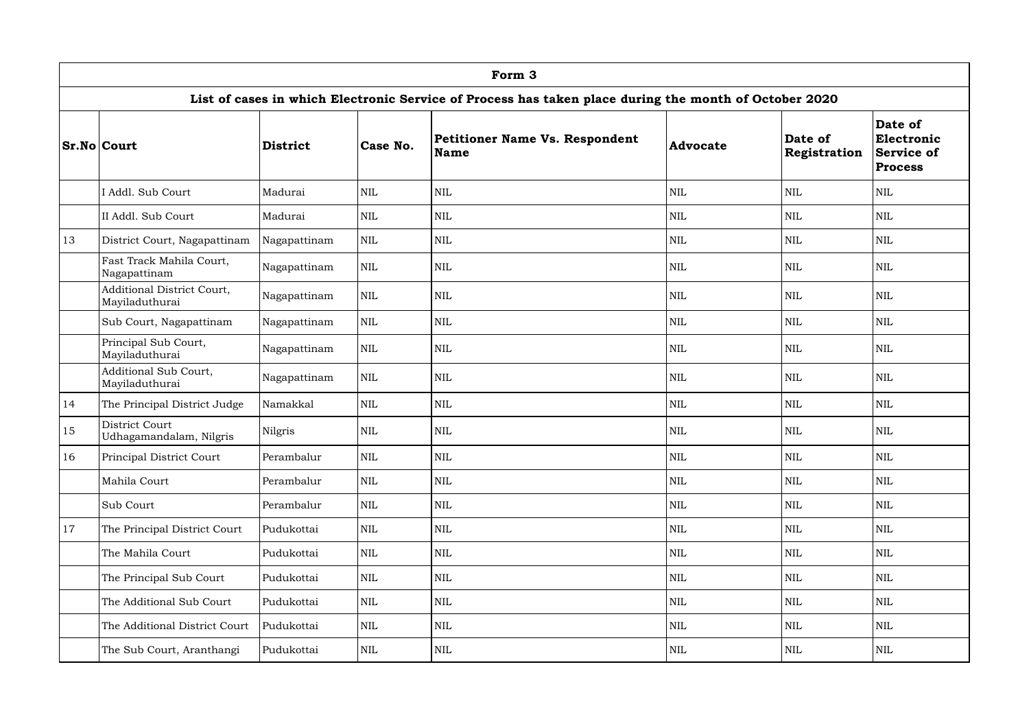|    | Form 3                                       |              |            |                                                                                                       |                 |                         |                                                              |  |  |  |  |
|----|----------------------------------------------|--------------|------------|-------------------------------------------------------------------------------------------------------|-----------------|-------------------------|--------------------------------------------------------------|--|--|--|--|
|    |                                              |              |            | List of cases in which Electronic Service of Process has taken place during the month of October 2020 |                 |                         |                                                              |  |  |  |  |
|    | <b>Sr.No Court</b>                           | District     | Case No.   | <b>Petitioner Name Vs. Respondent</b><br>Name                                                         | <b>Advocate</b> | Date of<br>Registration | Date of<br>Electronic<br><b>Service of</b><br><b>Process</b> |  |  |  |  |
|    | I Addl. Sub Court                            | Madurai      | <b>NIL</b> | $\text{NIL}$                                                                                          | $\mbox{NIL}$    | <b>NIL</b>              | <b>NIL</b>                                                   |  |  |  |  |
|    | II Addl. Sub Court                           | Madurai      | <b>NIL</b> | <b>NIL</b>                                                                                            | <b>NIL</b>      | <b>NIL</b>              | <b>NIL</b>                                                   |  |  |  |  |
| 13 | District Court, Nagapattinam                 | Nagapattinam | <b>NIL</b> | $\text{NIL}$                                                                                          | <b>NIL</b>      | <b>NIL</b>              | <b>NIL</b>                                                   |  |  |  |  |
|    | Fast Track Mahila Court,<br>Nagapattinam     | Nagapattinam | <b>NIL</b> | $\text{NIL}$                                                                                          | <b>NIL</b>      | <b>NIL</b>              | <b>NIL</b>                                                   |  |  |  |  |
|    | Additional District Court,<br>Mayiladuthurai | Nagapattinam | <b>NIL</b> | <b>NIL</b>                                                                                            | $\mbox{NIL}$    | <b>NIL</b>              | <b>NIL</b>                                                   |  |  |  |  |
|    | Sub Court, Nagapattinam                      | Nagapattinam | <b>NIL</b> | $\text{NIL}$                                                                                          | <b>NIL</b>      | <b>NIL</b>              | <b>NIL</b>                                                   |  |  |  |  |
|    | Principal Sub Court,<br>Mayiladuthurai       | Nagapattinam | <b>NIL</b> | $\text{NIL}$                                                                                          | <b>NIL</b>      | <b>NIL</b>              | <b>NIL</b>                                                   |  |  |  |  |
|    | Additional Sub Court,<br>Mayiladuthurai      | Nagapattinam | <b>NIL</b> | <b>NIL</b>                                                                                            | <b>NIL</b>      | <b>NIL</b>              | <b>NIL</b>                                                   |  |  |  |  |
| 14 | The Principal District Judge                 | Namakkal     | <b>NIL</b> | <b>NIL</b>                                                                                            | <b>NIL</b>      | <b>NIL</b>              | <b>NIL</b>                                                   |  |  |  |  |
| 15 | District Court<br>Udhagamandalam, Nilgris    | Nilgris      | <b>NIL</b> | $\text{NIL}$                                                                                          | <b>NIL</b>      | <b>NIL</b>              | NIL                                                          |  |  |  |  |
| 16 | Principal District Court                     | Perambalur   | <b>NIL</b> | $\mbox{NIL}$                                                                                          | $\mbox{NIL}$    | $\mbox{NIL}$            | $\mbox{NIL}$                                                 |  |  |  |  |
|    | Mahila Court                                 | Perambalur   | <b>NIL</b> | $\mbox{NIL}$                                                                                          | <b>NIL</b>      | <b>NIL</b>              | $\mbox{NIL}$                                                 |  |  |  |  |
|    | Sub Court                                    | Perambalur   | <b>NIL</b> | $\mbox{NIL}$                                                                                          | <b>NIL</b>      | <b>NIL</b>              | $\mbox{NIL}$                                                 |  |  |  |  |
| 17 | The Principal District Court                 | Pudukottai   | <b>NIL</b> | $\mbox{NIL}$                                                                                          | <b>NIL</b>      | <b>NIL</b>              | <b>NIL</b>                                                   |  |  |  |  |
|    | The Mahila Court                             | Pudukottai   | <b>NIL</b> | $\mbox{NIL}$                                                                                          | $\mbox{NIL}$    | <b>NIL</b>              | $\mbox{NIL}$                                                 |  |  |  |  |
|    | The Principal Sub Court                      | Pudukottai   | <b>NIL</b> | $\mbox{NIL}$                                                                                          | <b>NIL</b>      | <b>NIL</b>              | $\mbox{NIL}$                                                 |  |  |  |  |
|    | The Additional Sub Court                     | Pudukottai   | <b>NIL</b> | $\mbox{NIL}$                                                                                          | $\mbox{NIL}$    | <b>NIL</b>              | $\mbox{NIL}$                                                 |  |  |  |  |
|    | The Additional District Court                | Pudukottai   | <b>NIL</b> | $\mbox{NIL}$                                                                                          | $\mbox{NIL}$    | <b>NIL</b>              | <b>NIL</b>                                                   |  |  |  |  |
|    | The Sub Court, Aranthangi                    | Pudukottai   | NIL        | NIL                                                                                                   | <b>NIL</b>      | <b>NIL</b>              | $\mbox{NIL}$                                                 |  |  |  |  |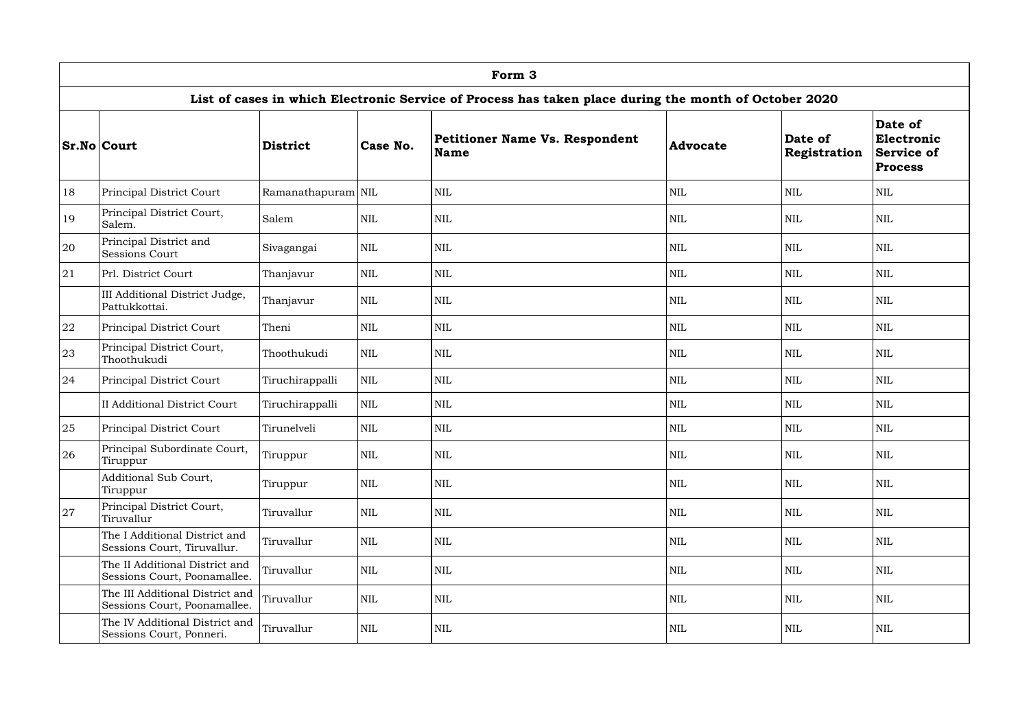|    | Form 3                                                          |                    |            |                                                                                                       |                 |                         |                                                              |  |  |  |  |
|----|-----------------------------------------------------------------|--------------------|------------|-------------------------------------------------------------------------------------------------------|-----------------|-------------------------|--------------------------------------------------------------|--|--|--|--|
|    |                                                                 |                    |            | List of cases in which Electronic Service of Process has taken place during the month of October 2020 |                 |                         |                                                              |  |  |  |  |
|    | <b>Sr.No Court</b>                                              | <b>District</b>    | Case No.   | <b>Petitioner Name Vs. Respondent</b><br>Name                                                         | <b>Advocate</b> | Date of<br>Registration | Date of<br>Electronic<br><b>Service of</b><br><b>Process</b> |  |  |  |  |
| 18 | Principal District Court                                        | Ramanathapuram NIL |            | <b>NIL</b>                                                                                            | <b>NIL</b>      | <b>NIL</b>              | <b>NIL</b>                                                   |  |  |  |  |
| 19 | Principal District Court,<br>Salem.                             | Salem              | <b>NIL</b> | $\mbox{NIL}$                                                                                          | <b>NIL</b>      | <b>NIL</b>              | <b>NIL</b>                                                   |  |  |  |  |
| 20 | Principal District and<br><b>Sessions Court</b>                 | Sivagangai         | <b>NIL</b> | $\text{NIL}$                                                                                          | <b>NIL</b>      | <b>NIL</b>              | <b>NIL</b>                                                   |  |  |  |  |
| 21 | Prl. District Court                                             | Thanjavur          | <b>NIL</b> | <b>NIL</b>                                                                                            | <b>NIL</b>      | <b>NIL</b>              | <b>NIL</b>                                                   |  |  |  |  |
|    | III Additional District Judge,<br>Pattukkottai.                 | Thanjavur          | <b>NIL</b> | $\text{NIL}$                                                                                          | <b>NIL</b>      | <b>NIL</b>              | <b>NIL</b>                                                   |  |  |  |  |
| 22 | Principal District Court                                        | Theni              | <b>NIL</b> | <b>NIL</b>                                                                                            | <b>NIL</b>      | <b>NIL</b>              | <b>NIL</b>                                                   |  |  |  |  |
| 23 | Principal District Court,<br>Thoothukudi                        | Thoothukudi        | <b>NIL</b> | $\mbox{NIL}$                                                                                          | <b>NIL</b>      | <b>NIL</b>              | <b>NIL</b>                                                   |  |  |  |  |
| 24 | Principal District Court                                        | Tiruchirappalli    | <b>NIL</b> | <b>NIL</b>                                                                                            | $\mbox{NIL}$    | <b>NIL</b>              | <b>NIL</b>                                                   |  |  |  |  |
|    | <b>II Additional District Court</b>                             | Tiruchirappalli    | <b>NIL</b> | <b>NIL</b>                                                                                            | <b>NIL</b>      | <b>NIL</b>              | <b>NIL</b>                                                   |  |  |  |  |
| 25 | Principal District Court                                        | Tirunelveli        | <b>NIL</b> | $\text{NIL}$                                                                                          | <b>NIL</b>      | <b>NIL</b>              | <b>NIL</b>                                                   |  |  |  |  |
| 26 | Principal Subordinate Court,<br>Tiruppur                        | Tiruppur           | NIL        | <b>NIL</b>                                                                                            | NIL             | <b>NIL</b>              | <b>NIL</b>                                                   |  |  |  |  |
|    | Additional Sub Court,<br>Tiruppur                               | Tiruppur           | <b>NIL</b> | $\mbox{NIL}$                                                                                          | <b>NIL</b>      | <b>NIL</b>              | <b>NIL</b>                                                   |  |  |  |  |
| 27 | Principal District Court,<br>Tiruvallur                         | Tiruvallur         | <b>NIL</b> | <b>NIL</b>                                                                                            | $\mbox{NIL}$    | <b>NIL</b>              | $\mbox{NIL}$                                                 |  |  |  |  |
|    | The I Additional District and<br>Sessions Court, Tiruvallur.    | Tiruvallur         | <b>NIL</b> | $\mbox{NIL}$                                                                                          | $\mbox{NIL}$    | <b>NIL</b>              | $\mbox{NIL}$                                                 |  |  |  |  |
|    | The II Additional District and<br>Sessions Court, Poonamallee.  | Tiruvallur         | <b>NIL</b> | $\text{NIL}$                                                                                          | <b>NIL</b>      | <b>NIL</b>              | $\mbox{NIL}$                                                 |  |  |  |  |
|    | The III Additional District and<br>Sessions Court, Poonamallee. | Tiruvallur         | <b>NIL</b> | $\mbox{NIL}$                                                                                          | $\mbox{NIL}$    | <b>NIL</b>              | <b>NIL</b>                                                   |  |  |  |  |
|    | The IV Additional District and<br>Sessions Court, Ponneri.      | Tiruvallur         | <b>NIL</b> | $\mbox{NIL}$                                                                                          | $\mbox{NIL}$    | <b>NIL</b>              | $\mbox{NIL}$                                                 |  |  |  |  |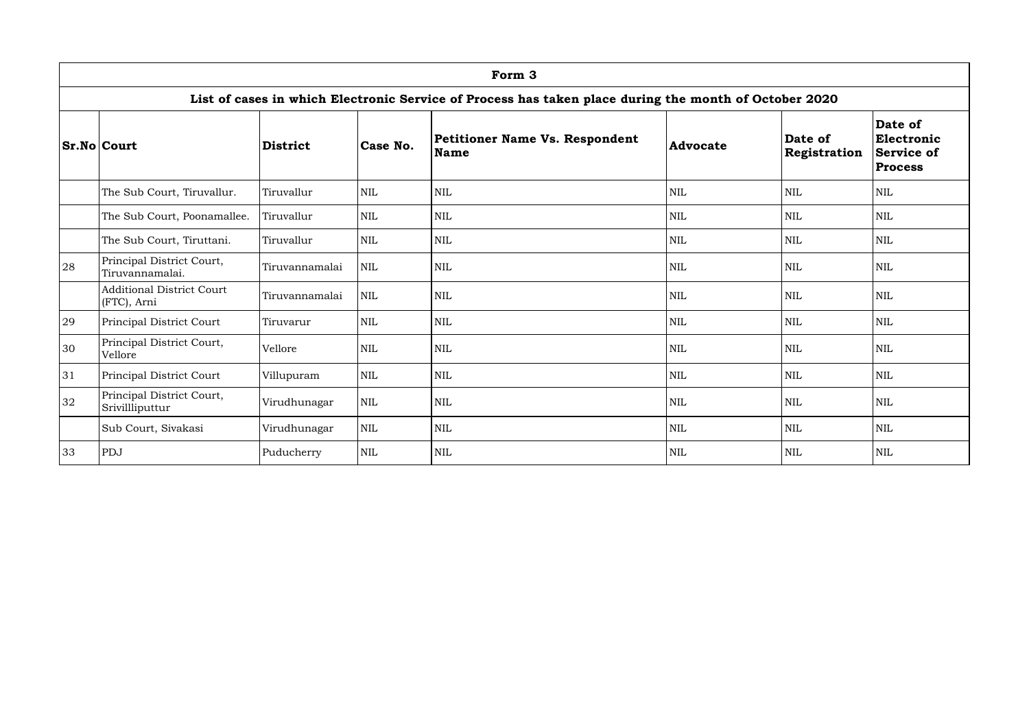|    | Form 3                                                                                                |                 |              |                                                      |                 |                         |                                                              |  |  |  |  |
|----|-------------------------------------------------------------------------------------------------------|-----------------|--------------|------------------------------------------------------|-----------------|-------------------------|--------------------------------------------------------------|--|--|--|--|
|    | List of cases in which Electronic Service of Process has taken place during the month of October 2020 |                 |              |                                                      |                 |                         |                                                              |  |  |  |  |
|    | <b>Sr.No Court</b>                                                                                    | <b>District</b> | Case No.     | <b>Petitioner Name Vs. Respondent</b><br><b>Name</b> | <b>Advocate</b> | Date of<br>Registration | Date of<br>Electronic<br><b>Service of</b><br><b>Process</b> |  |  |  |  |
|    | The Sub Court, Tiruvallur.                                                                            | Tiruvallur      | <b>NIL</b>   | <b>NIL</b>                                           | <b>NIL</b>      | <b>NIL</b>              | $\mbox{NIL}$                                                 |  |  |  |  |
|    | The Sub Court, Poonamallee.                                                                           | Tiruvallur      | $\mbox{NIL}$ | $\text{NIL}$                                         | <b>NIL</b>      | <b>NIL</b>              | <b>NIL</b>                                                   |  |  |  |  |
|    | The Sub Court, Tiruttani.                                                                             | Tiruvallur      | <b>NIL</b>   | $\text{NIL}$                                         | <b>NIL</b>      | <b>NIL</b>              | $\mbox{NIL}$                                                 |  |  |  |  |
| 28 | Principal District Court,<br>Tiruvannamalai.                                                          | Tiruvannamalai  | <b>NIL</b>   | $\mbox{NIL}$                                         | <b>NIL</b>      | <b>NIL</b>              | <b>NIL</b>                                                   |  |  |  |  |
|    | <b>Additional District Court</b><br>(FTC), Arni                                                       | Tiruvannamalai  | $\mbox{NIL}$ | $\text{NIL}$                                         | <b>NIL</b>      | <b>NIL</b>              | $\mbox{NIL}$                                                 |  |  |  |  |
| 29 | Principal District Court                                                                              | Tiruvarur       | <b>NIL</b>   | $\text{NIL}$                                         | <b>NIL</b>      | <b>NIL</b>              | <b>NIL</b>                                                   |  |  |  |  |
| 30 | Principal District Court,<br>Vellore                                                                  | Vellore         | <b>NIL</b>   | <b>NIL</b>                                           | <b>NIL</b>      | <b>NIL</b>              | <b>NIL</b>                                                   |  |  |  |  |
| 31 | Principal District Court                                                                              | Villupuram      | <b>NIL</b>   | <b>NIL</b>                                           | <b>NIL</b>      | <b>NIL</b>              | $\text{NIL}$                                                 |  |  |  |  |
| 32 | Principal District Court,<br>Srivillliputtur                                                          | Virudhunagar    | <b>NIL</b>   | $\text{NIL}$                                         | <b>NIL</b>      | <b>NIL</b>              | <b>NIL</b>                                                   |  |  |  |  |
|    | Sub Court, Sivakasi                                                                                   | Virudhunagar    | <b>NIL</b>   | <b>NIL</b>                                           | <b>NIL</b>      | <b>NIL</b>              | <b>NIL</b>                                                   |  |  |  |  |
| 33 | PDJ                                                                                                   | Puducherry      | <b>NIL</b>   | $\text{NIL}$                                         | <b>NIL</b>      | <b>NIL</b>              | <b>NIL</b>                                                   |  |  |  |  |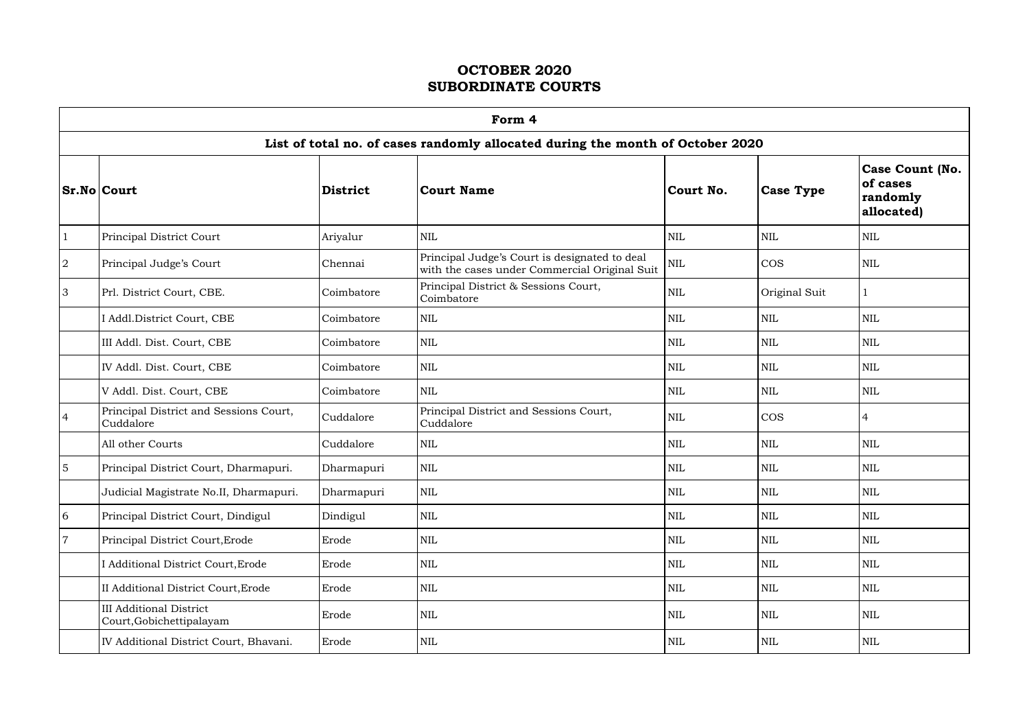$\Gamma$ 

|                 | Form 4                                                     |                 |                                                                                                |              |                  |                                                              |  |  |  |  |  |  |
|-----------------|------------------------------------------------------------|-----------------|------------------------------------------------------------------------------------------------|--------------|------------------|--------------------------------------------------------------|--|--|--|--|--|--|
|                 |                                                            |                 | List of total no. of cases randomly allocated during the month of October 2020                 |              |                  |                                                              |  |  |  |  |  |  |
|                 | $Sr.No $ Court                                             | <b>District</b> | Court Name                                                                                     | Court No.    | <b>Case Type</b> | <b>Case Count (No.</b><br>of cases<br>randomly<br>allocated) |  |  |  |  |  |  |
|                 | Principal District Court                                   | Ariyalur        | <b>NIL</b>                                                                                     | <b>NIL</b>   | <b>NIL</b>       | <b>NIL</b>                                                   |  |  |  |  |  |  |
| $\overline{2}$  | Principal Judge's Court                                    | Chennai         | Principal Judge's Court is designated to deal<br>with the cases under Commercial Original Suit | $\mbox{NIL}$ | <b>COS</b>       | <b>NIL</b>                                                   |  |  |  |  |  |  |
| 3               | Prl. District Court, CBE.                                  | Coimbatore      | Principal District & Sessions Court,<br>Coimbatore                                             | $\mbox{NIL}$ | Original Suit    |                                                              |  |  |  |  |  |  |
|                 | I Addl.District Court, CBE                                 | Coimbatore      | <b>NIL</b>                                                                                     | <b>NIL</b>   | <b>NIL</b>       | <b>NIL</b>                                                   |  |  |  |  |  |  |
|                 | III Addl. Dist. Court, CBE                                 | Coimbatore      | <b>NIL</b>                                                                                     | <b>NIL</b>   | $\mbox{NIL}$     | NIL                                                          |  |  |  |  |  |  |
|                 | IV Addl. Dist. Court, CBE                                  | Coimbatore      | <b>NIL</b>                                                                                     | <b>NIL</b>   | <b>NIL</b>       | <b>NIL</b>                                                   |  |  |  |  |  |  |
|                 | V Addl. Dist. Court, CBE                                   | Coimbatore      | <b>NIL</b>                                                                                     | <b>NIL</b>   | $\mbox{NIL}$     | NIL                                                          |  |  |  |  |  |  |
| $\overline{4}$  | Principal District and Sessions Court,<br>Cuddalore        | Cuddalore       | Principal District and Sessions Court,<br>Cuddalore                                            | <b>NIL</b>   | <b>COS</b>       | 4                                                            |  |  |  |  |  |  |
|                 | All other Courts                                           | Cuddalore       | <b>NIL</b>                                                                                     | <b>NIL</b>   | $\mbox{NIL}$     | <b>NIL</b>                                                   |  |  |  |  |  |  |
| $5\overline{5}$ | Principal District Court, Dharmapuri.                      | Dharmapuri      | <b>NIL</b>                                                                                     | <b>NIL</b>   | <b>NIL</b>       | <b>NIL</b>                                                   |  |  |  |  |  |  |
|                 | Judicial Magistrate No.II, Dharmapuri.                     | Dharmapuri      | <b>NIL</b>                                                                                     | <b>NIL</b>   | $\mbox{NIL}$     | $\mbox{NIL}$                                                 |  |  |  |  |  |  |
| 6               | Principal District Court, Dindigul                         | Dindigul        | <b>NIL</b>                                                                                     | <b>NIL</b>   | <b>NIL</b>       | NIL                                                          |  |  |  |  |  |  |
|                 | Principal District Court, Erode                            | Erode           | <b>NIL</b>                                                                                     | <b>NIL</b>   | <b>NIL</b>       | <b>NIL</b>                                                   |  |  |  |  |  |  |
|                 | Additional District Court, Erode                           | Erode           | <b>NIL</b>                                                                                     | <b>NIL</b>   | <b>NIL</b>       | <b>NIL</b>                                                   |  |  |  |  |  |  |
|                 | II Additional District Court, Erode                        | Erode           | <b>NIL</b>                                                                                     | <b>NIL</b>   | <b>NIL</b>       | NIL                                                          |  |  |  |  |  |  |
|                 | <b>III Additional District</b><br>Court, Gobichettipalayam | Erode           | <b>NIL</b>                                                                                     | $\mbox{NIL}$ | <b>NIL</b>       | NIL                                                          |  |  |  |  |  |  |
|                 | IV Additional District Court, Bhavani.                     | Erode           | <b>NIL</b>                                                                                     | $\mbox{NIL}$ | <b>NIL</b>       | NIL                                                          |  |  |  |  |  |  |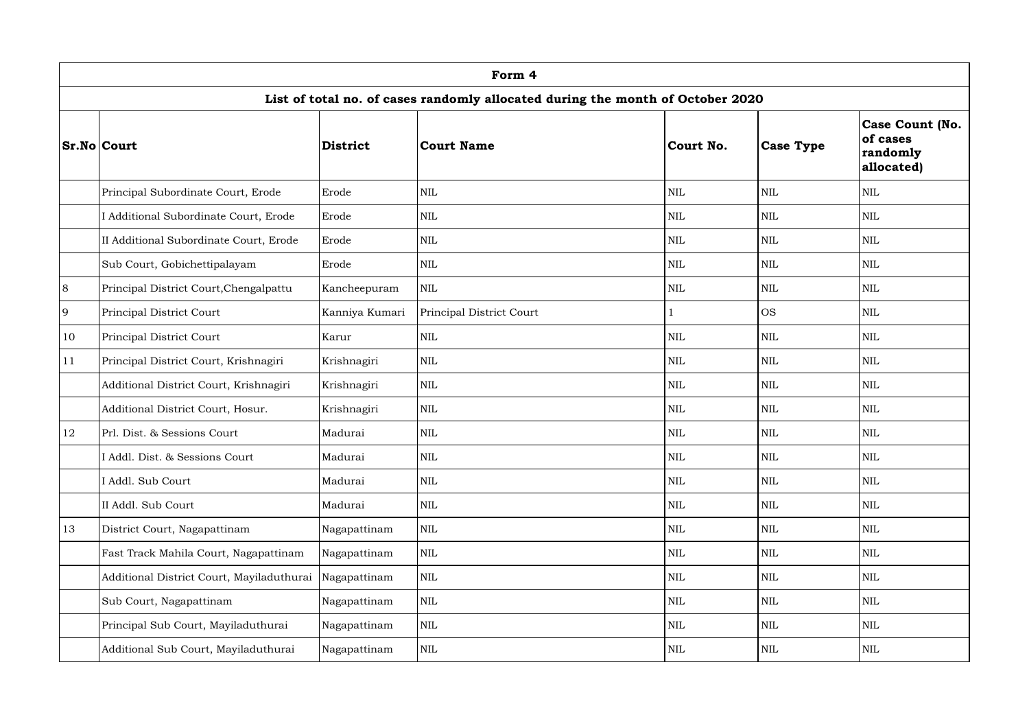|       | Form 4                                    |                |                                                                                |              |                  |                                                              |  |  |  |  |  |  |
|-------|-------------------------------------------|----------------|--------------------------------------------------------------------------------|--------------|------------------|--------------------------------------------------------------|--|--|--|--|--|--|
|       |                                           |                | List of total no. of cases randomly allocated during the month of October 2020 |              |                  |                                                              |  |  |  |  |  |  |
|       | <b>Sr.No Court</b>                        | District       | <b>Court Name</b>                                                              | Court No.    | <b>Case Type</b> | <b>Case Count (No.</b><br>of cases<br>randomly<br>allocated) |  |  |  |  |  |  |
|       | Principal Subordinate Court, Erode        | Erode          | <b>NIL</b>                                                                     | <b>NIL</b>   | <b>NIL</b>       | <b>NIL</b>                                                   |  |  |  |  |  |  |
|       | Additional Subordinate Court, Erode       | Erode          | <b>NIL</b>                                                                     | <b>NIL</b>   | <b>NIL</b>       | <b>NIL</b>                                                   |  |  |  |  |  |  |
|       | II Additional Subordinate Court, Erode    | Erode          | <b>NIL</b>                                                                     | <b>NIL</b>   | <b>NIL</b>       | NIL                                                          |  |  |  |  |  |  |
|       | Sub Court, Gobichettipalayam              | Erode          | <b>NIL</b>                                                                     | <b>NIL</b>   | <b>NIL</b>       | NIL                                                          |  |  |  |  |  |  |
| $8\,$ | Principal District Court, Chengalpattu    | Kancheepuram   | <b>NIL</b>                                                                     | <b>NIL</b>   | <b>NIL</b>       | <b>NIL</b>                                                   |  |  |  |  |  |  |
| 9     | Principal District Court                  | Kanniya Kumari | Principal District Court                                                       |              | <b>OS</b>        | <b>NIL</b>                                                   |  |  |  |  |  |  |
| 10    | Principal District Court                  | Karur          | <b>NIL</b>                                                                     | <b>NIL</b>   | <b>NIL</b>       | NIL                                                          |  |  |  |  |  |  |
| 11    | Principal District Court, Krishnagiri     | Krishnagiri    | <b>NIL</b>                                                                     | <b>NIL</b>   | <b>NIL</b>       | <b>NIL</b>                                                   |  |  |  |  |  |  |
|       | Additional District Court, Krishnagiri    | Krishnagiri    | <b>NIL</b>                                                                     | <b>NIL</b>   | <b>NIL</b>       | <b>NIL</b>                                                   |  |  |  |  |  |  |
|       | Additional District Court, Hosur.         | Krishnagiri    | <b>NIL</b>                                                                     | <b>NIL</b>   | <b>NIL</b>       | NIL                                                          |  |  |  |  |  |  |
| 12    | Prl. Dist. & Sessions Court               | Madurai        | <b>NIL</b>                                                                     | <b>NIL</b>   | <b>NIL</b>       | <b>NIL</b>                                                   |  |  |  |  |  |  |
|       | I Addl. Dist. & Sessions Court            | Madurai        | $\mbox{NIL}$                                                                   | $\mbox{NIL}$ | $\mbox{NIL}$     | NIL                                                          |  |  |  |  |  |  |
|       | I Addl. Sub Court                         | Madurai        | <b>NIL</b>                                                                     | <b>NIL</b>   | <b>NIL</b>       | NIL                                                          |  |  |  |  |  |  |
|       | II Addl. Sub Court                        | Madurai        | <b>NIL</b>                                                                     | <b>NIL</b>   | <b>NIL</b>       | NIL                                                          |  |  |  |  |  |  |
| 13    | District Court, Nagapattinam              | Nagapattinam   | $\mbox{NIL}$                                                                   | <b>NIL</b>   | <b>NIL</b>       | <b>NIL</b>                                                   |  |  |  |  |  |  |
|       | Fast Track Mahila Court, Nagapattinam     | Nagapattinam   | <b>NIL</b>                                                                     | <b>NIL</b>   | <b>NIL</b>       | NIL                                                          |  |  |  |  |  |  |
|       | Additional District Court, Mayiladuthurai | Nagapattinam   | <b>NIL</b>                                                                     | <b>NIL</b>   | <b>NIL</b>       | NIL                                                          |  |  |  |  |  |  |
|       | Sub Court, Nagapattinam                   | Nagapattinam   | $\mbox{NIL}$                                                                   | <b>NIL</b>   | <b>NIL</b>       | NIL                                                          |  |  |  |  |  |  |
|       | Principal Sub Court, Mayiladuthurai       | Nagapattinam   | $\mbox{NIL}$                                                                   | <b>NIL</b>   | <b>NIL</b>       | NIL                                                          |  |  |  |  |  |  |
|       | Additional Sub Court, Mayiladuthurai      | Nagapattinam   | $\mbox{NIL}$                                                                   | <b>NIL</b>   | <b>NIL</b>       | NIL                                                          |  |  |  |  |  |  |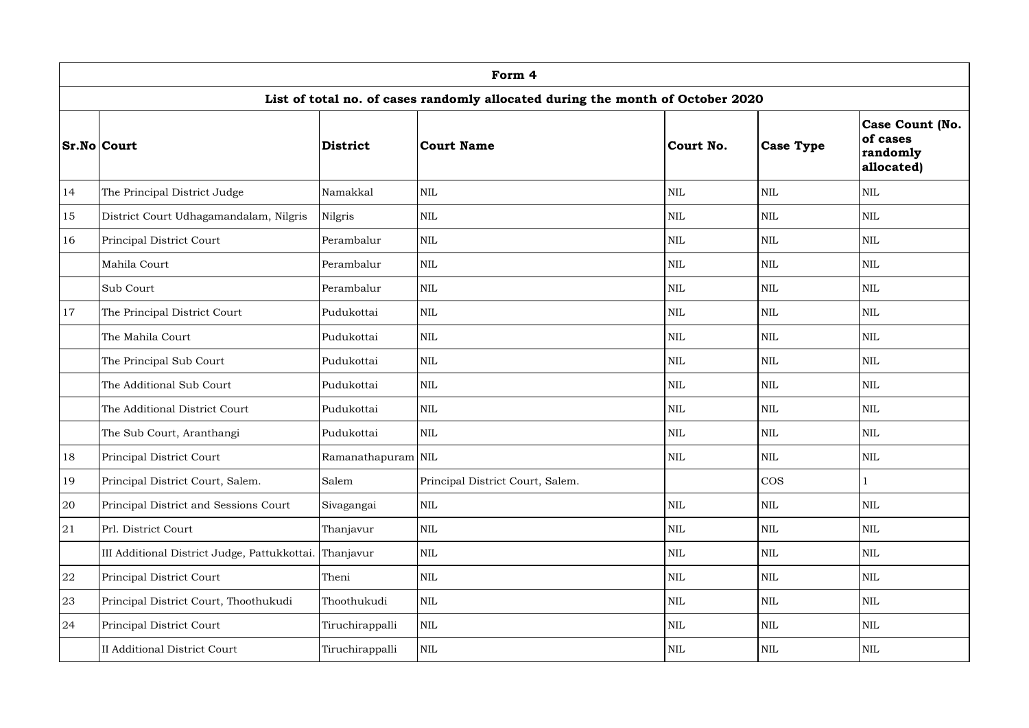|    | Form 4                                                 |                    |                                                                                |            |                  |                                                              |  |  |  |  |  |  |
|----|--------------------------------------------------------|--------------------|--------------------------------------------------------------------------------|------------|------------------|--------------------------------------------------------------|--|--|--|--|--|--|
|    |                                                        |                    | List of total no. of cases randomly allocated during the month of October 2020 |            |                  |                                                              |  |  |  |  |  |  |
|    | <b>Sr.No Court</b>                                     | <b>District</b>    | <b>Court Name</b>                                                              | Court No.  | <b>Case Type</b> | <b>Case Count (No.</b><br>of cases<br>randomly<br>allocated) |  |  |  |  |  |  |
| 14 | The Principal District Judge                           | Namakkal           | <b>NIL</b>                                                                     | <b>NIL</b> | <b>NIL</b>       | NIL                                                          |  |  |  |  |  |  |
| 15 | District Court Udhagamandalam, Nilgris                 | Nilgris            | <b>NIL</b>                                                                     | <b>NIL</b> | <b>NIL</b>       | <b>NIL</b>                                                   |  |  |  |  |  |  |
| 16 | Principal District Court                               | Perambalur         | <b>NIL</b>                                                                     | <b>NIL</b> | <b>NIL</b>       | <b>NIL</b>                                                   |  |  |  |  |  |  |
|    | Mahila Court                                           | Perambalur         | <b>NIL</b>                                                                     | <b>NIL</b> | <b>NIL</b>       | NIL                                                          |  |  |  |  |  |  |
|    | Sub Court                                              | Perambalur         | <b>NIL</b>                                                                     | NIL        | <b>NIL</b>       | <b>NIL</b>                                                   |  |  |  |  |  |  |
| 17 | The Principal District Court                           | Pudukottai         | <b>NIL</b>                                                                     | <b>NIL</b> | <b>NIL</b>       | <b>NIL</b>                                                   |  |  |  |  |  |  |
|    | The Mahila Court                                       | Pudukottai         | <b>NIL</b>                                                                     | <b>NIL</b> | <b>NIL</b>       | NIL                                                          |  |  |  |  |  |  |
|    | The Principal Sub Court                                | Pudukottai         | <b>NIL</b>                                                                     | <b>NIL</b> | <b>NIL</b>       | NIL                                                          |  |  |  |  |  |  |
|    | The Additional Sub Court                               | Pudukottai         | <b>NIL</b>                                                                     | <b>NIL</b> | <b>NIL</b>       | <b>NIL</b>                                                   |  |  |  |  |  |  |
|    | The Additional District Court                          | Pudukottai         | <b>NIL</b>                                                                     | <b>NIL</b> | <b>NIL</b>       | <b>NIL</b>                                                   |  |  |  |  |  |  |
|    | The Sub Court, Aranthangi                              | Pudukottai         | <b>NIL</b>                                                                     | <b>NIL</b> | <b>NIL</b>       | NIL                                                          |  |  |  |  |  |  |
| 18 | <b>Principal District Court</b>                        | Ramanathapuram NIL |                                                                                | NIL        | $\mbox{NIL}$     | NIL                                                          |  |  |  |  |  |  |
| 19 | Principal District Court, Salem.                       | Salem              | Principal District Court, Salem.                                               |            | <b>COS</b>       |                                                              |  |  |  |  |  |  |
| 20 | Principal District and Sessions Court                  | Sivagangai         | <b>NIL</b>                                                                     | <b>NIL</b> | <b>NIL</b>       | NIL                                                          |  |  |  |  |  |  |
| 21 | Prl. District Court                                    | Thanjavur          | <b>NIL</b>                                                                     | <b>NIL</b> | <b>NIL</b>       | NIL                                                          |  |  |  |  |  |  |
|    | III Additional District Judge, Pattukkottai. Thanjavur |                    | <b>NIL</b>                                                                     | <b>NIL</b> | <b>NIL</b>       | <b>NIL</b>                                                   |  |  |  |  |  |  |
| 22 | Principal District Court                               | Theni              | <b>NIL</b>                                                                     | <b>NIL</b> | <b>NIL</b>       | NIL                                                          |  |  |  |  |  |  |
| 23 | Principal District Court, Thoothukudi                  | Thoothukudi        | <b>NIL</b>                                                                     | <b>NIL</b> | <b>NIL</b>       | NIL                                                          |  |  |  |  |  |  |
| 24 | Principal District Court                               | Tiruchirappalli    | <b>NIL</b>                                                                     | <b>NIL</b> | <b>NIL</b>       | <b>NIL</b>                                                   |  |  |  |  |  |  |
|    | <b>II Additional District Court</b>                    | Tiruchirappalli    | $\mbox{NIL}$                                                                   | <b>NIL</b> | <b>NIL</b>       | NIL                                                          |  |  |  |  |  |  |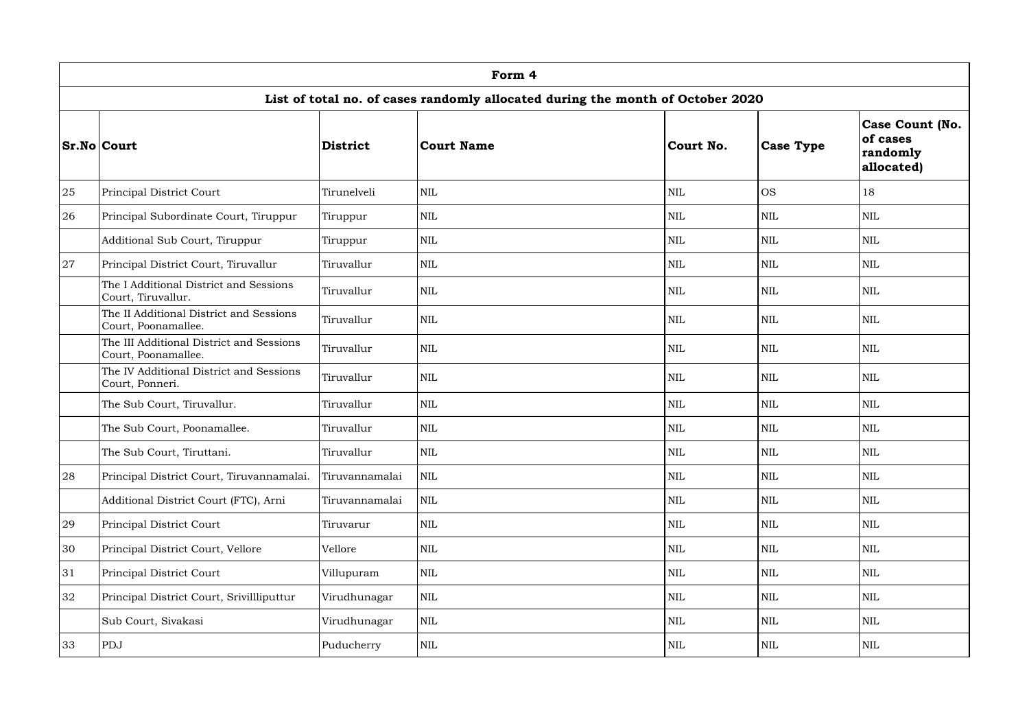|    | Form 4                                                          |                 |                                                                                |            |                  |                                                              |  |  |  |  |  |  |
|----|-----------------------------------------------------------------|-----------------|--------------------------------------------------------------------------------|------------|------------------|--------------------------------------------------------------|--|--|--|--|--|--|
|    |                                                                 |                 | List of total no. of cases randomly allocated during the month of October 2020 |            |                  |                                                              |  |  |  |  |  |  |
|    | <b>Sr.No Court</b>                                              | <b>District</b> | <b>Court Name</b>                                                              | Court No.  | <b>Case Type</b> | <b>Case Count (No.</b><br>of cases<br>randomly<br>allocated) |  |  |  |  |  |  |
| 25 | Principal District Court                                        | Tirunelveli     | <b>NIL</b>                                                                     | <b>NIL</b> | <b>OS</b>        | 18                                                           |  |  |  |  |  |  |
| 26 | Principal Subordinate Court, Tiruppur                           | Tiruppur        | <b>NIL</b>                                                                     | <b>NIL</b> | <b>NIL</b>       | <b>NIL</b>                                                   |  |  |  |  |  |  |
|    | Additional Sub Court, Tiruppur                                  | Tiruppur        | <b>NIL</b>                                                                     | <b>NIL</b> | <b>NIL</b>       | <b>NIL</b>                                                   |  |  |  |  |  |  |
| 27 | Principal District Court, Tiruvallur                            | Tiruvallur      | <b>NIL</b>                                                                     | <b>NIL</b> | <b>NIL</b>       | <b>NIL</b>                                                   |  |  |  |  |  |  |
|    | The I Additional District and Sessions<br>Court, Tiruvallur.    | Tiruvallur      | <b>NIL</b>                                                                     | <b>NIL</b> | <b>NIL</b>       | NIL                                                          |  |  |  |  |  |  |
|    | The II Additional District and Sessions<br>Court, Poonamallee.  | Tiruvallur      | <b>NIL</b>                                                                     | <b>NIL</b> | <b>NIL</b>       | NIL                                                          |  |  |  |  |  |  |
|    | The III Additional District and Sessions<br>Court, Poonamallee. | Tiruvallur      | <b>NIL</b>                                                                     | <b>NIL</b> | <b>NIL</b>       | <b>NIL</b>                                                   |  |  |  |  |  |  |
|    | The IV Additional District and Sessions<br>Court, Ponneri.      | Tiruvallur      | <b>NIL</b>                                                                     | <b>NIL</b> | <b>NIL</b>       | <b>NIL</b>                                                   |  |  |  |  |  |  |
|    | The Sub Court, Tiruvallur.                                      | Tiruvallur      | <b>NIL</b>                                                                     | <b>NIL</b> | <b>NIL</b>       | <b>NIL</b>                                                   |  |  |  |  |  |  |
|    | The Sub Court, Poonamallee.                                     | Tiruvallur      | <b>NIL</b>                                                                     | <b>NIL</b> | <b>NIL</b>       | NIL                                                          |  |  |  |  |  |  |
|    | The Sub Court, Tiruttani.                                       | Tiruvallur      | $\mbox{NIL}$                                                                   | <b>NIL</b> | <b>NIL</b>       | <b>NIL</b>                                                   |  |  |  |  |  |  |
| 28 | Principal District Court, Tiruvannamalai.                       | Tiruvannamalai  | <b>NIL</b>                                                                     | <b>NIL</b> | <b>NIL</b>       | NIL                                                          |  |  |  |  |  |  |
|    | Additional District Court (FTC), Arni                           | Tiruvannamalai  | <b>NIL</b>                                                                     | <b>NIL</b> | <b>NIL</b>       | <b>NIL</b>                                                   |  |  |  |  |  |  |
| 29 | Principal District Court                                        | Tiruvarur       | <b>NIL</b>                                                                     | <b>NIL</b> | <b>NIL</b>       | NIL                                                          |  |  |  |  |  |  |
| 30 | Principal District Court, Vellore                               | Vellore         | <b>NIL</b>                                                                     | NIL        | <b>NIL</b>       | <b>NIL</b>                                                   |  |  |  |  |  |  |
| 31 | Principal District Court                                        | Villupuram      | $\mbox{NIL}$                                                                   | <b>NIL</b> | <b>NIL</b>       | <b>NIL</b>                                                   |  |  |  |  |  |  |
| 32 | Principal District Court, Srivillliputtur                       | Virudhunagar    | <b>NIL</b>                                                                     | <b>NIL</b> | <b>NIL</b>       | NIL                                                          |  |  |  |  |  |  |
|    | Sub Court, Sivakasi                                             | Virudhunagar    | $\mbox{NIL}$                                                                   | NIL        | <b>NIL</b>       | <b>NIL</b>                                                   |  |  |  |  |  |  |
| 33 | PDJ                                                             | Puducherry      | $\mbox{NIL}$                                                                   | <b>NIL</b> | <b>NIL</b>       | <b>NIL</b>                                                   |  |  |  |  |  |  |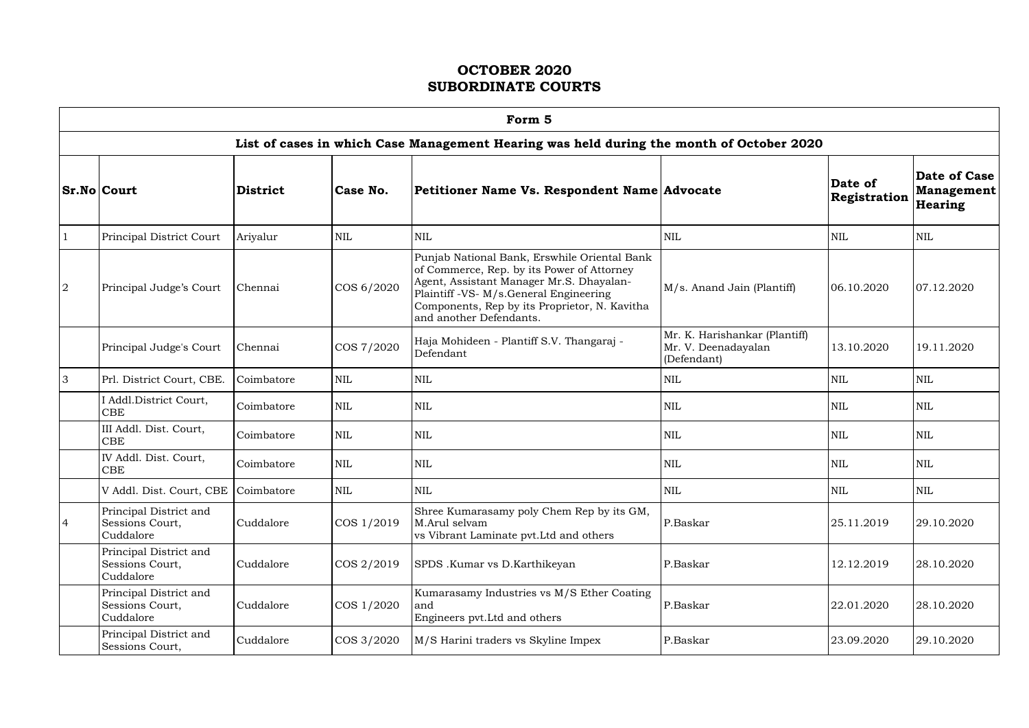$\mathsf{r}$ 

|                | Form 5                                                 |                 |            |                                                                                                                                                                                                                                                              |                                                                     |                         |                                       |  |  |  |  |
|----------------|--------------------------------------------------------|-----------------|------------|--------------------------------------------------------------------------------------------------------------------------------------------------------------------------------------------------------------------------------------------------------------|---------------------------------------------------------------------|-------------------------|---------------------------------------|--|--|--|--|
|                |                                                        |                 |            | List of cases in which Case Management Hearing was held during the month of October 2020                                                                                                                                                                     |                                                                     |                         |                                       |  |  |  |  |
|                | <b>Sr.No Court</b>                                     | <b>District</b> | Case No.   | Petitioner Name Vs. Respondent Name Advocate                                                                                                                                                                                                                 |                                                                     | Date of<br>Registration | Date of Case<br>Management<br>Hearing |  |  |  |  |
| $\mathbf 1$    | Principal District Court                               | Ariyalur        | <b>NIL</b> | <b>NIL</b>                                                                                                                                                                                                                                                   | <b>NIL</b>                                                          | $\mbox{NIL}$            | <b>NIL</b>                            |  |  |  |  |
| $\overline{2}$ | Principal Judge's Court                                | Chennai         | COS 6/2020 | Punjab National Bank, Erswhile Oriental Bank<br>of Commerce, Rep. by its Power of Attorney<br>Agent, Assistant Manager Mr.S. Dhayalan-<br>Plaintiff -VS- M/s.General Engineering<br>Components, Rep by its Proprietor, N. Kavitha<br>and another Defendants. | M/s. Anand Jain (Plantiff)                                          | 06.10.2020              | 07.12.2020                            |  |  |  |  |
|                | Principal Judge's Court                                | Chennai         | COS 7/2020 | Haja Mohideen - Plantiff S.V. Thangaraj -<br>Defendant                                                                                                                                                                                                       | Mr. K. Harishankar (Plantiff)<br>Mr. V. Deenadayalan<br>(Defendant) | 13.10.2020              | 19.11.2020                            |  |  |  |  |
| $\overline{3}$ | Prl. District Court, CBE.                              | Coimbatore      | <b>NIL</b> | $\mbox{NIL}$                                                                                                                                                                                                                                                 | <b>NIL</b>                                                          | $\mbox{NIL}$            | <b>NIL</b>                            |  |  |  |  |
|                | I Addl.District Court,<br><b>CBE</b>                   | Coimbatore      | <b>NIL</b> | <b>NIL</b>                                                                                                                                                                                                                                                   | <b>NIL</b>                                                          | <b>NIL</b>              | <b>NIL</b>                            |  |  |  |  |
|                | III Addl. Dist. Court,<br><b>CBE</b>                   | Coimbatore      | <b>NIL</b> | $\mbox{NIL}$                                                                                                                                                                                                                                                 | <b>NIL</b>                                                          | $\mbox{NIL}$            | <b>NIL</b>                            |  |  |  |  |
|                | IV Addl. Dist. Court,<br><b>CBE</b>                    | Coimbatore      | <b>NIL</b> | $\mbox{NIL}$                                                                                                                                                                                                                                                 | <b>NIL</b>                                                          | $\mbox{NIL}$            | <b>NIL</b>                            |  |  |  |  |
|                | V Addl. Dist. Court, CBE Coimbatore                    |                 | <b>NIL</b> | <b>NIL</b>                                                                                                                                                                                                                                                   | <b>NIL</b>                                                          | <b>NIL</b>              | <b>NIL</b>                            |  |  |  |  |
| $\overline{4}$ | Principal District and<br>Sessions Court,<br>Cuddalore | Cuddalore       | COS 1/2019 | Shree Kumarasamy poly Chem Rep by its GM,<br>M.Arul selvam<br>vs Vibrant Laminate pvt. Ltd and others                                                                                                                                                        | P.Baskar                                                            | 25.11.2019              | 29.10.2020                            |  |  |  |  |
|                | Principal District and<br>Sessions Court,<br>Cuddalore | Cuddalore       | COS 2/2019 | SPDS .Kumar vs D.Karthikeyan                                                                                                                                                                                                                                 | P.Baskar                                                            | 12.12.2019              | 28.10.2020                            |  |  |  |  |
|                | Principal District and<br>Sessions Court,<br>Cuddalore | Cuddalore       | COS 1/2020 | Kumarasamy Industries vs M/S Ether Coating<br>and<br>Engineers pvt. Ltd and others                                                                                                                                                                           | P.Baskar                                                            | 22.01.2020              | 28.10.2020                            |  |  |  |  |
|                | Principal District and<br>Sessions Court,              | Cuddalore       | COS 3/2020 | M/S Harini traders vs Skyline Impex                                                                                                                                                                                                                          | P.Baskar                                                            | 23.09.2020              | 29.10.2020                            |  |  |  |  |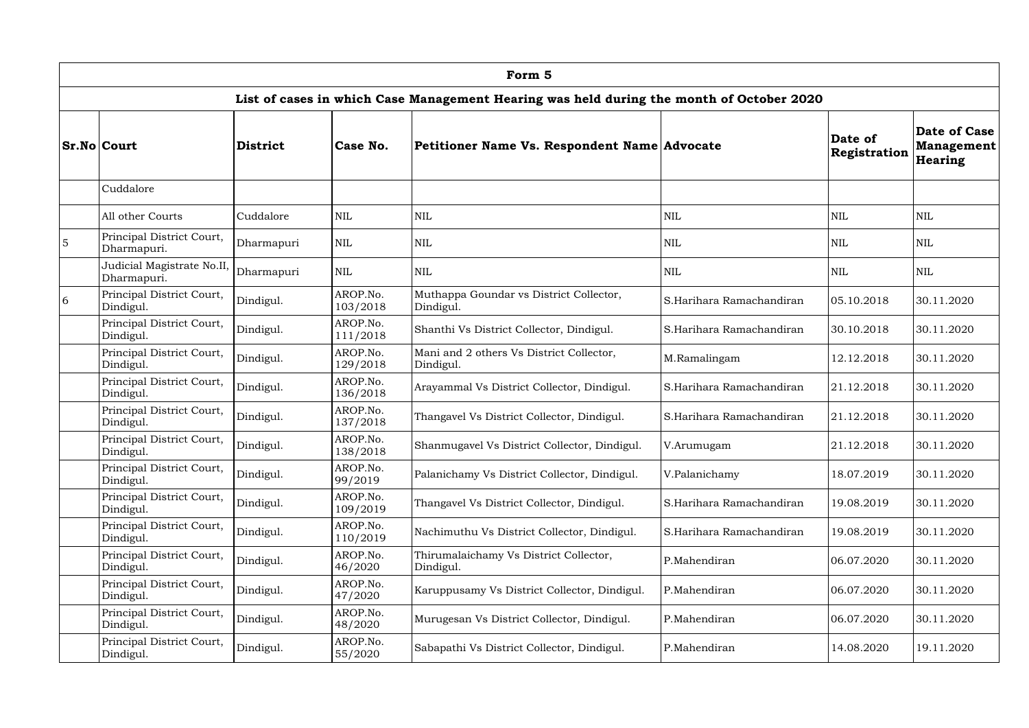|                | Form 5                                    |                 |                      |                                                                                          |                          |                         |                                              |  |  |
|----------------|-------------------------------------------|-----------------|----------------------|------------------------------------------------------------------------------------------|--------------------------|-------------------------|----------------------------------------------|--|--|
|                |                                           |                 |                      | List of cases in which Case Management Hearing was held during the month of October 2020 |                          |                         |                                              |  |  |
|                | <b>Sr.No Court</b>                        | <b>District</b> | Case No.             | Petitioner Name Vs. Respondent Name Advocate                                             |                          | Date of<br>Registration | Date of Case<br>Management<br><b>Hearing</b> |  |  |
|                | Cuddalore                                 |                 |                      |                                                                                          |                          |                         |                                              |  |  |
|                | All other Courts                          | Cuddalore       | <b>NIL</b>           | <b>NIL</b>                                                                               | <b>NIL</b>               | $\mbox{NIL}$            | <b>NIL</b>                                   |  |  |
| $\overline{5}$ | Principal District Court,<br>Dharmapuri.  | Dharmapuri      | $\mbox{NIL}$         | <b>NIL</b>                                                                               | <b>NIL</b>               | $\mbox{NIL}$            | <b>NIL</b>                                   |  |  |
|                | Judicial Magistrate No.II,<br>Dharmapuri. | Dharmapuri      | $\mbox{NIL}$         | <b>NIL</b>                                                                               | <b>NIL</b>               | <b>NIL</b>              | <b>NIL</b>                                   |  |  |
| 6              | Principal District Court,<br>Dindigul.    | Dindigul.       | AROP.No.<br>103/2018 | Muthappa Goundar vs District Collector,<br>Dindigul.                                     | S.Harihara Ramachandiran | 05.10.2018              | 30.11.2020                                   |  |  |
|                | Principal District Court,<br>Dindigul.    | Dindigul.       | AROP.No.<br>111/2018 | Shanthi Vs District Collector, Dindigul.                                                 | S.Harihara Ramachandiran | 30.10.2018              | 30.11.2020                                   |  |  |
|                | Principal District Court,<br>Dindigul.    | Dindigul.       | AROP.No.<br>129/2018 | Mani and 2 others Vs District Collector,<br>Dindigul.                                    | M.Ramalingam             | 12.12.2018              | 30.11.2020                                   |  |  |
|                | Principal District Court,<br>Dindigul.    | Dindigul.       | AROP.No.<br>136/2018 | Arayammal Vs District Collector, Dindigul.                                               | S.Harihara Ramachandiran | 21.12.2018              | 30.11.2020                                   |  |  |
|                | Principal District Court,<br>Dindigul.    | Dindigul.       | AROP.No.<br>137/2018 | Thangavel Vs District Collector, Dindigul.                                               | S.Harihara Ramachandiran | 21.12.2018              | 30.11.2020                                   |  |  |
|                | Principal District Court,<br>Dindigul.    | Dindigul.       | AROP.No.<br>138/2018 | Shanmugavel Vs District Collector, Dindigul.                                             | V.Arumugam               | 21.12.2018              | 30.11.2020                                   |  |  |
|                | Principal District Court,<br>Dindigul.    | Dindigul.       | AROP.No.<br>99/2019  | Palanichamy Vs District Collector, Dindigul.                                             | V.Palanichamy            | 18.07.2019              | 30.11.2020                                   |  |  |
|                | Principal District Court,<br>Dindigul.    | Dindigul.       | AROP.No.<br>109/2019 | Thangavel Vs District Collector, Dindigul.                                               | S.Harihara Ramachandiran | 19.08.2019              | 30.11.2020                                   |  |  |
|                | Principal District Court,<br>Dindigul.    | Dindigul.       | AROP.No.<br>110/2019 | Nachimuthu Vs District Collector, Dindigul.                                              | S.Harihara Ramachandiran | 19.08.2019              | 30.11.2020                                   |  |  |
|                | Principal District Court,<br>Dindigul.    | Dindigul.       | AROP.No.<br>46/2020  | Thirumalaichamy Vs District Collector,<br>Dindigul.                                      | P.Mahendiran             | 06.07.2020              | 30.11.2020                                   |  |  |
|                | Principal District Court,<br>Dindigul.    | Dindigul.       | AROP.No.<br>47/2020  | Karuppusamy Vs District Collector, Dindigul.                                             | P.Mahendiran             | 06.07.2020              | 30.11.2020                                   |  |  |
|                | Principal District Court,<br>Dindigul.    | Dindigul.       | AROP.No.<br>48/2020  | Murugesan Vs District Collector, Dindigul.                                               | P.Mahendiran             | 06.07.2020              | 30.11.2020                                   |  |  |
|                | Principal District Court,<br>Dindigul.    | Dindigul.       | AROP.No.<br>55/2020  | Sabapathi Vs District Collector, Dindigul.                                               | P.Mahendiran             | 14.08.2020              | 19.11.2020                                   |  |  |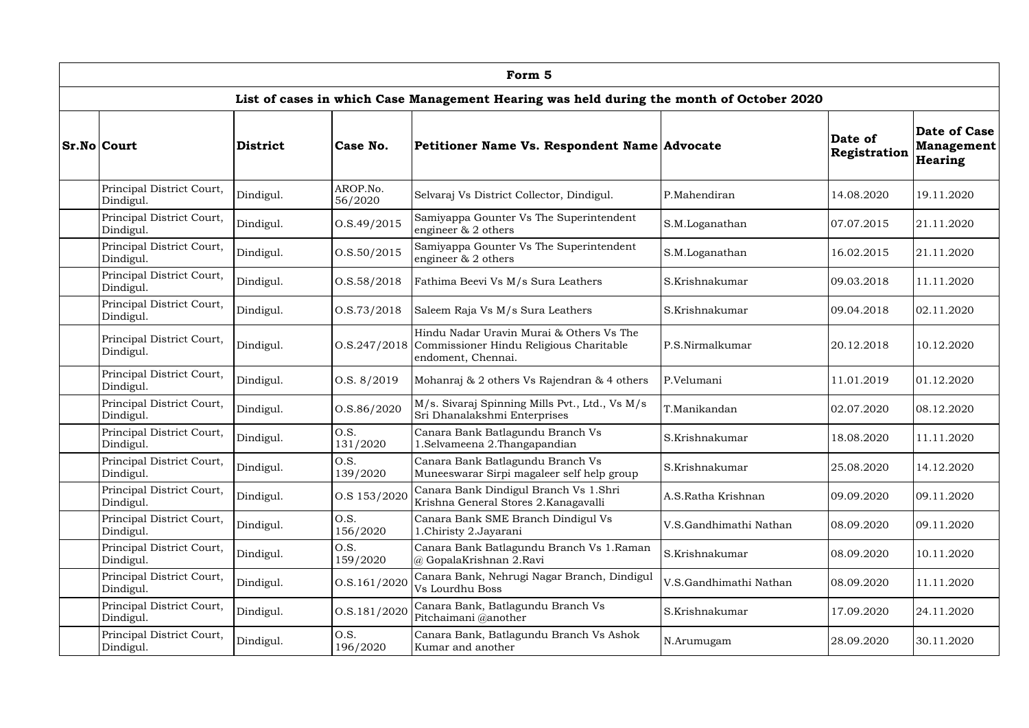| Form 5                                 |                 |                     |                                                                                                           |                        |                         |                                                            |  |  |  |  |
|----------------------------------------|-----------------|---------------------|-----------------------------------------------------------------------------------------------------------|------------------------|-------------------------|------------------------------------------------------------|--|--|--|--|
|                                        |                 |                     | List of cases in which Case Management Hearing was held during the month of October 2020                  |                        |                         |                                                            |  |  |  |  |
| <b>Sr.No Court</b>                     | <b>District</b> | Case No.            | Petitioner Name Vs. Respondent Name Advocate                                                              |                        | Date of<br>Registration | <b>Date of Case</b><br><b>Management</b><br><b>Hearing</b> |  |  |  |  |
| Principal District Court,<br>Dindigul. | Dindigul.       | AROP.No.<br>56/2020 | Selvaraj Vs District Collector, Dindigul.                                                                 | P.Mahendiran           | 14.08.2020              | 19.11.2020                                                 |  |  |  |  |
| Principal District Court,<br>Dindigul. | Dindigul.       | 0. S.49/2015        | Samiyappa Gounter Vs The Superintendent<br>engineer & 2 others                                            | S.M.Loganathan         | 07.07.2015              | 21.11.2020                                                 |  |  |  |  |
| Principal District Court,<br>Dindigul. | Dindigul.       | 0. S. 50 / 2015     | Samiyappa Gounter Vs The Superintendent<br>engineer & 2 others                                            | S.M.Loganathan         | 16.02.2015              | 21.11.2020                                                 |  |  |  |  |
| Principal District Court,<br>Dindigul. | Dindigul.       | 0. S. 58 / 2018     | Fathima Beevi Vs M/s Sura Leathers                                                                        | S.Krishnakumar         | 09.03.2018              | 11.11.2020                                                 |  |  |  |  |
| Principal District Court,<br>Dindigul. | Dindigul.       | 0. S. 73/2018       | Saleem Raja Vs M/s Sura Leathers                                                                          | S.Krishnakumar         | 09.04.2018              | 02.11.2020                                                 |  |  |  |  |
| Principal District Court,<br>Dindigul. | Dindigul.       | 0. S. 247 / 2018    | Hindu Nadar Uravin Murai & Others Vs The<br>Commissioner Hindu Religious Charitable<br>endoment, Chennai. | P.S.Nirmalkumar        | 20.12.2018              | 10.12.2020                                                 |  |  |  |  |
| Principal District Court,<br>Dindigul. | Dindigul.       | O.S. 8/2019         | Mohanraj & 2 others Vs Rajendran & 4 others                                                               | P.Velumani             | 11.01.2019              | 01.12.2020                                                 |  |  |  |  |
| Principal District Court,<br>Dindigul. | Dindigul.       | O.S.86/2020         | M/s. Sivaraj Spinning Mills Pvt., Ltd., Vs M/s<br>Sri Dhanalakshmi Enterprises                            | T.Manikandan           | 02.07.2020              | 08.12.2020                                                 |  |  |  |  |
| Principal District Court,<br>Dindigul. | Dindigul.       | O.S.<br>131/2020    | Canara Bank Batlagundu Branch Vs<br>.Selvameena 2.Thangapandian                                           | S.Krishnakumar         | 18.08.2020              | 11.11.2020                                                 |  |  |  |  |
| Principal District Court,<br>Dindigul. | Dindigul.       | O.S.<br>139/2020    | Canara Bank Batlagundu Branch Vs<br>Muneeswarar Sirpi magaleer self help group                            | S.Krishnakumar         | 25.08.2020              | 14.12.2020                                                 |  |  |  |  |
| Principal District Court,<br>Dindigul. | Dindigul.       | O.S 153/2020        | Canara Bank Dindigul Branch Vs 1.Shri<br>Krishna General Stores 2. Kanagavalli                            | A.S.Ratha Krishnan     | 09.09.2020              | 09.11.2020                                                 |  |  |  |  |
| Principal District Court,<br>Dindigul. | Dindigul.       | O.S.<br>156/2020    | Canara Bank SME Branch Dindigul Vs<br>1.Chiristy 2.Jayarani                                               | V.S.Gandhimathi Nathan | 08.09.2020              | 09.11.2020                                                 |  |  |  |  |
| Principal District Court,<br>Dindigul. | Dindigul.       | O.S.<br>159/2020    | Canara Bank Batlagundu Branch Vs 1.Raman<br>@ GopalaKrishnan 2.Ravi                                       | S.Krishnakumar         | 08.09.2020              | 10.11.2020                                                 |  |  |  |  |
| Principal District Court,<br>Dindigul. | Dindigul.       | O.S.161/2020        | Canara Bank, Nehrugi Nagar Branch, Dindigul<br>Vs Lourdhu Boss                                            | V.S.Gandhimathi Nathan | 08.09.2020              | 11.11.2020                                                 |  |  |  |  |
| Principal District Court,<br>Dindigul. | Dindigul.       | O.S.181/2020        | Canara Bank, Batlagundu Branch Vs<br>Pitchaimani @another                                                 | S.Krishnakumar         | 17.09.2020              | 24.11.2020                                                 |  |  |  |  |
| Principal District Court,<br>Dindigul. | Dindigul.       | O.S.<br>196/2020    | Canara Bank, Batlagundu Branch Vs Ashok<br>Kumar and another                                              | N.Arumugam             | 28.09.2020              | 30.11.2020                                                 |  |  |  |  |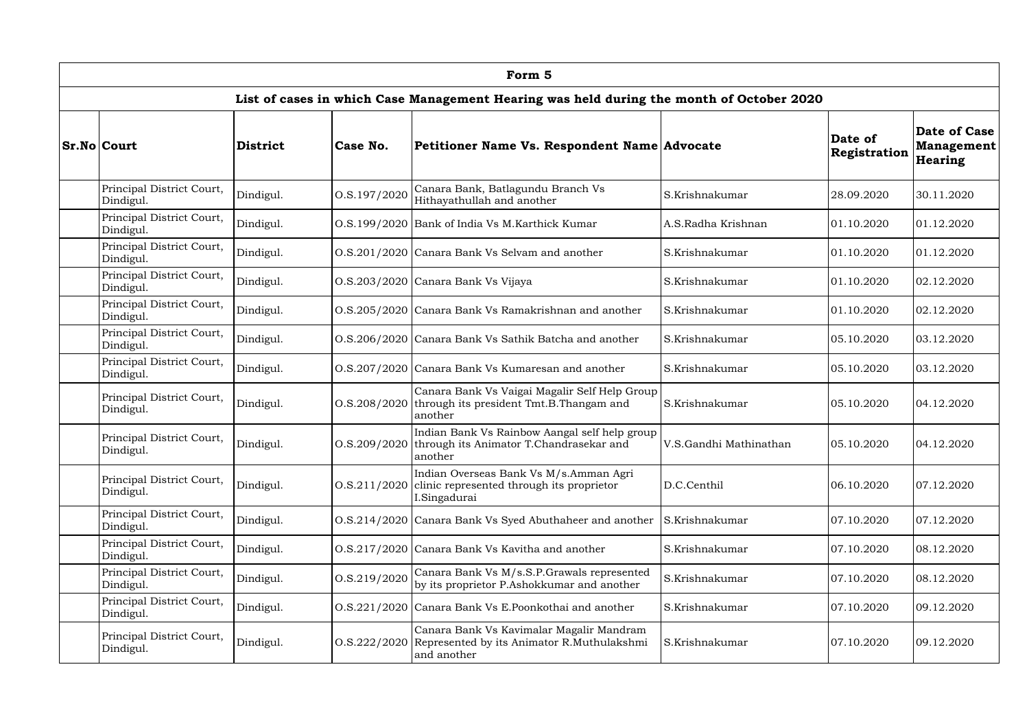| Form 5                                 |                 |                  |                                                                                                                    |                        |                         |                                              |  |  |  |
|----------------------------------------|-----------------|------------------|--------------------------------------------------------------------------------------------------------------------|------------------------|-------------------------|----------------------------------------------|--|--|--|
|                                        |                 |                  | List of cases in which Case Management Hearing was held during the month of October 2020                           |                        |                         |                                              |  |  |  |
| <b>Sr.No Court</b>                     | <b>District</b> | Case No.         | Petitioner Name Vs. Respondent Name Advocate                                                                       |                        | Date of<br>Registration | Date of Case<br>Management<br><b>Hearing</b> |  |  |  |
| Principal District Court,<br>Dindigul. | Dindigul.       | O.S.197/2020     | Canara Bank, Batlagundu Branch Vs<br>Hithayathullah and another                                                    | S.Krishnakumar         | 28.09.2020              | 30.11.2020                                   |  |  |  |
| Principal District Court,<br>Dindigul. | Dindigul.       |                  | O.S.199/2020 Bank of India Vs M.Karthick Kumar                                                                     | A.S.Radha Krishnan     | 01.10.2020              | 01.12.2020                                   |  |  |  |
| Principal District Court,<br>Dindigul. | Dindigul.       |                  | O.S.201/2020 Canara Bank Vs Selvam and another                                                                     | S.Krishnakumar         | 01.10.2020              | 01.12.2020                                   |  |  |  |
| Principal District Court,<br>Dindigul. | Dindigul.       |                  | O.S.203/2020 Canara Bank Vs Vijaya                                                                                 | S.Krishnakumar         | 01.10.2020              | 02.12.2020                                   |  |  |  |
| Principal District Court,<br>Dindigul. | Dindigul.       |                  | O.S.205/2020 Canara Bank Vs Ramakrishnan and another                                                               | S.Krishnakumar         | 01.10.2020              | 02.12.2020                                   |  |  |  |
| Principal District Court,<br>Dindigul. | Dindigul.       |                  | O.S.206/2020 Canara Bank Vs Sathik Batcha and another                                                              | S.Krishnakumar         | 05.10.2020              | 03.12.2020                                   |  |  |  |
| Principal District Court,<br>Dindigul. | Dindigul.       |                  | O.S.207/2020 Canara Bank Vs Kumaresan and another                                                                  | S.Krishnakumar         | 05.10.2020              | 03.12.2020                                   |  |  |  |
| Principal District Court,<br>Dindigul. | Dindigul.       | 0. S. 208 / 2020 | Canara Bank Vs Vaigai Magalir Self Help Group<br>through its president Tmt.B.Thangam and<br>another                | S.Krishnakumar         | 05.10.2020              | 04.12.2020                                   |  |  |  |
| Principal District Court,<br>Dindigul. | Dindigul.       |                  | Indian Bank Vs Rainbow Aangal self help group<br>O.S.209/2020 through its Animator T.Chandrasekar and<br>another   | V.S.Gandhi Mathinathan | 05.10.2020              | 04.12.2020                                   |  |  |  |
| Principal District Court,<br>Dindigul. | Dindigul.       | 0. S. 211/2020   | Indian Overseas Bank Vs M/s.Amman Agri<br>clinic represented through its proprietor<br>I.Singadurai                | D.C.Centhil            | 06.10.2020              | 07.12.2020                                   |  |  |  |
| Principal District Court,<br>Dindigul. | Dindigul.       |                  | O.S.214/2020 Canara Bank Vs Syed Abuthaheer and another                                                            | S.Krishnakumar         | 07.10.2020              | 07.12.2020                                   |  |  |  |
| Principal District Court,<br>Dindigul. | Dindigul.       |                  | O.S.217/2020 Canara Bank Vs Kavitha and another                                                                    | S.Krishnakumar         | 07.10.2020              | 08.12.2020                                   |  |  |  |
| Principal District Court,<br>Dindigul. | Dindigul.       | O.S.219/2020     | Canara Bank Vs M/s.S.P.Grawals represented<br>by its proprietor P.Ashokkumar and another                           | S.Krishnakumar         | 07.10.2020              | 08.12.2020                                   |  |  |  |
| Principal District Court,<br>Dindigul. | Dindigul.       |                  | O.S.221/2020 Canara Bank Vs E.Poonkothai and another                                                               | S.Krishnakumar         | 07.10.2020              | 09.12.2020                                   |  |  |  |
| Principal District Court,<br>Dindigul. | Dindigul.       |                  | Canara Bank Vs Kavimalar Magalir Mandram<br>O.S.222/2020 Represented by its Animator R.Muthulakshmi<br>and another | S.Krishnakumar         | 07.10.2020              | 09.12.2020                                   |  |  |  |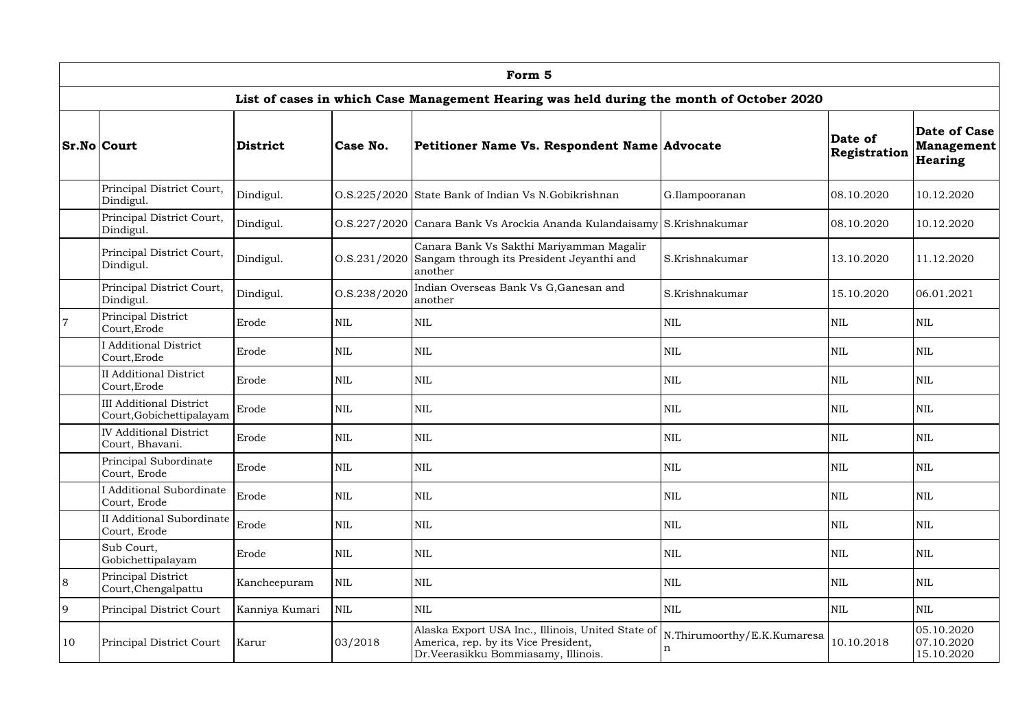|                | Form 5                                                     |                 |              |                                                                                                                                  |                                            |                         |                                        |  |  |  |  |
|----------------|------------------------------------------------------------|-----------------|--------------|----------------------------------------------------------------------------------------------------------------------------------|--------------------------------------------|-------------------------|----------------------------------------|--|--|--|--|
|                |                                                            |                 |              | List of cases in which Case Management Hearing was held during the month of October 2020                                         |                                            |                         |                                        |  |  |  |  |
|                | <b>Sr.No Court</b>                                         | <b>District</b> | Case No.     | Petitioner Name Vs. Respondent Name Advocate                                                                                     |                                            | Date of<br>Registration | Date of Case<br>Management<br>Hearing  |  |  |  |  |
|                | Principal District Court,<br>Dindigul.                     | Dindigul.       |              | O.S.225/2020 State Bank of Indian Vs N.Gobikrishnan                                                                              | G.Ilampooranan                             | 08.10.2020              | 10.12.2020                             |  |  |  |  |
|                | Principal District Court,<br>Dindigul.                     | Dindigul.       |              | O.S.227/2020 Canara Bank Vs Arockia Ananda Kulandaisamy S.Krishnakumar                                                           |                                            | 08.10.2020              | 10.12.2020                             |  |  |  |  |
|                | Principal District Court,<br>Dindigul.                     | Dindigul.       |              | Canara Bank Vs Sakthi Mariyamman Magalir<br>O.S.231/2020 Sangam through its President Jeyanthi and<br>another                    | S.Krishnakumar                             | 13.10.2020              | 11.12.2020                             |  |  |  |  |
|                | Principal District Court,<br>Dindigul.                     | Dindigul.       | O.S.238/2020 | Indian Overseas Bank Vs G, Ganesan and<br>another                                                                                | S.Krishnakumar                             | 15.10.2020              | 06.01.2021                             |  |  |  |  |
| $\overline{7}$ | Principal District<br>Court, Erode                         | Erode           | <b>NIL</b>   | <b>NIL</b>                                                                                                                       | <b>NIL</b>                                 | <b>NIL</b>              | <b>NIL</b>                             |  |  |  |  |
|                | <b>I</b> Additional District<br>Court, Erode               | Erode           | $\mbox{NIL}$ | <b>NIL</b>                                                                                                                       | <b>NIL</b>                                 | <b>NIL</b>              | NIL                                    |  |  |  |  |
|                | <b>II</b> Additional District<br>Court, Erode              | Erode           | $\mbox{NIL}$ | <b>NIL</b>                                                                                                                       | NIL                                        | <b>NIL</b>              | <b>NIL</b>                             |  |  |  |  |
|                | <b>III Additional District</b><br>Court, Gobichettipalayam | Erode           | <b>NIL</b>   | <b>NIL</b>                                                                                                                       | NIL                                        | <b>NIL</b>              | <b>NIL</b>                             |  |  |  |  |
|                | <b>IV Additional District</b><br>Court, Bhavani.           | Erode           | <b>NIL</b>   | <b>NIL</b>                                                                                                                       | <b>NIL</b>                                 | <b>NIL</b>              | <b>NIL</b>                             |  |  |  |  |
|                | Principal Subordinate<br>Court, Erode                      | Erode           | $\mbox{NIL}$ | <b>NIL</b>                                                                                                                       | <b>NIL</b>                                 | <b>NIL</b>              | <b>NIL</b>                             |  |  |  |  |
|                | <b>I</b> Additional Subordinate<br>Court, Erode            | Erode           | $\mbox{NIL}$ | $\mbox{NIL}$                                                                                                                     | NIL                                        | <b>NIL</b>              | NIL                                    |  |  |  |  |
|                | II Additional Subordinate  <br>Court, Erode                | Erode           | $\mbox{NIL}$ | <b>NIL</b>                                                                                                                       | NIL                                        | <b>NIL</b>              | NIL                                    |  |  |  |  |
|                | Sub Court,<br>Gobichettipalayam                            | Erode           | $\mbox{NIL}$ | <b>NIL</b>                                                                                                                       | NIL                                        | NIL                     | NIL                                    |  |  |  |  |
| 8              | Principal District<br>Court, Chengalpattu                  | Kancheepuram    | $\mbox{NIL}$ | <b>NIL</b>                                                                                                                       | <b>NIL</b>                                 | <b>NIL</b>              | NIL                                    |  |  |  |  |
| 9              | Principal District Court                                   | Kanniya Kumari  | <b>NIL</b>   | <b>NIL</b>                                                                                                                       | NIL                                        | <b>NIL</b>              | NIL                                    |  |  |  |  |
| 10             | Principal District Court                                   | Karur           | 03/2018      | Alaska Export USA Inc., Illinois, United State of<br>America, rep. by its Vice President,<br>Dr.Veerasikku Bommiasamy, Illinois. | N.Thirumoorthy/E.K.Kumaresa<br>$\mathbf n$ | 10.10.2018              | 05.10.2020<br>07.10.2020<br>15.10.2020 |  |  |  |  |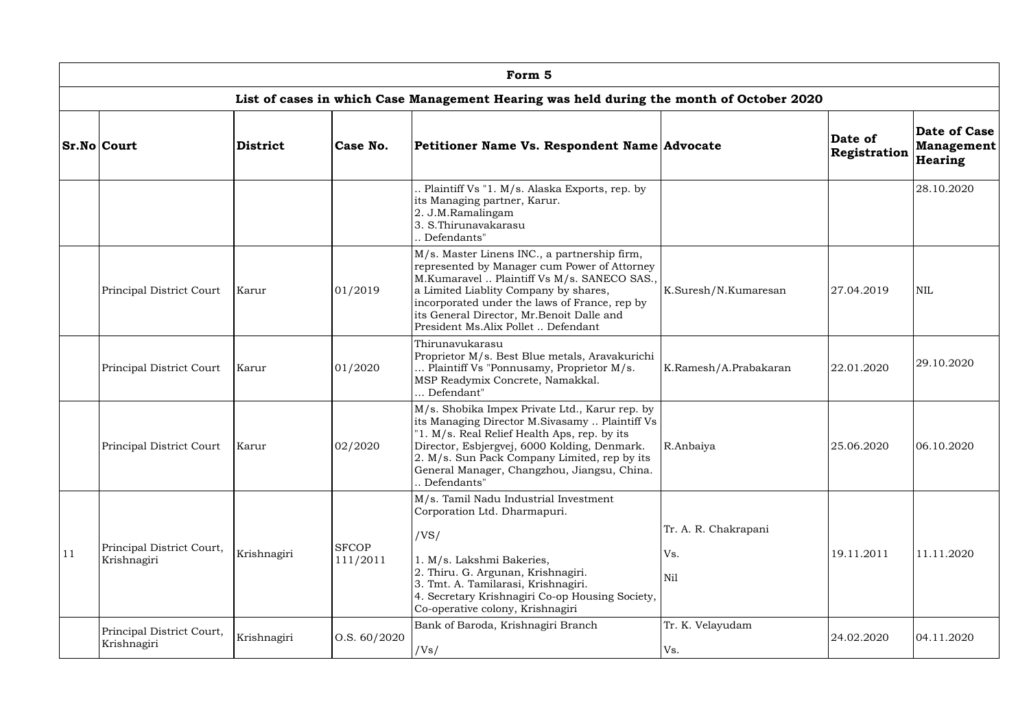|    | Form 5                                   |                 |                          |                                                                                                                                                                                                                                                                                                                           |                                    |                         |                                                     |  |  |  |  |
|----|------------------------------------------|-----------------|--------------------------|---------------------------------------------------------------------------------------------------------------------------------------------------------------------------------------------------------------------------------------------------------------------------------------------------------------------------|------------------------------------|-------------------------|-----------------------------------------------------|--|--|--|--|
|    |                                          |                 |                          | List of cases in which Case Management Hearing was held during the month of October 2020                                                                                                                                                                                                                                  |                                    |                         |                                                     |  |  |  |  |
|    | <b>Sr.No Court</b>                       | <b>District</b> | Case No.                 | Petitioner Name Vs. Respondent Name Advocate                                                                                                                                                                                                                                                                              |                                    | Date of<br>Registration | Date of Case<br><b>Management</b><br><b>Hearing</b> |  |  |  |  |
|    |                                          |                 |                          | . Plaintiff Vs "1. M/s. Alaska Exports, rep. by<br>its Managing partner, Karur.<br>2. J.M.Ramalingam<br>3. S. Thirunavakarasu<br>Defendants"                                                                                                                                                                              |                                    |                         | 28.10.2020                                          |  |  |  |  |
|    | Principal District Court                 | Karur           | 01/2019                  | M/s. Master Linens INC., a partnership firm,<br>represented by Manager cum Power of Attorney<br>M.Kumaravel  Plaintiff Vs M/s. SANECO SAS.,<br>a Limited Liablity Company by shares,<br>incorporated under the laws of France, rep by<br>its General Director, Mr.Benoit Dalle and<br>President Ms.Alix Pollet  Defendant | K.Suresh/N.Kumaresan               | 27.04.2019              | <b>NIL</b>                                          |  |  |  |  |
|    | Principal District Court                 | Karur           | 01/2020                  | Thirunavukarasu<br>Proprietor M/s. Best Blue metals, Aravakurichi<br>Plaintiff Vs "Ponnusamy, Proprietor M/s.<br>MSP Readymix Concrete, Namakkal.<br>. Defendant"                                                                                                                                                         | K.Ramesh/A.Prabakaran              | 22.01.2020              | 29.10.2020                                          |  |  |  |  |
|    | Principal District Court   Karur         |                 | 02/2020                  | M/s. Shobika Impex Private Ltd., Karur rep. by<br>its Managing Director M.Sivasamy  Plaintiff Vs<br>"1. M/s. Real Relief Health Aps, rep. by its<br>Director, Esbjergvej, 6000 Kolding, Denmark.<br>2. M/s. Sun Pack Company Limited, rep by its<br>General Manager, Changzhou, Jiangsu, China.<br>Defendants"            | R.Anbaiya                          | 25.06.2020              | 06.10.2020                                          |  |  |  |  |
| 11 | Principal District Court,<br>Krishnagiri | Krishnagiri     | <b>SFCOP</b><br>111/2011 | M/s. Tamil Nadu Industrial Investment<br>Corporation Ltd. Dharmapuri.<br>/VS/<br>1. M/s. Lakshmi Bakeries,<br>2. Thiru. G. Argunan, Krishnagiri.<br>3. Tmt. A. Tamilarasi, Krishnagiri.<br>4. Secretary Krishnagiri Co-op Housing Society,<br>Co-operative colony, Krishnagiri                                            | Tr. A. R. Chakrapani<br>Vs.<br>Nil | 19.11.2011              | 11.11.2020                                          |  |  |  |  |
|    | Principal District Court,<br>Krishnagiri | Krishnagiri     | 0. S. 60 / 2020          | Bank of Baroda, Krishnagiri Branch<br>/Vs/                                                                                                                                                                                                                                                                                | Tr. K. Velayudam<br>Vs.            | 24.02.2020              | 04.11.2020                                          |  |  |  |  |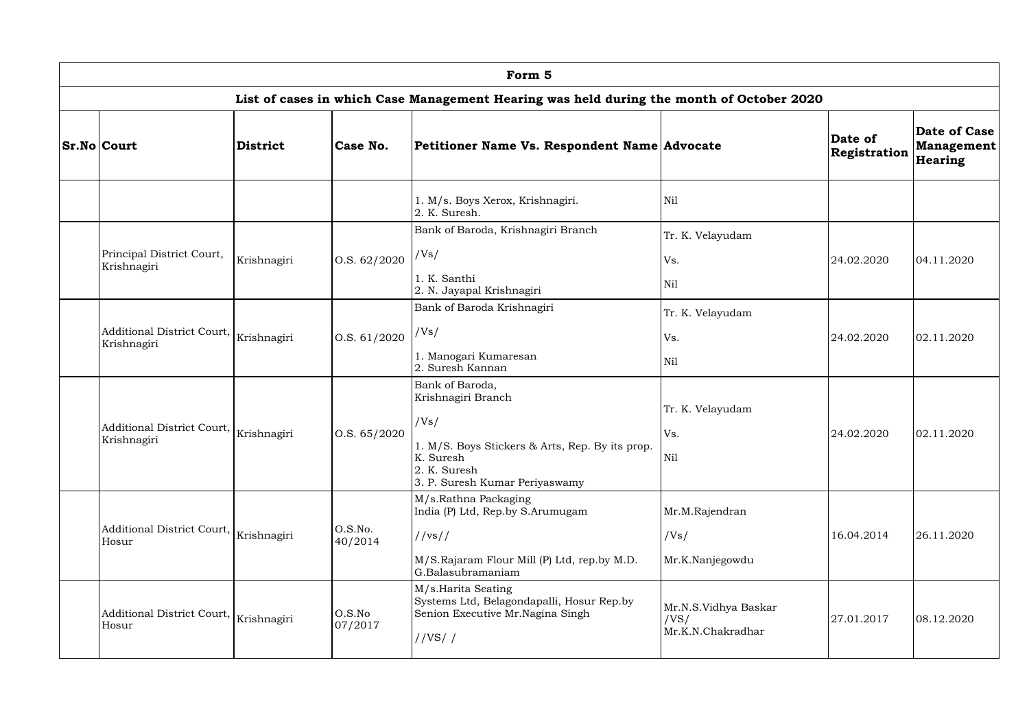| Form 5                                                              |                 |                    |                                                                                                                                                                 |                                                   |                         |                                       |  |  |  |  |
|---------------------------------------------------------------------|-----------------|--------------------|-----------------------------------------------------------------------------------------------------------------------------------------------------------------|---------------------------------------------------|-------------------------|---------------------------------------|--|--|--|--|
|                                                                     |                 |                    | List of cases in which Case Management Hearing was held during the month of October 2020                                                                        |                                                   |                         |                                       |  |  |  |  |
| <b>Sr.No Court</b>                                                  | <b>District</b> | Case No.           | Petitioner Name Vs. Respondent Name Advocate                                                                                                                    |                                                   | Date of<br>Registration | Date of Case<br>Management<br>Hearing |  |  |  |  |
|                                                                     |                 |                    | 1. M/s. Boys Xerox, Krishnagiri.<br>2. K. Suresh.                                                                                                               | Nil                                               |                         |                                       |  |  |  |  |
|                                                                     |                 |                    | Bank of Baroda, Krishnagiri Branch                                                                                                                              | Tr. K. Velayudam                                  |                         |                                       |  |  |  |  |
| Principal District Court,<br>Krishnagiri                            | Krishnagiri     | 0. S. 62 / 2020    | /Vs/                                                                                                                                                            | Vs.                                               | 24.02.2020              | 04.11.2020                            |  |  |  |  |
|                                                                     |                 |                    | 1. K. Santhi<br>2. N. Jayapal Krishnagiri                                                                                                                       | Nil                                               |                         |                                       |  |  |  |  |
|                                                                     |                 | O.S. 61/2020       | Bank of Baroda Krishnagiri                                                                                                                                      | Tr. K. Velayudam                                  |                         |                                       |  |  |  |  |
| Additional District Court, $\big _{\rm Krishnagiri}$<br>Krishnagiri |                 |                    | /Vs/                                                                                                                                                            | Vs.                                               | 24.02.2020              | 02.11.2020                            |  |  |  |  |
|                                                                     |                 |                    | 1. Manogari Kumaresan<br>2. Suresh Kannan                                                                                                                       | Nil                                               |                         |                                       |  |  |  |  |
| Additional District Court, $\big _{\rm Krishnagiri}$<br>Krishnagiri |                 | 0.S. 65/2020       | Bank of Baroda,<br>Krishnagiri Branch<br>/Vs/<br>1. M/S. Boys Stickers & Arts, Rep. By its prop.<br>K. Suresh<br>2. K. Suresh<br>3. P. Suresh Kumar Periyaswamy | Tr. K. Velayudam<br>Vs.<br>Nil                    | 24.02.2020              | 02.11.2020                            |  |  |  |  |
| Additional District Court, $\big _{\rm Krishnagiri}$<br>Hosur       |                 | O.S.No.<br>40/2014 | M/s.Rathna Packaging<br>India (P) Ltd, Rep.by S.Arumugam<br>//vs//<br>M/S.Rajaram Flour Mill (P) Ltd, rep.by M.D.<br>G.Balasubramaniam                          | Mr.M.Rajendran<br>/Vs/<br>Mr.K.Nanjegowdu         | 16.04.2014              | 26.11.2020                            |  |  |  |  |
| Additional District Court, $\big _{\rm Krishnagiri}$<br>Hosur       |                 | O.S.No<br>07/2017  | M/s.Harita Seating<br>Systems Ltd, Belagondapalli, Hosur Rep.by<br>Senion Executive Mr. Nagina Singh<br>//VS//                                                  | Mr.N.S.Vidhya Baskar<br>/VS/<br>Mr.K.N.Chakradhar | 27.01.2017              | 08.12.2020                            |  |  |  |  |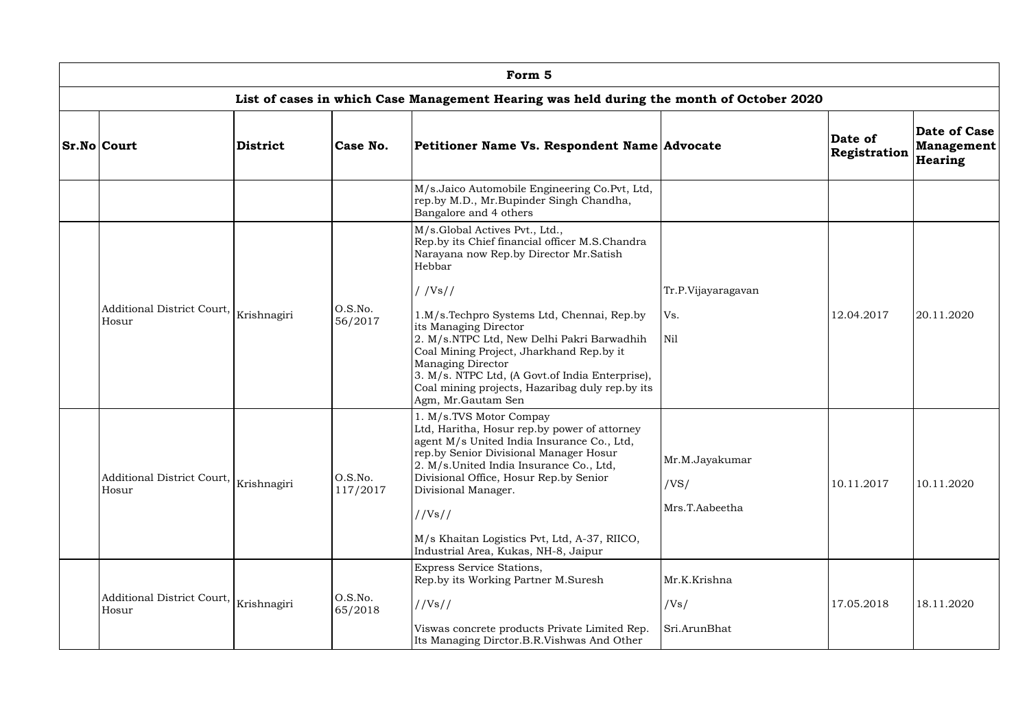| Form 5                                                                                   |                 |                     |                                                                                                                                                                                                                                                                                                                                                                                |                                          |                         |                                       |  |  |  |  |
|------------------------------------------------------------------------------------------|-----------------|---------------------|--------------------------------------------------------------------------------------------------------------------------------------------------------------------------------------------------------------------------------------------------------------------------------------------------------------------------------------------------------------------------------|------------------------------------------|-------------------------|---------------------------------------|--|--|--|--|
| List of cases in which Case Management Hearing was held during the month of October 2020 |                 |                     |                                                                                                                                                                                                                                                                                                                                                                                |                                          |                         |                                       |  |  |  |  |
| <b>Sr.No Court</b>                                                                       | <b>District</b> | Case No.            | Petitioner Name Vs. Respondent Name Advocate                                                                                                                                                                                                                                                                                                                                   |                                          | Date of<br>Registration | Date of Case<br>Management<br>Hearing |  |  |  |  |
|                                                                                          |                 |                     | M/s.Jaico Automobile Engineering Co.Pvt, Ltd,<br>rep.by M.D., Mr.Bupinder Singh Chandha,<br>Bangalore and 4 others                                                                                                                                                                                                                                                             |                                          |                         |                                       |  |  |  |  |
|                                                                                          |                 |                     | M/s.Global Actives Pvt., Ltd.,<br>Rep.by its Chief financial officer M.S.Chandra<br>Narayana now Rep.by Director Mr.Satish<br>Hebbar<br>1/Vs/1                                                                                                                                                                                                                                 | Tr.P.Vijayaragavan                       |                         |                                       |  |  |  |  |
| Additional District Court, Krishnagiri<br>Hosur                                          |                 | O.S.No.<br>56/2017  | 1.M/s.Techpro Systems Ltd, Chennai, Rep.by<br>its Managing Director<br>2. M/s.NTPC Ltd, New Delhi Pakri Barwadhih<br>Coal Mining Project, Jharkhand Rep.by it<br>Managing Director<br>3. M/s. NTPC Ltd, (A Govt.of India Enterprise),<br>Coal mining projects, Hazaribag duly rep.by its<br>Agm, Mr.Gautam Sen                                                                 | Vs.<br>Nil                               | 12.04.2017              | 20.11.2020                            |  |  |  |  |
| Additional District Court, $\big _{\rm Krishnagiri}$<br>Hosur                            |                 | O.S.No.<br>117/2017 | 1. M/s.TVS Motor Compay<br>Ltd, Haritha, Hosur rep.by power of attorney<br>agent M/s United India Insurance Co., Ltd,<br>rep.by Senior Divisional Manager Hosur<br>2. M/s. United India Insurance Co., Ltd,<br>Divisional Office, Hosur Rep.by Senior<br>Divisional Manager.<br>//Vs//<br>M/s Khaitan Logistics Pvt, Ltd, A-37, RIICO,<br>Industrial Area, Kukas, NH-8, Jaipur | Mr.M.Jayakumar<br>/VS/<br>Mrs.T.Aabeetha | 10.11.2017              | 10.11.2020                            |  |  |  |  |
| Additional District Court, Krishnagiri<br>Hosur                                          |                 | O.S.No.<br>65/2018  | Express Service Stations,<br>Rep.by its Working Partner M.Suresh<br>//Vs//<br>Viswas concrete products Private Limited Rep.<br>Its Managing Dirctor.B.R.Vishwas And Other                                                                                                                                                                                                      | Mr.K.Krishna<br>/Vs/<br>Sri.ArunBhat     | 17.05.2018              | 18.11.2020                            |  |  |  |  |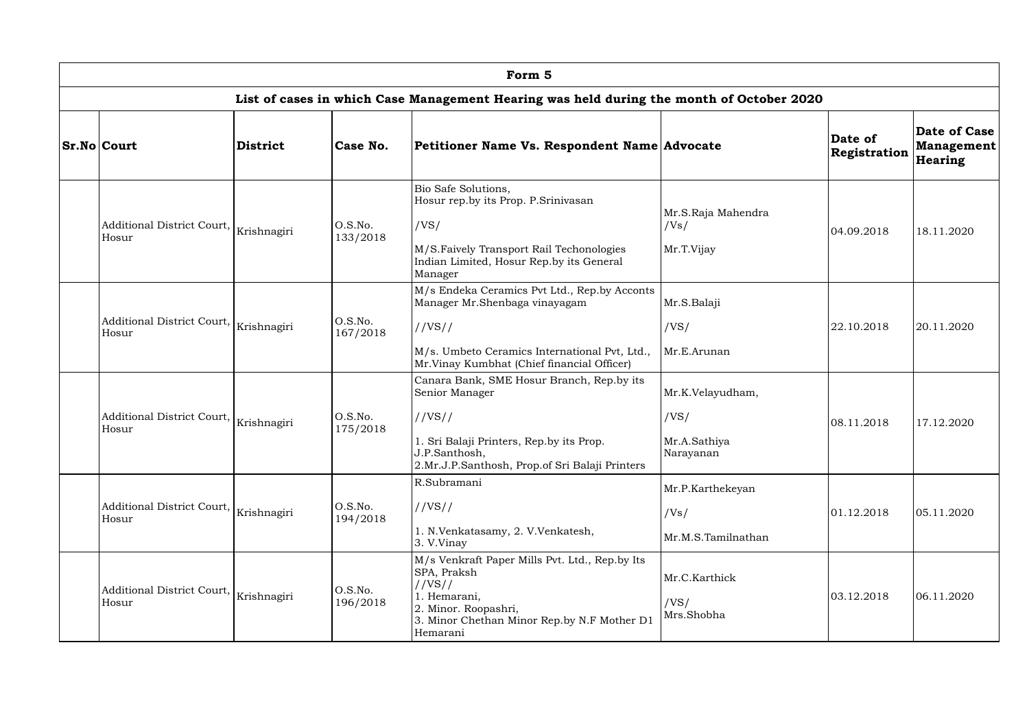| Form 5                                |                 |                     |                                                                                                                                                                                         |                                                       |                         |                                       |  |  |  |  |
|---------------------------------------|-----------------|---------------------|-----------------------------------------------------------------------------------------------------------------------------------------------------------------------------------------|-------------------------------------------------------|-------------------------|---------------------------------------|--|--|--|--|
|                                       |                 |                     | List of cases in which Case Management Hearing was held during the month of October 2020                                                                                                |                                                       |                         |                                       |  |  |  |  |
| <b>Sr.No Court</b>                    | <b>District</b> | Case No.            | Petitioner Name Vs. Respondent Name Advocate                                                                                                                                            |                                                       | Date of<br>Registration | Date of Case<br>Management<br>Hearing |  |  |  |  |
| Additional District Court,<br>Hosur   | Krishnagiri     | O.S.No.<br>133/2018 | Bio Safe Solutions,<br>Hosur rep.by its Prop. P.Srinivasan<br>/VS/<br>M/S.Faively Transport Rail Techonologies<br>Indian Limited, Hosur Rep.by its General<br>Manager                   | Mr.S.Raja Mahendra<br>/Vs/<br>Mr.T.Vijay              | 04.09.2018              | 18.11.2020                            |  |  |  |  |
| Additional District Court,  <br>Hosur | Krishnagiri     | O.S.No.<br>167/2018 | M/s Endeka Ceramics Pvt Ltd., Rep.by Acconts<br>Manager Mr.Shenbaga vinayagam<br>//VS//<br>M/s. Umbeto Ceramics International Pvt, Ltd.,<br>Mr. Vinay Kumbhat (Chief financial Officer) | Mr.S.Balaji<br>/VS/<br>Mr.E.Arunan                    | 22.10.2018              | 20.11.2020                            |  |  |  |  |
| Additional District Court,  <br>Hosur | Krishnagiri     | O.S.No.<br>175/2018 | Canara Bank, SME Hosur Branch, Rep.by its<br>Senior Manager<br>//VS//<br>1. Sri Balaji Printers, Rep.by its Prop.<br>J.P.Santhosh,<br>2.Mr.J.P.Santhosh, Prop.of Sri Balaji Printers    | Mr.K.Velayudham,<br>/VS/<br>Mr.A.Sathiya<br>Narayanan | 08.11.2018              | 17.12.2020                            |  |  |  |  |
| Additional District Court,<br>Hosur   | Krishnagiri     | O.S.No.<br>194/2018 | R.Subramani<br>//VS//<br>1. N.Venkatasamy, 2. V.Venkatesh,<br>3. V.Vinay                                                                                                                | Mr.P.Karthekeyan<br>/Vs/<br>Mr.M.S.Tamilnathan        | 01.12.2018              | 05.11.2020                            |  |  |  |  |
| Additional District Court,<br>Hosur   | Krishnagiri     | O.S.No.<br>196/2018 | M/s Venkraft Paper Mills Pvt. Ltd., Rep.by Its<br>SPA, Praksh<br>//VS//<br>1. Hemarani,<br>2. Minor. Roopashri,<br>3. Minor Chethan Minor Rep.by N.F Mother D1<br>Hemarani              | Mr.C.Karthick<br>/VS/<br>Mrs.Shobha                   | 03.12.2018              | 06.11.2020                            |  |  |  |  |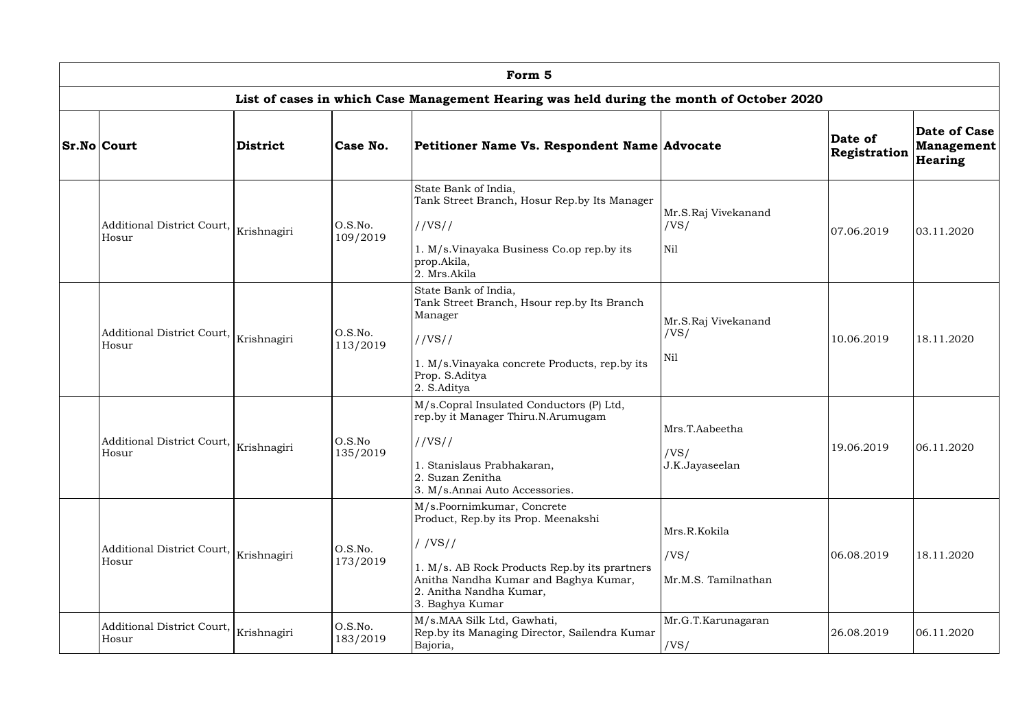| Form 5                                                        |                 |                     |                                                                                                                                                                                                                     |                                                |                         |                                              |  |  |  |  |
|---------------------------------------------------------------|-----------------|---------------------|---------------------------------------------------------------------------------------------------------------------------------------------------------------------------------------------------------------------|------------------------------------------------|-------------------------|----------------------------------------------|--|--|--|--|
|                                                               |                 |                     | List of cases in which Case Management Hearing was held during the month of October 2020                                                                                                                            |                                                |                         |                                              |  |  |  |  |
| <b>Sr.No Court</b>                                            | <b>District</b> | Case No.            | Petitioner Name Vs. Respondent Name Advocate                                                                                                                                                                        |                                                | Date of<br>Registration | Date of Case<br>Management<br><b>Hearing</b> |  |  |  |  |
| Additional District Court,<br>Hosur                           | Krishnagiri     | O.S.No.<br>109/2019 | State Bank of India,<br>Tank Street Branch, Hosur Rep.by Its Manager<br>//VS//<br>1. M/s.Vinayaka Business Co.op rep.by its<br>prop.Akila,<br>2. Mrs.Akila                                                          | Mr.S.Raj Vivekanand<br>/VS/<br>N <sub>il</sub> | 07.06.2019              | 03.11.2020                                   |  |  |  |  |
| Additional District Court, $\big _{\rm Krishnagiri}$<br>Hosur |                 | O.S.No.<br>113/2019 | State Bank of India,<br>Tank Street Branch, Hsour rep.by Its Branch<br>Manager<br>//VS//<br>1. M/s.Vinayaka concrete Products, rep.by its<br>Prop. S.Aditya<br>2. S.Aditya                                          | Mr.S.Raj Vivekanand<br>/VS/<br>Nil             | 10.06.2019              | 18.11.2020                                   |  |  |  |  |
| Additional District Court, Krishnagiri<br>Hosur               |                 | O.S.No<br>135/2019  | M/s.Copral Insulated Conductors (P) Ltd,<br>rep.by it Manager Thiru.N.Arumugam<br>//VS//<br>1. Stanislaus Prabhakaran,<br>2. Suzan Zenitha<br>3. M/s.Annai Auto Accessories.                                        | Mrs.T.Aabeetha<br>/VS/<br>J.K.Jayaseelan       | 19.06.2019              | 06.11.2020                                   |  |  |  |  |
| Additional District Court, $\big _{\rm Krishnagiri}$<br>Hosur |                 | O.S.No.<br>173/2019 | M/s.Poornimkumar, Concrete<br>Product, Rep.by its Prop. Meenakshi<br>//VS//<br>1. M/s. AB Rock Products Rep.by its prartners<br>Anitha Nandha Kumar and Baghya Kumar,<br>2. Anitha Nandha Kumar,<br>3. Baghya Kumar | Mrs.R.Kokila<br>/VS/<br>Mr.M.S. Tamilnathan    | 06.08.2019              | 18.11.2020                                   |  |  |  |  |
| Additional District Court,<br>Hosur                           | Krishnagiri     | O.S.No.<br>183/2019 | M/s.MAA Silk Ltd, Gawhati,<br>Rep.by its Managing Director, Sailendra Kumar<br>Bajoria,                                                                                                                             | Mr.G.T.Karunagaran<br>/VS/                     | 26.08.2019              | 06.11.2020                                   |  |  |  |  |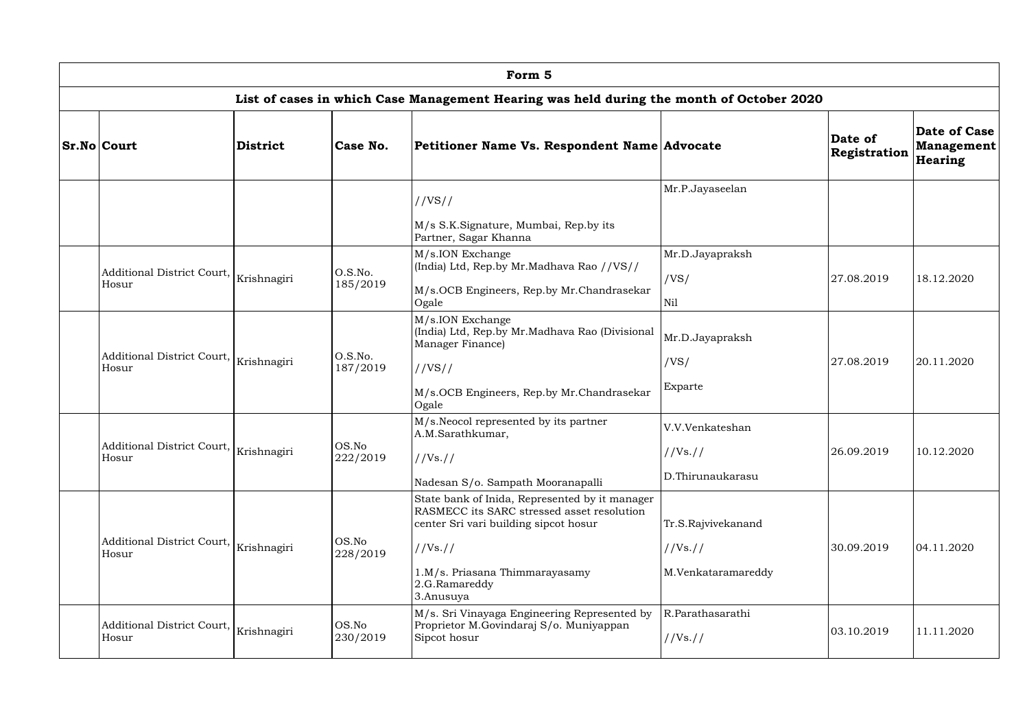| Form 5                                                        |          |                      |                                                                                                                                                                                                                   |                                                      |                         |                                              |  |  |  |  |
|---------------------------------------------------------------|----------|----------------------|-------------------------------------------------------------------------------------------------------------------------------------------------------------------------------------------------------------------|------------------------------------------------------|-------------------------|----------------------------------------------|--|--|--|--|
|                                                               |          |                      | List of cases in which Case Management Hearing was held during the month of October 2020                                                                                                                          |                                                      |                         |                                              |  |  |  |  |
| <b>Sr.No Court</b>                                            | District | Case No.             | Petitioner Name Vs. Respondent Name Advocate                                                                                                                                                                      |                                                      | Date of<br>Registration | Date of Case<br><b>Management</b><br>Hearing |  |  |  |  |
|                                                               |          |                      | //VS//                                                                                                                                                                                                            | Mr.P.Jayaseelan                                      |                         |                                              |  |  |  |  |
|                                                               |          |                      | M/s S.K.Signature, Mumbai, Rep.by its<br>Partner, Sagar Khanna                                                                                                                                                    |                                                      |                         |                                              |  |  |  |  |
| Additional District Court, $\big _{\rm Krishnagiri}$<br>Hosur |          | O.S.No.<br>185/2019  | M/s.ION Exchange<br>(India) Ltd, Rep.by Mr.Madhava Rao //VS//<br>M/s.OCB Engineers, Rep.by Mr.Chandrasekar<br>Ogale                                                                                               | Mr.D.Jayapraksh<br>/VS/<br>Nil                       | 27.08.2019              | 18.12.2020                                   |  |  |  |  |
| Additional District Court, $\big _{\rm Krishnagiri}$<br>Hosur |          | O.S.No.<br>187/2019  | M/s.ION Exchange<br>(India) Ltd, Rep.by Mr.Madhava Rao (Divisional<br>Manager Finance)<br>//VS//<br>M/s.OCB Engineers, Rep.by Mr.Chandrasekar<br>Ogale                                                            | Mr.D.Jayapraksh<br>/VS/<br>Exparte                   | 27.08.2019              | 20.11.2020                                   |  |  |  |  |
| Additional District Court, $\big _{\rm Krishnagiri}$<br>Hosur |          | $OS$ .No<br>222/2019 | M/s. Neocol represented by its partner<br>A.M.Sarathkumar,<br>//Vs. //<br>Nadesan S/o. Sampath Mooranapalli                                                                                                       | V.V.Venkateshan<br>//Vs://<br>D.Thirunaukarasu       | 26.09.2019              | 10.12.2020                                   |  |  |  |  |
| Additional District Court, $\big _{\rm Krishnagiri}$<br>Hosur |          | OS.No<br>228/2019    | State bank of Inida, Represented by it manager<br>RASMECC its SARC stressed asset resolution<br>center Sri vari building sipcot hosur<br>//Vs. //<br>1.M/s. Priasana Thimmarayasamy<br>2.G.Ramareddy<br>3.Anusuya | Tr.S.Rajvivekanand<br>//Vs. //<br>M.Venkataramareddy | 30.09.2019              | 04.11.2020                                   |  |  |  |  |
| Additional District Court, $\big _{\rm Krishnagiri}$<br>Hosur |          | OS.No<br>230/2019    | M/s. Sri Vinayaga Engineering Represented by<br>Proprietor M.Govindaraj S/o. Muniyappan<br>Sipcot hosur                                                                                                           | R.Parathasarathi<br>//Vs://                          | 03.10.2019              | 11.11.2020                                   |  |  |  |  |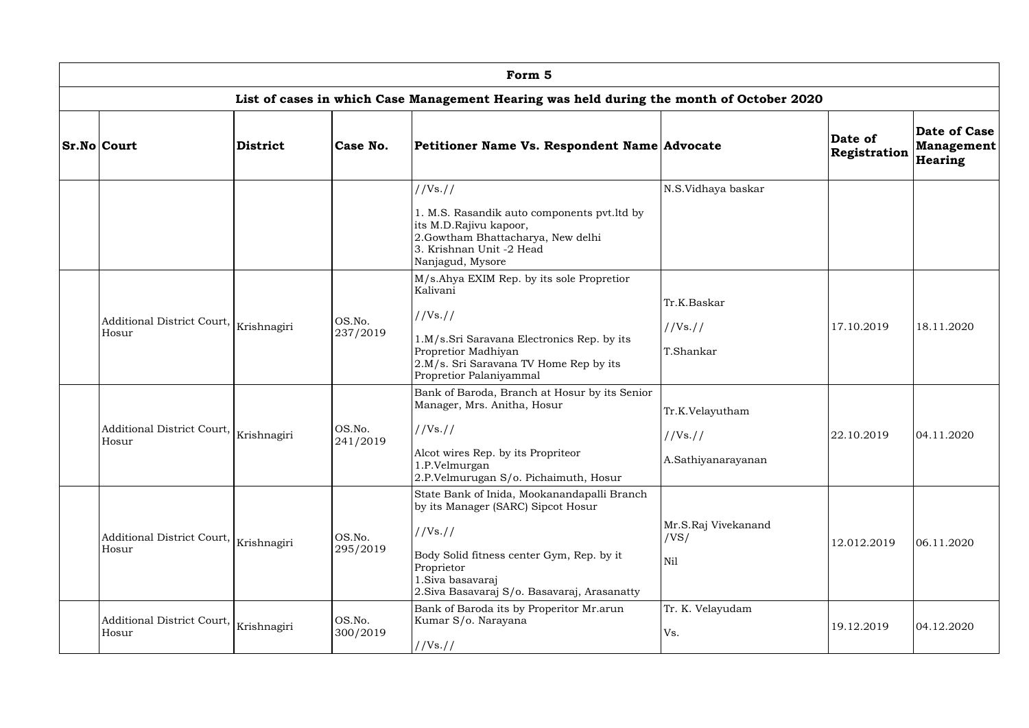| Form 5                                                        |             |                    |                                                                                                                                                                                                                               |                                                   |                         |                                              |  |  |  |  |
|---------------------------------------------------------------|-------------|--------------------|-------------------------------------------------------------------------------------------------------------------------------------------------------------------------------------------------------------------------------|---------------------------------------------------|-------------------------|----------------------------------------------|--|--|--|--|
|                                                               |             |                    | List of cases in which Case Management Hearing was held during the month of October 2020                                                                                                                                      |                                                   |                         |                                              |  |  |  |  |
| $Sr.No $ Court                                                | District    | Case No.           | Petitioner Name Vs. Respondent Name Advocate                                                                                                                                                                                  |                                                   | Date of<br>Registration | Date of Case<br><b>Management</b><br>Hearing |  |  |  |  |
|                                                               |             |                    | //Vs. //                                                                                                                                                                                                                      | N.S.Vidhaya baskar                                |                         |                                              |  |  |  |  |
|                                                               |             |                    | 1. M.S. Rasandik auto components pvt. ltd by<br>its M.D.Rajivu kapoor,<br>2.Gowtham Bhattacharya, New delhi<br>3. Krishnan Unit -2 Head<br>Nanjagud, Mysore                                                                   |                                                   |                         |                                              |  |  |  |  |
| Additional District Court,<br>Hosur                           | Krishnagiri | OS.No.<br>237/2019 | M/s.Ahya EXIM Rep. by its sole Propretior<br>Kalivani<br>//Vs://<br>1.M/s.Sri Saravana Electronics Rep. by its<br><b>Propretior Madhiyan</b><br>2.M/s. Sri Saravana TV Home Rep by its<br>Propretior Palaniyammal             | Tr.K.Baskar<br>//Vs://<br>T.Shankar               | 17.10.2019              | 18.11.2020                                   |  |  |  |  |
| Additional District Court,<br>Hosur                           | Krishnagiri | OS.No.<br>241/2019 | Bank of Baroda, Branch at Hosur by its Senior<br>Manager, Mrs. Anitha, Hosur<br>//Vs://<br>Alcot wires Rep. by its Propriteor<br>1.P.Velmurgan<br>2.P.Velmurugan S/o. Pichaimuth, Hosur                                       | Tr.K.Velayutham<br>//Vs. //<br>A.Sathiyanarayanan | 22.10.2019              | 04.11.2020                                   |  |  |  |  |
| Additional District Court, $\big _{\rm Krishnagiri}$<br>Hosur |             | OS.No.<br>295/2019 | State Bank of Inida, Mookanandapalli Branch<br>by its Manager (SARC) Sipcot Hosur<br>//Vs. //<br>Body Solid fitness center Gym, Rep. by it<br>Proprietor<br>1. Siva basavaraj<br>2. Siva Basavaraj S/o. Basavaraj, Arasanatty | Mr.S.Raj Vivekanand<br>/VS/<br>Nil                | 12.012.2019             | 06.11.2020                                   |  |  |  |  |
| Additional District Court, $\big _{\rm Krishnagiri}$<br>Hosur |             | OS.No.<br>300/2019 | Bank of Baroda its by Properitor Mr.arun<br>Kumar S/o. Narayana<br>//Vs://                                                                                                                                                    | Tr. K. Velayudam<br>Vs.                           | 19.12.2019              | 04.12.2020                                   |  |  |  |  |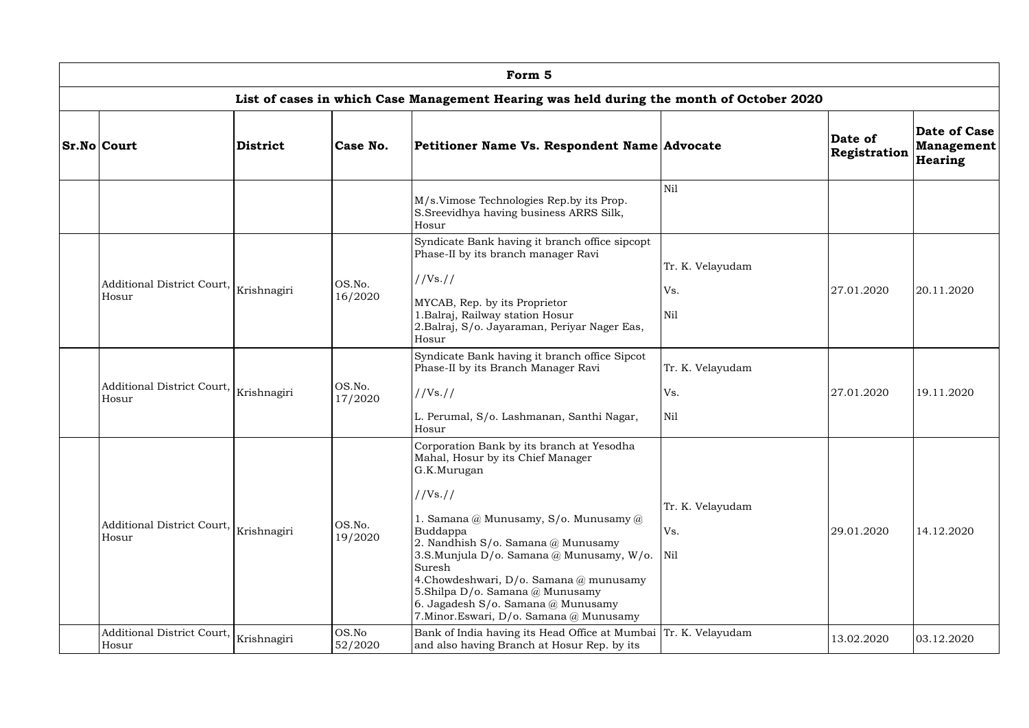| Form 5                                          |                 |                   |                                                                                                                                                                                                                                                                                                                                                                                                                                                          |                                       |                         |                                                     |  |  |  |  |
|-------------------------------------------------|-----------------|-------------------|----------------------------------------------------------------------------------------------------------------------------------------------------------------------------------------------------------------------------------------------------------------------------------------------------------------------------------------------------------------------------------------------------------------------------------------------------------|---------------------------------------|-------------------------|-----------------------------------------------------|--|--|--|--|
|                                                 |                 |                   | List of cases in which Case Management Hearing was held during the month of October 2020                                                                                                                                                                                                                                                                                                                                                                 |                                       |                         |                                                     |  |  |  |  |
| <b>Sr.No Court</b>                              | <b>District</b> | Case No.          | Petitioner Name Vs. Respondent Name Advocate                                                                                                                                                                                                                                                                                                                                                                                                             |                                       | Date of<br>Registration | Date of Case<br><b>Management</b><br><b>Hearing</b> |  |  |  |  |
|                                                 |                 |                   | M/s.Vimose Technologies Rep.by its Prop.<br>S. Sreevidhya having business ARRS Silk,<br>Hosur                                                                                                                                                                                                                                                                                                                                                            | Nil                                   |                         |                                                     |  |  |  |  |
| Additional District Court, Krishnagiri<br>Hosur |                 | OS.No.<br>16/2020 | Syndicate Bank having it branch office sipcopt<br>Phase-II by its branch manager Ravi<br>$1/Vs.$ //<br>MYCAB, Rep. by its Proprietor<br>1. Balraj, Railway station Hosur<br>2.Balraj, S/o. Jayaraman, Periyar Nager Eas,<br>Hosur                                                                                                                                                                                                                        | Tr. K. Velayudam<br>Vs.<br>Nil        | 27.01.2020              | 20.11.2020                                          |  |  |  |  |
| Additional District Court, Krishnagiri<br>Hosur |                 | OS.No.<br>17/2020 | Syndicate Bank having it branch office Sipcot<br>Phase-II by its Branch Manager Ravi<br>$1/Vs.$ //<br>L. Perumal, S/o. Lashmanan, Santhi Nagar,<br>Hosur                                                                                                                                                                                                                                                                                                 | Tr. K. Velayudam<br>Vs.<br><b>Nil</b> | 27.01.2020              | 19.11.2020                                          |  |  |  |  |
| Additional District Court,  <br>Hosur           | Krishnagiri     | OS.No.<br>19/2020 | Corporation Bank by its branch at Yesodha<br>Mahal, Hosur by its Chief Manager<br>G.K.Murugan<br>//Vs. //<br>1. Samana $@$ Munusamy, S/o. Munusamy $@$<br>Buddappa<br>2. Nandhish $S/O$ . Samana $@$ Munusamy<br>3.S.Munjula D/o. Samana @ Munusamy, W/o.<br>Suresh<br>4.Chowdeshwari, $D/\sigma$ . Samana $@$ munusamy<br>5.Shilpa D/o. Samana $@$ Munusamy<br>6. Jagadesh $S/\text{o}$ . Samana @ Munusamy<br>7. Minor. Eswari, D/o. Samana @ Munusamy | Tr. K. Velayudam<br>Vs.<br>Nil        | 29.01.2020              | 14.12.2020                                          |  |  |  |  |
| Additional District Court, Krishnagiri<br>Hosur |                 | OS.No<br>52/2020  | Bank of India having its Head Office at Mumbai   Tr. K. Velayudam<br>and also having Branch at Hosur Rep. by its                                                                                                                                                                                                                                                                                                                                         |                                       | 13.02.2020              | 03.12.2020                                          |  |  |  |  |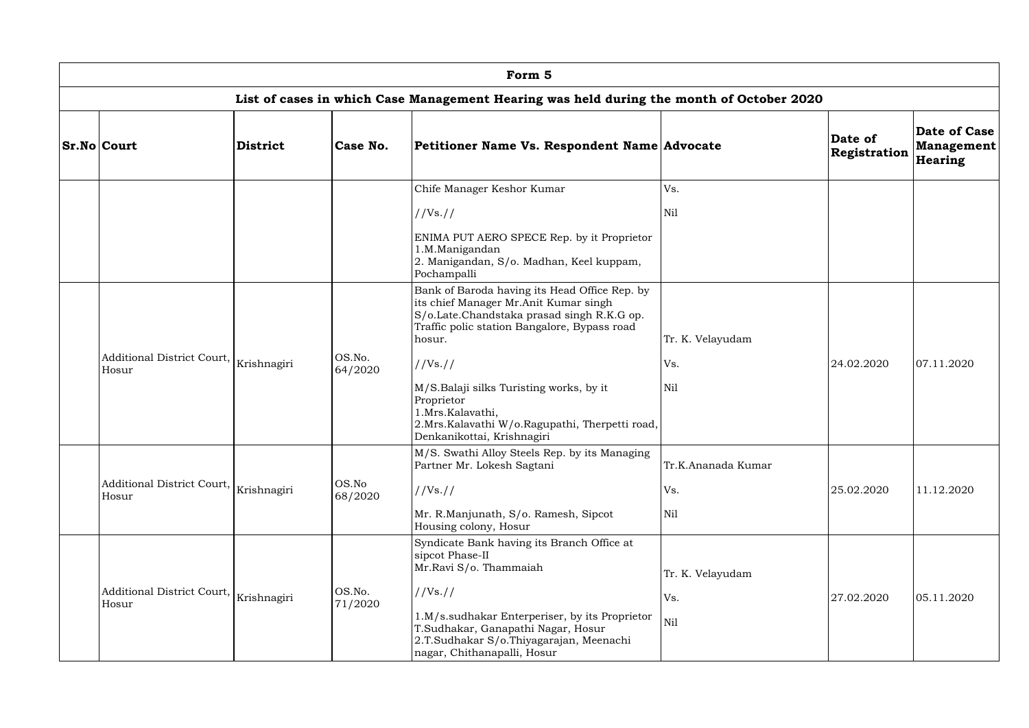| Form 5                                                        |                 |                   |                                                                                                                                                                                                |                    |                         |                                              |  |  |  |  |
|---------------------------------------------------------------|-----------------|-------------------|------------------------------------------------------------------------------------------------------------------------------------------------------------------------------------------------|--------------------|-------------------------|----------------------------------------------|--|--|--|--|
|                                                               |                 |                   | List of cases in which Case Management Hearing was held during the month of October 2020                                                                                                       |                    |                         |                                              |  |  |  |  |
| <b>Sr.No Court</b>                                            | <b>District</b> | Case No.          | Petitioner Name Vs. Respondent Name Advocate                                                                                                                                                   |                    | Date of<br>Registration | Date of Case<br><b>Management</b><br>Hearing |  |  |  |  |
|                                                               |                 |                   | Chife Manager Keshor Kumar                                                                                                                                                                     | Vs.                |                         |                                              |  |  |  |  |
|                                                               |                 |                   | //Vs. //                                                                                                                                                                                       | Nil                |                         |                                              |  |  |  |  |
|                                                               |                 |                   | ENIMA PUT AERO SPECE Rep. by it Proprietor<br>1.M.Manigandan<br>2. Manigandan, S/o. Madhan, Keel kuppam,<br>Pochampalli                                                                        |                    |                         |                                              |  |  |  |  |
|                                                               |                 |                   | Bank of Baroda having its Head Office Rep. by<br>its chief Manager Mr.Anit Kumar singh<br>S/o.Late.Chandstaka prasad singh R.K.G op.<br>Traffic polic station Bangalore, Bypass road<br>hosur. | Tr. K. Velayudam   |                         |                                              |  |  |  |  |
| Additional District Court, $\big _{\rm Krishnagiri}$<br>Hosur |                 | OS.No.<br>64/2020 | $1/Vs.$ //                                                                                                                                                                                     | Vs.                | 24.02.2020              | 07.11.2020                                   |  |  |  |  |
|                                                               |                 |                   | M/S.Balaji silks Turisting works, by it<br>Proprietor<br>1.Mrs.Kalavathi,<br>2. Mrs. Kalavathi W/o. Ragupathi, Therpetti road,<br>Denkanikottai, Krishnagiri                                   | Nil                |                         |                                              |  |  |  |  |
|                                                               |                 |                   | M/S. Swathi Alloy Steels Rep. by its Managing<br>Partner Mr. Lokesh Sagtani                                                                                                                    | Tr.K.Ananada Kumar |                         |                                              |  |  |  |  |
| Additional District Court, $\big _{\rm Krishnagiri}$<br>Hosur |                 | OS.No<br>68/2020  | //Vs. //                                                                                                                                                                                       | Vs.                | 25.02.2020              | 11.12.2020                                   |  |  |  |  |
|                                                               |                 |                   | Mr. R.Manjunath, S/o. Ramesh, Sipcot<br>Housing colony, Hosur                                                                                                                                  | Nil                |                         |                                              |  |  |  |  |
|                                                               |                 |                   | Syndicate Bank having its Branch Office at<br>sipcot Phase-II<br>Mr.Ravi S/o. Thammaiah                                                                                                        | Tr. K. Velayudam   |                         |                                              |  |  |  |  |
| Additional District Court, $\big _{\rm Krishnagiri}$<br>Hosur |                 | OS.No.<br>71/2020 | //Vs://                                                                                                                                                                                        | Vs.                | 27.02.2020              | 05.11.2020                                   |  |  |  |  |
|                                                               |                 |                   | 1.M/s.sudhakar Enterperiser, by its Proprietor<br>T.Sudhakar, Ganapathi Nagar, Hosur<br>2.T.Sudhakar S/o.Thiyagarajan, Meenachi<br>nagar, Chithanapalli, Hosur                                 | Nil                |                         |                                              |  |  |  |  |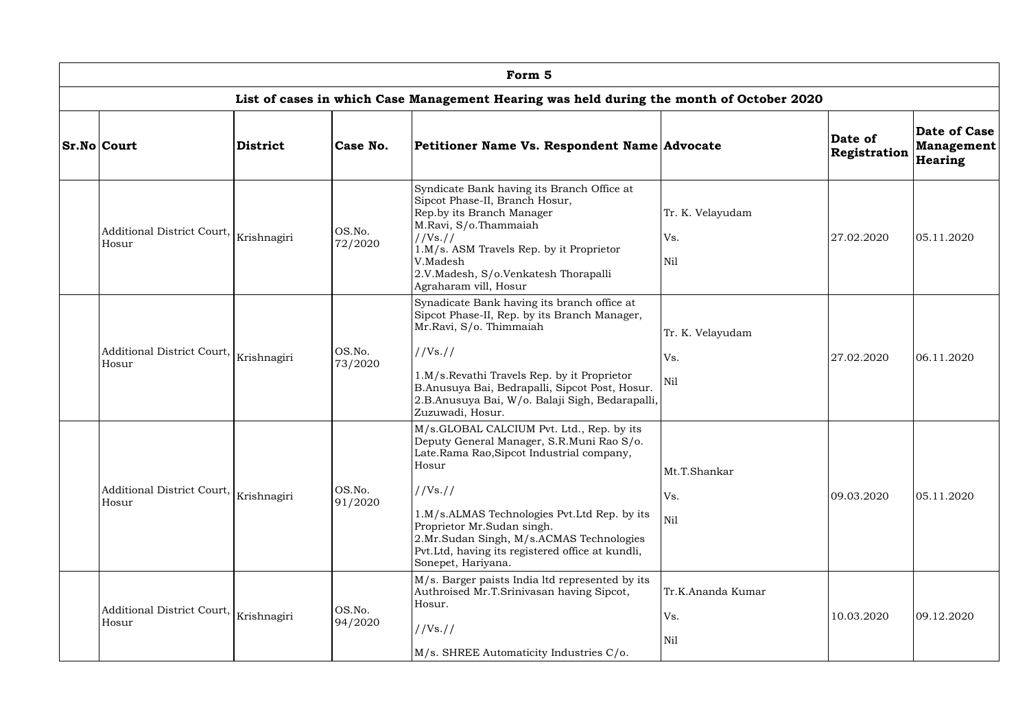| Form 5                                          |                 |                   |                                                                                                                                                                                                                                                                                                                                                             |                                 |                         |                                       |  |  |  |  |
|-------------------------------------------------|-----------------|-------------------|-------------------------------------------------------------------------------------------------------------------------------------------------------------------------------------------------------------------------------------------------------------------------------------------------------------------------------------------------------------|---------------------------------|-------------------------|---------------------------------------|--|--|--|--|
|                                                 |                 |                   | List of cases in which Case Management Hearing was held during the month of October 2020                                                                                                                                                                                                                                                                    |                                 |                         |                                       |  |  |  |  |
| <b>Sr.No Court</b>                              | <b>District</b> | Case No.          | Petitioner Name Vs. Respondent Name Advocate                                                                                                                                                                                                                                                                                                                |                                 | Date of<br>Registration | Date of Case<br>Management<br>Hearing |  |  |  |  |
| Additional District Court, Krishnagiri<br>Hosur |                 | OS.No.<br>72/2020 | Syndicate Bank having its Branch Office at<br>Sipcot Phase-II, Branch Hosur,<br>Rep.by its Branch Manager<br>M.Ravi, S/o.Thammaiah<br>//Vs. //<br>1.M/s. ASM Travels Rep. by it Proprietor<br>V.Madesh<br>2.V.Madesh, S/o.Venkatesh Thorapalli<br>Agraharam vill, Hosur                                                                                     | Tr. K. Velayudam<br>Vs.<br>Nil  | 27.02.2020              | 05.11.2020                            |  |  |  |  |
| Additional District Court,<br>Hosur             | Krishnagiri     | OS.No.<br>73/2020 | Synadicate Bank having its branch office at<br>Sipcot Phase-II, Rep. by its Branch Manager,<br>Mr.Ravi, S/o. Thimmaiah<br>//Vs. //<br>1.M/s.Revathi Travels Rep. by it Proprietor<br>B.Anusuya Bai, Bedrapalli, Sipcot Post, Hosur.<br>2.B.Anusuya Bai, W/o. Balaji Sigh, Bedarapalli,<br>Zuzuwadi, Hosur.                                                  | Tr. K. Velayudam<br>Vs.<br>Nil  | 27.02.2020              | 06.11.2020                            |  |  |  |  |
| Additional District Court,<br>Hosur             | Krishnagiri     | OS.No.<br>91/2020 | M/s.GLOBAL CALCIUM Pvt. Ltd., Rep. by its<br>Deputy General Manager, S.R.Muni Rao S/o.<br>Late.Rama Rao,Sipcot Industrial company,<br>Hosur<br>//Vs. //<br>1.M/s.ALMAS Technologies Pvt.Ltd Rep. by its<br>Proprietor Mr.Sudan singh.<br>2.Mr.Sudan Singh, M/s.ACMAS Technologies<br>Pvt.Ltd, having its registered office at kundli,<br>Sonepet, Hariyana. | Mt.T.Shankar<br>Vs.<br>Nil      | 09.03.2020              | 05.11.2020                            |  |  |  |  |
| Additional District Court, Krishnagiri<br>Hosur |                 | OS.No.<br>94/2020 | M/s. Barger paists India ltd represented by its<br>Authroised Mr.T.Srinivasan having Sipcot,<br>Hosur.<br>//Vs. //<br>M/s. SHREE Automaticity Industries C/o.                                                                                                                                                                                               | Tr.K.Ananda Kumar<br>Vs.<br>Nil | 10.03.2020              | 09.12.2020                            |  |  |  |  |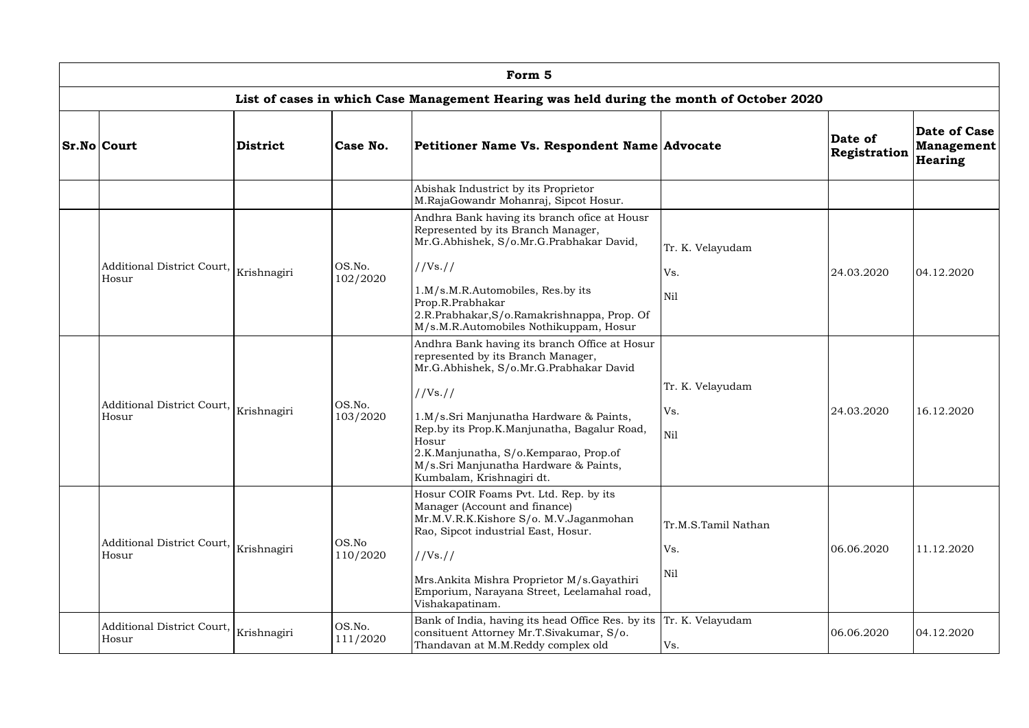| Form 5                                                                                   |                    |                    |                                                                                                                                                                                                                |                         |                         |                                              |  |  |  |  |
|------------------------------------------------------------------------------------------|--------------------|--------------------|----------------------------------------------------------------------------------------------------------------------------------------------------------------------------------------------------------------|-------------------------|-------------------------|----------------------------------------------|--|--|--|--|
| List of cases in which Case Management Hearing was held during the month of October 2020 |                    |                    |                                                                                                                                                                                                                |                         |                         |                                              |  |  |  |  |
| <b>Sr.No Court</b>                                                                       | <b>District</b>    | Case No.           | Petitioner Name Vs. Respondent Name Advocate                                                                                                                                                                   |                         | Date of<br>Registration | Date of Case<br><b>Management</b><br>Hearing |  |  |  |  |
|                                                                                          |                    |                    | Abishak Industrict by its Proprietor<br>M.RajaGowandr Mohanraj, Sipcot Hosur.                                                                                                                                  |                         |                         |                                              |  |  |  |  |
|                                                                                          |                    |                    | Andhra Bank having its branch ofice at Housr<br>Represented by its Branch Manager,<br>Mr.G.Abhishek, S/o.Mr.G.Prabhakar David,                                                                                 | Tr. K. Velayudam        |                         |                                              |  |  |  |  |
| Additional District Court, Krishnagiri<br>Hosur                                          |                    | OS.No.<br>102/2020 | //Vs. //                                                                                                                                                                                                       | Vs.                     | 24.03.2020              | 04.12.2020                                   |  |  |  |  |
|                                                                                          |                    |                    | 1.M/s.M.R.Automobiles, Res.by its<br>Prop.R.Prabhakar<br>2.R.Prabhakar, S/o.Ramakrishnappa, Prop. Of<br>M/s.M.R.Automobiles Nothikuppam, Hosur                                                                 | Nil                     |                         |                                              |  |  |  |  |
|                                                                                          |                    |                    | Andhra Bank having its branch Office at Hosur<br>represented by its Branch Manager,<br>Mr.G.Abhishek, S/o.Mr.G.Prabhakar David                                                                                 |                         |                         |                                              |  |  |  |  |
| Additional District Court, $\big _{\rm Krishnagiri}$                                     | OS.No.<br>103/2020 |                    | $1/Vs.$ //                                                                                                                                                                                                     | Tr. K. Velayudam<br>Vs. | 24.03.2020              | 16.12.2020                                   |  |  |  |  |
| Hosur                                                                                    |                    |                    | 1.M/s.Sri Manjunatha Hardware & Paints,<br>Rep.by its Prop.K.Manjunatha, Bagalur Road,<br>Hosur<br>2.K.Manjunatha, S/o.Kemparao, Prop.of<br>M/s.Sri Manjunatha Hardware & Paints,<br>Kumbalam, Krishnagiri dt. | Nil                     |                         |                                              |  |  |  |  |
| Additional District Court, $\big _{\rm Krishnagiri}$                                     |                    | OS.No              | Hosur COIR Foams Pvt. Ltd. Rep. by its<br>Manager (Account and finance)<br>Mr.M.V.R.K.Kishore S/o. M.V.Jaganmohan<br>Rao, Sipcot industrial East, Hosur.                                                       | Tr.M.S.Tamil Nathan     |                         |                                              |  |  |  |  |
| Hosur                                                                                    |                    | 110/2020           | //Vs://                                                                                                                                                                                                        | Vs.                     | 06.06.2020              | 11.12.2020                                   |  |  |  |  |
|                                                                                          |                    |                    | Mrs.Ankita Mishra Proprietor M/s.Gayathiri<br>Emporium, Narayana Street, Leelamahal road,<br>Vishakapatinam.                                                                                                   | Nil                     |                         |                                              |  |  |  |  |
| Additional District Court,<br>Hosur                                                      | Krishnagiri        | OS.No.<br>111/2020 | Bank of India, having its head Office Res. by its<br>consituent Attorney Mr.T.Sivakumar, S/o.<br>Thandavan at M.M.Reddy complex old                                                                            | Tr. K. Velayudam<br>Vs. | 06.06.2020              | 04.12.2020                                   |  |  |  |  |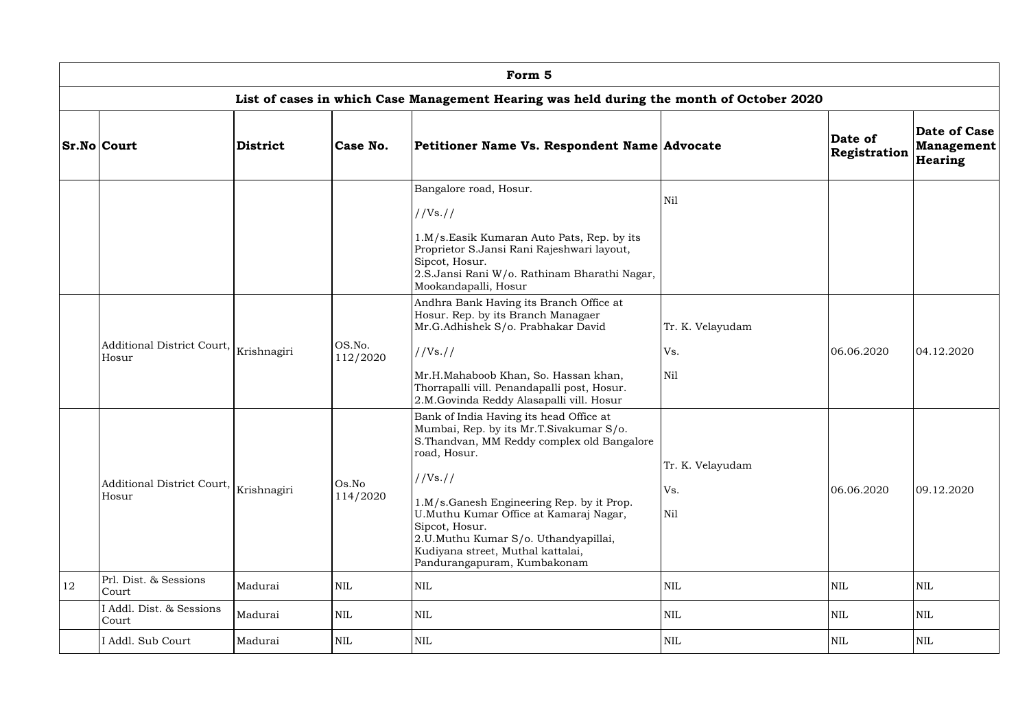|    | Form 5                                                        |                 |                    |                                                                                                                                                                                                                                                                                                                                                                                   |                                |                         |                                              |  |  |  |  |  |
|----|---------------------------------------------------------------|-----------------|--------------------|-----------------------------------------------------------------------------------------------------------------------------------------------------------------------------------------------------------------------------------------------------------------------------------------------------------------------------------------------------------------------------------|--------------------------------|-------------------------|----------------------------------------------|--|--|--|--|--|
|    |                                                               |                 |                    | List of cases in which Case Management Hearing was held during the month of October 2020                                                                                                                                                                                                                                                                                          |                                |                         |                                              |  |  |  |  |  |
|    | <b>Sr.No Court</b>                                            | <b>District</b> | Case No.           | Petitioner Name Vs. Respondent Name Advocate                                                                                                                                                                                                                                                                                                                                      |                                | Date of<br>Registration | Date of Case<br>Management<br><b>Hearing</b> |  |  |  |  |  |
|    |                                                               |                 |                    | Bangalore road, Hosur.<br>//Vs. //<br>1.M/s.Easik Kumaran Auto Pats, Rep. by its<br>Proprietor S.Jansi Rani Rajeshwari layout,<br>Sipcot, Hosur.<br>2.S.Jansi Rani W/o. Rathinam Bharathi Nagar,<br>Mookandapalli, Hosur                                                                                                                                                          | Nil                            |                         |                                              |  |  |  |  |  |
|    | Additional District Court, Krishnagiri<br>Hosur               |                 | OS.No.<br>112/2020 | Andhra Bank Having its Branch Office at<br>Hosur. Rep. by its Branch Managaer<br>Mr.G.Adhishek S/o. Prabhakar David<br>//Vs. //<br>Mr.H.Mahaboob Khan, So. Hassan khan,<br>Thorrapalli vill. Penandapalli post, Hosur.<br>2.M.Govinda Reddy Alasapalli vill. Hosur                                                                                                                | Tr. K. Velayudam<br>Vs.<br>Nil | 06.06.2020              | 04.12.2020                                   |  |  |  |  |  |
|    | Additional District Court, $\big _{\rm Krishnagiri}$<br>Hosur |                 | Os.No<br>114/2020  | Bank of India Having its head Office at<br>Mumbai, Rep. by its Mr.T.Sivakumar S/o.<br>S.Thandvan, MM Reddy complex old Bangalore<br>road, Hosur.<br>//Vs. //<br>1.M/s.Ganesh Engineering Rep. by it Prop.<br>U.Muthu Kumar Office at Kamaraj Nagar,<br>Sipcot, Hosur.<br>2.U.Muthu Kumar S/o. Uthandyapillai,<br>Kudiyana street, Muthal kattalai,<br>Pandurangapuram, Kumbakonam | Tr. K. Velayudam<br>Vs.<br>Nil | 06.06.2020              | 09.12.2020                                   |  |  |  |  |  |
| 12 | Prl. Dist. & Sessions<br>Court                                | Madurai         | $\mbox{NIL}$       | <b>NIL</b>                                                                                                                                                                                                                                                                                                                                                                        | NIL                            | $\mbox{NIL}$            | NIL                                          |  |  |  |  |  |
|    | I Addl. Dist. & Sessions<br>Court                             | Madurai         | $\mbox{NIL}$       | <b>NIL</b>                                                                                                                                                                                                                                                                                                                                                                        | NIL                            | <b>NIL</b>              | NIL                                          |  |  |  |  |  |
|    | I Addl. Sub Court                                             | Madurai         | <b>NIL</b>         | <b>NIL</b>                                                                                                                                                                                                                                                                                                                                                                        | NIL                            | <b>NIL</b>              | <b>NIL</b>                                   |  |  |  |  |  |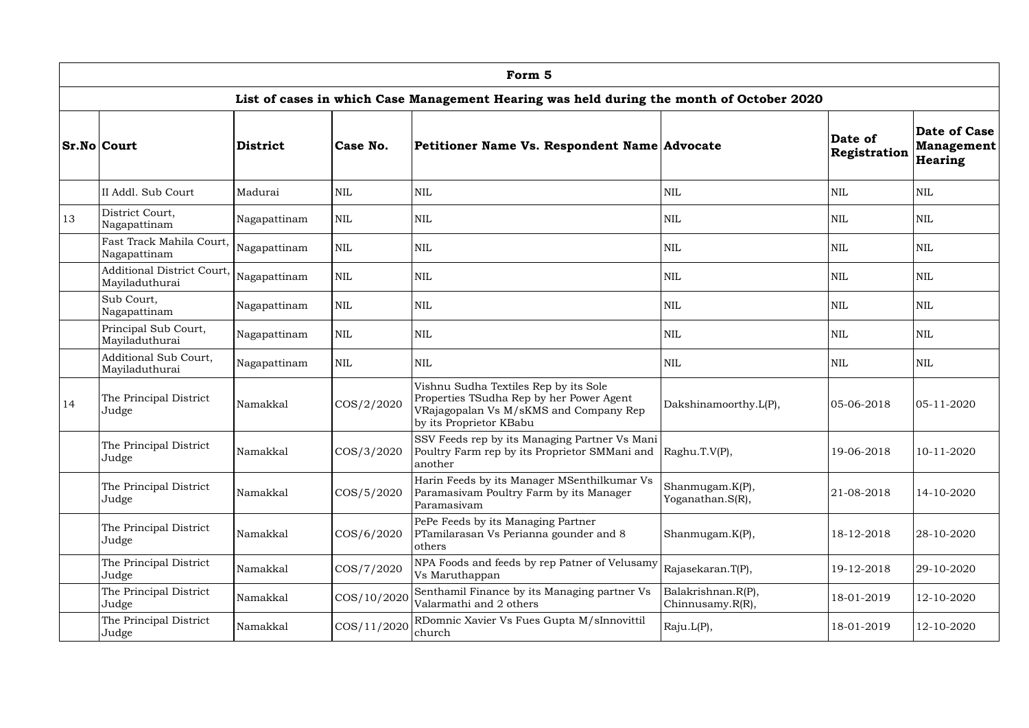|               | Form 5                                                                 |                                                                                                                                 |               |                                                                                                                                                        |                                        |                         |                                       |  |  |  |  |  |
|---------------|------------------------------------------------------------------------|---------------------------------------------------------------------------------------------------------------------------------|---------------|--------------------------------------------------------------------------------------------------------------------------------------------------------|----------------------------------------|-------------------------|---------------------------------------|--|--|--|--|--|
|               |                                                                        |                                                                                                                                 |               | List of cases in which Case Management Hearing was held during the month of October 2020                                                               |                                        |                         |                                       |  |  |  |  |  |
|               | <b>Sr.No Court</b>                                                     | <b>District</b>                                                                                                                 | Case No.      | Petitioner Name Vs. Respondent Name Advocate                                                                                                           |                                        | Date of<br>Registration | Date of Case<br>Management<br>Hearing |  |  |  |  |  |
|               | II Addl. Sub Court                                                     | Madurai                                                                                                                         | <b>NIL</b>    | <b>NIL</b>                                                                                                                                             | <b>NIL</b>                             | <b>NIL</b>              | NIL                                   |  |  |  |  |  |
| 13            | District Court,<br>Nagapattinam                                        | Nagapattinam                                                                                                                    | <b>NIL</b>    | $\mbox{NIL}$                                                                                                                                           | <b>NIL</b>                             | <b>NIL</b>              | <b>NIL</b>                            |  |  |  |  |  |
|               | Fast Track Mahila Court,<br>Nagapattinam                               | Nagapattinam<br><b>NIL</b><br><b>NIL</b>                                                                                        |               | <b>NIL</b>                                                                                                                                             | <b>NIL</b>                             | <b>NIL</b>              |                                       |  |  |  |  |  |
|               | <b>Additional District Court,</b><br>Mayiladuthurai                    | Nagapattinam                                                                                                                    | <b>NIL</b>    | <b>NIL</b>                                                                                                                                             | <b>NIL</b>                             | <b>NIL</b>              | NIL                                   |  |  |  |  |  |
|               | Sub Court,<br><b>NIL</b><br><b>NIL</b><br>Nagapattinam<br>Nagapattinam |                                                                                                                                 |               | <b>NIL</b>                                                                                                                                             | <b>NIL</b>                             | NIL                     |                                       |  |  |  |  |  |
|               | Principal Sub Court,<br>Mayiladuthurai                                 | Nagapattinam                                                                                                                    | <b>NIL</b>    | <b>NIL</b>                                                                                                                                             | <b>NIL</b>                             | <b>NIL</b>              | NIL                                   |  |  |  |  |  |
|               | <b>Additional Sub Court,</b><br>Mayiladuthurai                         | Nagapattinam                                                                                                                    | <b>NIL</b>    | <b>NIL</b>                                                                                                                                             | <b>NIL</b>                             | <b>NIL</b>              | <b>NIL</b>                            |  |  |  |  |  |
| <sup>14</sup> | The Principal District<br>Judge                                        | Namakkal                                                                                                                        | $\cos/2/2020$ | Vishnu Sudha Textiles Rep by its Sole<br>Properties TSudha Rep by her Power Agent<br>VRajagopalan Vs M/sKMS and Company Rep<br>by its Proprietor KBabu | Dakshinamoorthy.L(P),                  | $ 05 - 06 - 2018$       | $ 05 - 11 - 2020$                     |  |  |  |  |  |
|               | The Principal District<br>Judge                                        | Namakkal                                                                                                                        | COS/3/2020    | SSV Feeds rep by its Managing Partner Vs Mani<br>Poultry Farm rep by its Proprietor SMMani and Raghu.T.V(P),<br>another                                |                                        | 19-06-2018              | 10-11-2020                            |  |  |  |  |  |
|               | The Principal District<br>Judge                                        | Harin Feeds by its Manager MSenthilkumar Vs<br>Namakkal<br>Paramasivam Poultry Farm by its Manager<br>COS/5/2020<br>Paramasivam |               | Shanmugam.K(P),<br>Yoganathan.S(R),                                                                                                                    | 21-08-2018                             | 14-10-2020              |                                       |  |  |  |  |  |
|               | The Principal District<br>Judge                                        | Namakkal                                                                                                                        | COS/6/2020    | PePe Feeds by its Managing Partner<br>PTamilarasan Vs Perianna gounder and 8<br>others                                                                 | Shanmugam.K(P),                        | 18-12-2018              | 28-10-2020                            |  |  |  |  |  |
|               | The Principal District<br>Judge                                        | Namakkal                                                                                                                        | COS/7/2020    | NPA Foods and feeds by rep Patner of Velusamy<br>Vs Maruthappan                                                                                        | Rajasekaran.T(P),                      | 19-12-2018              | 29-10-2020                            |  |  |  |  |  |
|               | The Principal District<br>Judge                                        | Namakkal                                                                                                                        | COS/10/2020   | Senthamil Finance by its Managing partner Vs<br>Valarmathi and 2 others                                                                                | Balakrishnan.R(P),<br>Chinnusamy.R(R), | 18-01-2019              | 12-10-2020                            |  |  |  |  |  |
|               | The Principal District<br>Judge                                        | Namakkal                                                                                                                        | COS/11/2020   | RDomnic Xavier Vs Fues Gupta M/sInnovittil<br>church                                                                                                   | Raju.L(P),                             | 18-01-2019              | 12-10-2020                            |  |  |  |  |  |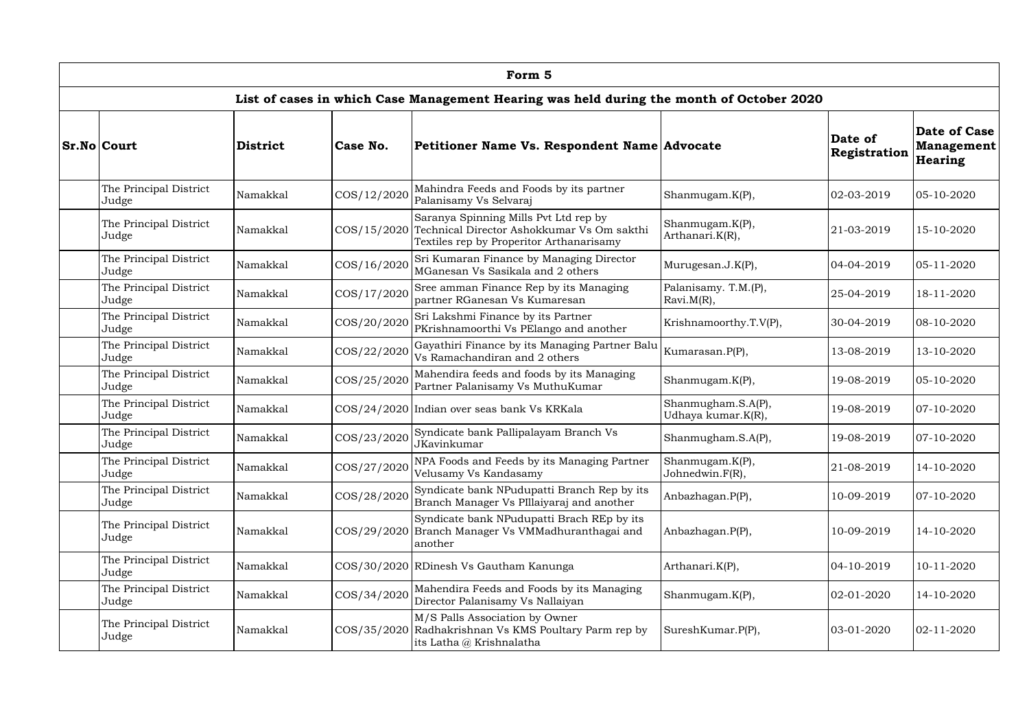| Form 5                                                     |                 |             |                                                                                                                                 |                                          |                                |                                              |  |  |  |  |  |  |
|------------------------------------------------------------|-----------------|-------------|---------------------------------------------------------------------------------------------------------------------------------|------------------------------------------|--------------------------------|----------------------------------------------|--|--|--|--|--|--|
|                                                            |                 |             | List of cases in which Case Management Hearing was held during the month of October 2020                                        |                                          |                                |                                              |  |  |  |  |  |  |
| <b>Sr.No Court</b>                                         | <b>District</b> | Case No.    | Petitioner Name Vs. Respondent Name Advocate                                                                                    |                                          | Date of<br><b>Registration</b> | Date of Case<br>Management<br><b>Hearing</b> |  |  |  |  |  |  |
| The Principal District<br>Judge                            | Namakkal        | COS/12/2020 | Mahindra Feeds and Foods by its partner<br>Palanisamy Vs Selvaraj                                                               | Shanmugam.K(P),                          | 02-03-2019                     | $ 05 - 10 - 2020 $                           |  |  |  |  |  |  |
| The Principal District<br>Judge                            | Namakkal        | COS/15/2020 | Saranya Spinning Mills Pvt Ltd rep by<br>Technical Director Ashokkumar Vs Om sakthi<br>Textiles rep by Properitor Arthanarisamy | Shanmugam.K(P),<br>Arthanari.K(R),       | 21-03-2019                     | 15-10-2020                                   |  |  |  |  |  |  |
| The Principal District<br>Judge                            | Namakkal        | COS/16/2020 | Sri Kumaran Finance by Managing Director<br>MGanesan Vs Sasikala and 2 others                                                   | Murugesan.J. $K(P)$ ,                    | 04-04-2019                     | $05 - 11 - 2020$                             |  |  |  |  |  |  |
| The Principal District<br>COS/17/2020<br>Namakkal<br>Judge |                 |             | Sree amman Finance Rep by its Managing<br>partner RGanesan Vs Kumaresan                                                         | Palanisamy. T.M.(P),<br>$Rxvi.M(R)$ ,    | 25-04-2019                     | 18-11-2020                                   |  |  |  |  |  |  |
| The Principal District<br>Namakkal<br>Judge                |                 | COS/20/2020 | Sri Lakshmi Finance by its Partner<br>PKrishnamoorthi Vs PElango and another                                                    | Krishnamoorthy.T.V(P),                   | 30-04-2019                     | 08-10-2020                                   |  |  |  |  |  |  |
| The Principal District<br>Judge                            | Namakkal        | COS/22/2020 | Gayathiri Finance by its Managing Partner Balu<br>Vs Ramachandiran and 2 others                                                 | Kumarasan.P(P),                          | 13-08-2019                     | 13-10-2020                                   |  |  |  |  |  |  |
| The Principal District<br>Judge                            | Namakkal        | COS/25/2020 | Mahendira feeds and foods by its Managing<br>Partner Palanisamy Vs MuthuKumar                                                   | Shanmugam.K(P),                          | 19-08-2019                     | $05 - 10 - 2020$                             |  |  |  |  |  |  |
| The Principal District<br>Judge                            | Namakkal        |             | COS/24/2020 Indian over seas bank Vs KRKala                                                                                     | Shanmugham.S.A(P),<br>Udhaya kumar.K(R), | 19-08-2019<br>19-08-2019       | $07 - 10 - 2020$                             |  |  |  |  |  |  |
| The Principal District<br>Judge                            | Namakkal        | COS/23/2020 | Syndicate bank Pallipalayam Branch Vs<br>JKavinkumar                                                                            | Shanmugham.S.A(P),                       |                                | $07 - 10 - 2020$                             |  |  |  |  |  |  |
| The Principal District<br>Judge                            | Namakkal        | COS/27/2020 | NPA Foods and Feeds by its Managing Partner<br>Velusamy Vs Kandasamy                                                            | Shanmugam.K(P),<br>Johnedwin.F(R),       | 21-08-2019                     | 14-10-2020                                   |  |  |  |  |  |  |
| The Principal District<br>Judge                            | Namakkal        | COS/28/2020 | Syndicate bank NPudupatti Branch Rep by its<br>Branch Manager Vs PIllaiyaraj and another                                        | Anbazhagan.P(P),                         | 10-09-2019                     | $07 - 10 - 2020$                             |  |  |  |  |  |  |
| The Principal District<br>Judge                            | Namakkal        |             | Syndicate bank NPudupatti Brach REp by its<br>COS/29/2020 Branch Manager Vs VMMadhuranthagai and<br>another                     | Anbazhagan.P(P),                         | 10-09-2019                     | 14-10-2020                                   |  |  |  |  |  |  |
| The Principal District<br>Judge                            | Namakkal        |             | COS/30/2020 RDinesh Vs Gautham Kanunga                                                                                          | Arthanari.K(P),                          | $04-10-2019$                   | 10-11-2020                                   |  |  |  |  |  |  |
| The Principal District<br>Judge                            | Namakkal        | COS/34/2020 | Mahendira Feeds and Foods by its Managing<br>Director Palanisamy Vs Nallaiyan                                                   | Shanmugam.K(P),                          | 02-01-2020                     | 14-10-2020                                   |  |  |  |  |  |  |
| The Principal District<br>Namakkal<br>Judge                |                 |             | M/S Palls Association by Owner<br>COS/35/2020 Radhakrishnan Vs KMS Poultary Parm rep by<br>its Latha @ Krishnalatha             | SureshKumar.P(P),                        | $ 03-01-2020$                  | $02 - 11 - 2020$                             |  |  |  |  |  |  |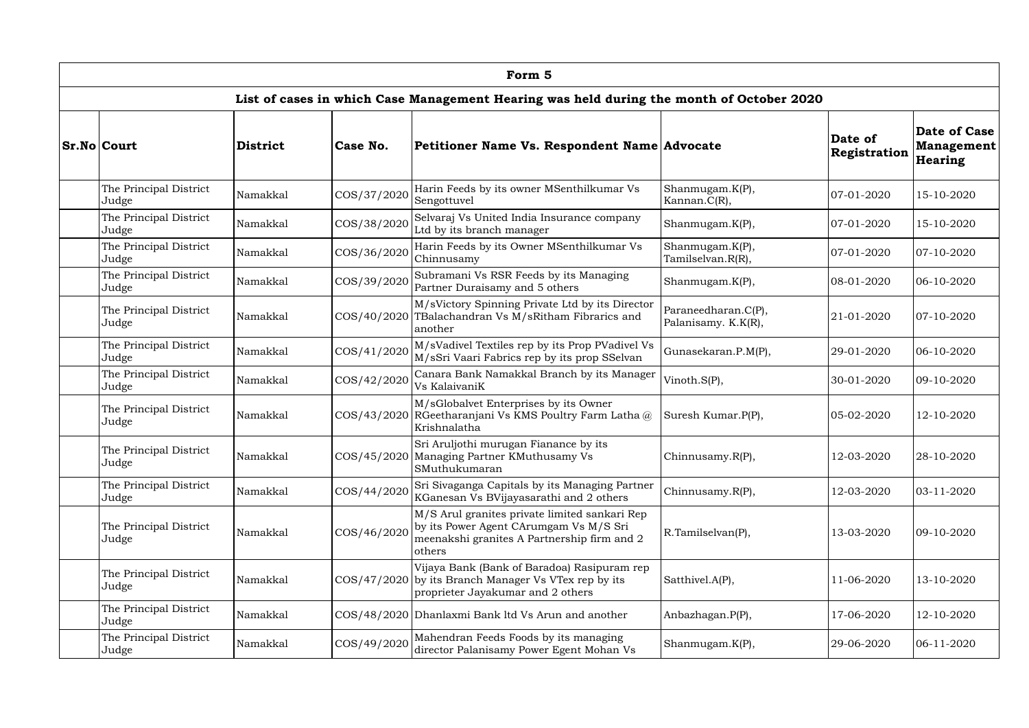| Form 5                                                     |                         |                                                                                   |                                                                                                                                                  |                                            |                         |                                              |  |  |  |  |  |
|------------------------------------------------------------|-------------------------|-----------------------------------------------------------------------------------|--------------------------------------------------------------------------------------------------------------------------------------------------|--------------------------------------------|-------------------------|----------------------------------------------|--|--|--|--|--|
|                                                            |                         |                                                                                   | List of cases in which Case Management Hearing was held during the month of October 2020                                                         |                                            |                         |                                              |  |  |  |  |  |
| <b>Sr.No Court</b>                                         | <b>District</b>         | Case No.                                                                          | Petitioner Name Vs. Respondent Name Advocate                                                                                                     |                                            | Date of<br>Registration | Date of Case<br>Management<br><b>Hearing</b> |  |  |  |  |  |
| The Principal District<br>Judge                            | Namakkal                | COS/37/2020                                                                       | Harin Feeds by its owner MSenthilkumar Vs<br>Sengottuvel                                                                                         | Shanmugam.K(P),<br>Kannan. $C(R)$ ,        | 07-01-2020              | 15-10-2020                                   |  |  |  |  |  |
| The Principal District<br>Judge                            | Namakkal                | COS/38/2020                                                                       | Selvaraj Vs United India Insurance company<br>Ltd by its branch manager                                                                          | Shanmugam.K(P),                            | $ 07-01-2020 $          | 15-10-2020                                   |  |  |  |  |  |
| The Principal District<br>Judge                            | Namakkal                | COS/36/2020                                                                       | Harin Feeds by its Owner MSenthilkumar Vs<br>Chinnusamy                                                                                          | Shanmugam.K(P),<br>Tamilselvan.R(R),       | $ 07-01-2020$           | $07 - 10 - 2020$                             |  |  |  |  |  |
| The Principal District<br>Judge                            | Namakkal                | COS/39/2020                                                                       | Subramani Vs RSR Feeds by its Managing<br>Partner Duraisamy and 5 others                                                                         | Shanmugam.K(P),                            | 08-01-2020              | $ 06-10-2020$                                |  |  |  |  |  |
| The Principal District<br>Judge                            | COS/40/2020<br>Namakkal |                                                                                   | M/sVictory Spinning Private Ltd by its Director<br>TBalachandran Vs M/sRitham Fibrarics and<br>another                                           | Paraneedharan.C(P),<br>Palanisamy. K.K(R), | 21-01-2020              | $07 - 10 - 2020$                             |  |  |  |  |  |
| The Principal District<br>Judge                            | Namakkal                | COS/41/2020                                                                       | M/sVadivel Textiles rep by its Prop PVadivel Vs<br>M/sSri Vaari Fabrics rep by its prop SSelvan                                                  | Gunasekaran.P.M(P),                        | 29-01-2020              | $ 06 - 10 - 2020 $                           |  |  |  |  |  |
| The Principal District<br>Judge                            | Namakkal                | COS/42/2020                                                                       | Canara Bank Namakkal Branch by its Manager<br>Vs KalaivaniK                                                                                      | Vinoth. $S(P)$ ,                           | 30-01-2020              | $ 09-10-2020$                                |  |  |  |  |  |
| The Principal District<br>Judge                            | Namakkal                | COS/43/2020                                                                       | M/sGlobalvet Enterprises by its Owner<br>RGeetharanjani Vs KMS Poultry Farm Latha@<br>Krishnalatha                                               | Suresh Kumar.P(P),                         | $ 05-02-2020$           | 12-10-2020                                   |  |  |  |  |  |
| The Principal District<br>Judge                            | Namakkal                |                                                                                   | Sri Aruljothi murugan Fianance by its<br>COS/45/2020 Managing Partner KMuthusamy Vs<br>SMuthukumaran                                             | Chinnusamy.R(P),                           | 12-03-2020              | 28-10-2020                                   |  |  |  |  |  |
| The Principal District<br>Judge                            | Namakkal                | COS/44/2020                                                                       | Sri Sivaganga Capitals by its Managing Partner<br>KGanesan Vs BVijayasarathi and 2 others                                                        | Chinnusamy.R(P),                           | 12-03-2020              | $ 03-11-2020 $                               |  |  |  |  |  |
| The Principal District<br>Judge                            | Namakkal                | COS/46/2020                                                                       | M/S Arul granites private limited sankari Rep<br>by its Power Agent CArumgam Vs M/S Sri<br>meenakshi granites A Partnership firm and 2<br>others | R.Tamilselvan(P),                          | 13-03-2020              | $ 09-10-2020$                                |  |  |  |  |  |
| The Principal District<br>Judge                            | Namakkal                |                                                                                   | Vijaya Bank (Bank of Baradoa) Rasipuram rep<br>$\cos/47/2020$ by its Branch Manager Vs VTex rep by its<br>proprieter Jayakumar and 2 others      | Satthivel.A(P),                            | 11-06-2020              | 13-10-2020                                   |  |  |  |  |  |
| The Principal District<br>Judge                            | Namakkal                |                                                                                   | COS/48/2020 Dhanlaxmi Bank ltd Vs Arun and another                                                                                               | Anbazhagan.P(P),                           | 17-06-2020              | 12-10-2020                                   |  |  |  |  |  |
| The Principal District<br>COS/49/2020<br>Namakkal<br>Judge |                         | Mahendran Feeds Foods by its managing<br>director Palanisamy Power Egent Mohan Vs | Shanmugam.K(P),                                                                                                                                  | 29-06-2020                                 | $ 06-11-2020 $          |                                              |  |  |  |  |  |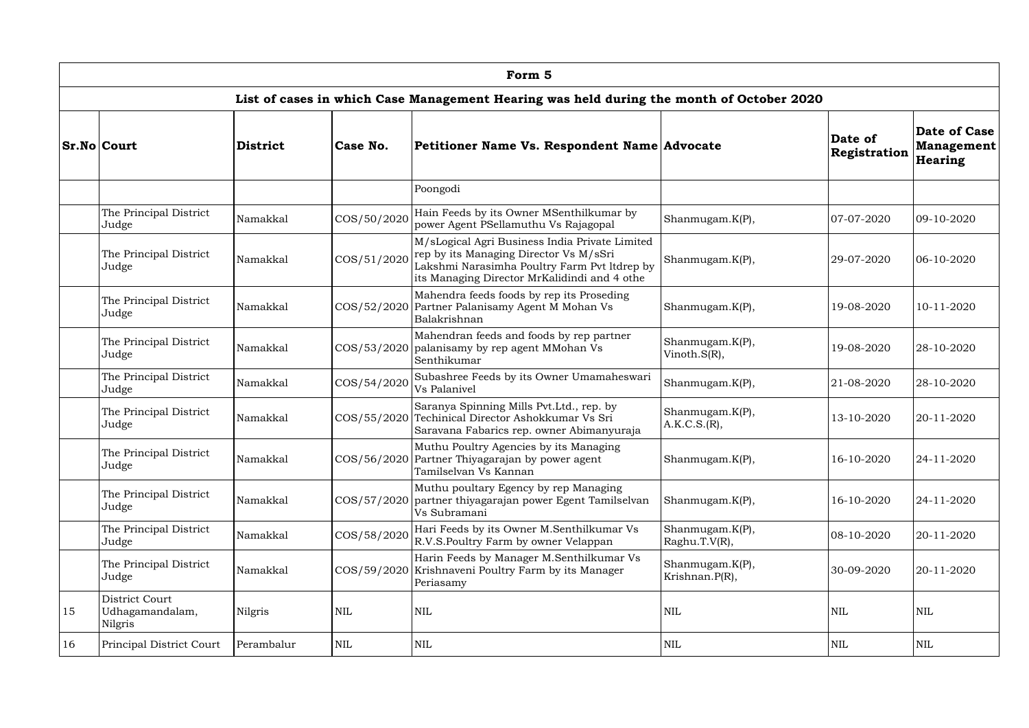|    | Form 5                                       |                                                                                                                                             |                 |                                                                                                                                                                                          |                                   |                         |                                                     |  |  |  |  |  |  |
|----|----------------------------------------------|---------------------------------------------------------------------------------------------------------------------------------------------|-----------------|------------------------------------------------------------------------------------------------------------------------------------------------------------------------------------------|-----------------------------------|-------------------------|-----------------------------------------------------|--|--|--|--|--|--|
|    |                                              |                                                                                                                                             |                 | List of cases in which Case Management Hearing was held during the month of October 2020                                                                                                 |                                   |                         |                                                     |  |  |  |  |  |  |
|    | <b>Sr.No Court</b>                           | <b>District</b>                                                                                                                             | Case No.        | Petitioner Name Vs. Respondent Name Advocate                                                                                                                                             |                                   | Date of<br>Registration | Date of Case<br><b>Management</b><br><b>Hearing</b> |  |  |  |  |  |  |
|    |                                              |                                                                                                                                             |                 | Poongodi                                                                                                                                                                                 |                                   |                         |                                                     |  |  |  |  |  |  |
|    | The Principal District<br>Judge              | Namakkal                                                                                                                                    | COS/50/2020     | Hain Feeds by its Owner MSenthilkumar by<br>power Agent PSellamuthu Vs Rajagopal                                                                                                         | Shanmugam.K(P),                   | 07-07-2020              | 09-10-2020                                          |  |  |  |  |  |  |
|    | The Principal District<br>Judge              | Namakkal                                                                                                                                    | COS/51/2020     | M/sLogical Agri Business India Private Limited<br>rep by its Managing Director Vs M/sSri<br>Lakshmi Narasimha Poultry Farm Pvt ltdrep by<br>its Managing Director MrKalidindi and 4 othe | Shanmugam.K(P),                   | 29-07-2020              | $ 06-10-2020$                                       |  |  |  |  |  |  |
|    | The Principal District<br>Judge              | Mahendra feeds foods by rep its Proseding<br>COS/52/2020 Partner Palanisamy Agent M Mohan Vs<br>Namakkal<br>Shanmugam.K(P),<br>Balakrishnan |                 |                                                                                                                                                                                          | 19-08-2020                        | 10-11-2020              |                                                     |  |  |  |  |  |  |
|    | The Principal District<br>Judge              | Namakkal                                                                                                                                    | COS/53/2020     | Mahendran feeds and foods by rep partner<br>palanisamy by rep agent MMohan Vs<br>Senthikumar                                                                                             | Shanmugam.K(P),<br>Vinoth.S(R),   | 19-08-2020              | 28-10-2020                                          |  |  |  |  |  |  |
|    | The Principal District<br>Judge              | Namakkal                                                                                                                                    | COS/54/2020     | Subashree Feeds by its Owner Umamaheswari<br>Vs Palanivel                                                                                                                                | Shanmugam.K(P),                   | 21-08-2020              | 28-10-2020                                          |  |  |  |  |  |  |
|    | The Principal District<br>Judge              | Namakkal                                                                                                                                    | $\cos(55/2020)$ | Saranya Spinning Mills Pvt.Ltd., rep. by<br>Techinical Director Ashokkumar Vs Sri<br>Saravana Fabarics rep. owner Abimanyuraja                                                           | Shanmugam.K(P),<br>A.K.C.S.(R),   | 13-10-2020              | 20-11-2020                                          |  |  |  |  |  |  |
|    | The Principal District<br>Judge              | Namakkal                                                                                                                                    |                 | Muthu Poultry Agencies by its Managing<br>COS/56/2020 Partner Thiyagarajan by power agent<br>Tamilselvan Vs Kannan                                                                       | Shanmugam.K(P),                   | 16-10-2020              | 24-11-2020                                          |  |  |  |  |  |  |
|    | The Principal District<br>Judge              | Namakkal                                                                                                                                    | COS/57/2020     | Muthu poultary Egency by rep Managing<br>partner thiyagarajan power Egent Tamilselvan<br>Vs Subramani                                                                                    | Shanmugam.K(P),                   | 16-10-2020              | 24-11-2020                                          |  |  |  |  |  |  |
|    | The Principal District<br>Judge              | Namakkal                                                                                                                                    | COS/58/2020     | Hari Feeds by its Owner M.Senthilkumar Vs<br>R.V.S.Poultry Farm by owner Velappan                                                                                                        | Shanmugam.K(P),<br>Raghu.T.V(R),  | 08-10-2020              | 20-11-2020                                          |  |  |  |  |  |  |
|    | The Principal District<br>Judge              | Namakkal                                                                                                                                    | $\cos(59/2020)$ | Harin Feeds by Manager M.Senthilkumar Vs<br>Krishnaveni Poultry Farm by its Manager<br>Periasamy                                                                                         | Shanmugam.K(P),<br>Krishnan.P(R), | 30-09-2020              | 20-11-2020                                          |  |  |  |  |  |  |
| 15 | District Court<br>Udhagamandalam,<br>Nilgris | Nilgris                                                                                                                                     | <b>NIL</b>      | <b>NIL</b>                                                                                                                                                                               | <b>NIL</b>                        | <b>NIL</b>              | NIL                                                 |  |  |  |  |  |  |
| 16 | Principal District Court                     | Perambalur                                                                                                                                  | <b>NIL</b>      | $\mbox{NIL}$                                                                                                                                                                             | <b>NIL</b>                        | <b>NIL</b>              | NIL                                                 |  |  |  |  |  |  |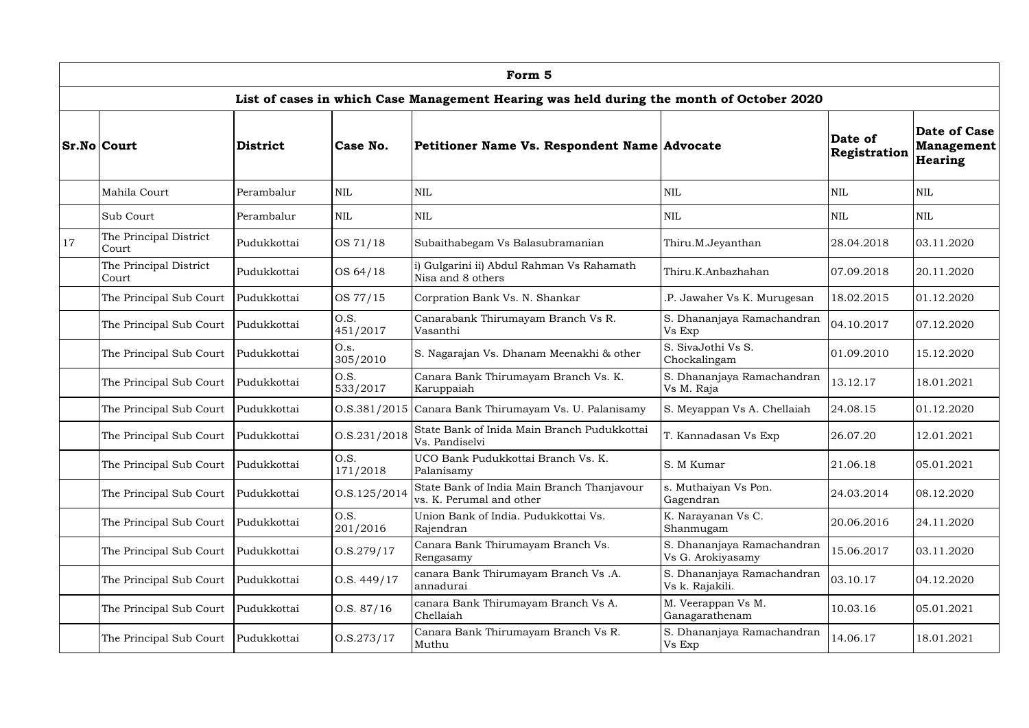|    | Form 5                                                 |                 |                                              |                                                                                          |                                                 |                         |                                       |  |  |  |  |  |
|----|--------------------------------------------------------|-----------------|----------------------------------------------|------------------------------------------------------------------------------------------|-------------------------------------------------|-------------------------|---------------------------------------|--|--|--|--|--|
|    |                                                        |                 |                                              | List of cases in which Case Management Hearing was held during the month of October 2020 |                                                 |                         |                                       |  |  |  |  |  |
|    | <b>Sr.No Court</b>                                     | <b>District</b> | Case No.                                     | Petitioner Name Vs. Respondent Name Advocate                                             |                                                 | Date of<br>Registration | Date of Case<br>Management<br>Hearing |  |  |  |  |  |
|    | Mahila Court                                           | Perambalur      | <b>NIL</b>                                   | <b>NIL</b>                                                                               | <b>NIL</b>                                      | <b>NIL</b>              | <b>NIL</b>                            |  |  |  |  |  |
|    | Sub Court                                              | Perambalur      | <b>NIL</b>                                   | <b>NIL</b>                                                                               | <b>NIL</b>                                      | <b>NIL</b>              | <b>NIL</b>                            |  |  |  |  |  |
| 17 | The Principal District<br>Court                        | Pudukkottai     | OS 71/18                                     | Subaithabegam Vs Balasubramanian                                                         | Thiru.M.Jeyanthan                               | 28.04.2018              | 03.11.2020                            |  |  |  |  |  |
|    | The Principal District<br>Court                        | Pudukkottai     | OS 64/18                                     | i) Gulgarini ii) Abdul Rahman Vs Rahamath<br>Nisa and 8 others                           | Thiru.K.Anbazhahan                              | 07.09.2018              | 20.11.2020                            |  |  |  |  |  |
|    | The Principal Sub Court                                | Pudukkottai     | OS 77/15                                     | Corpration Bank Vs. N. Shankar                                                           | .P. Jawaher Vs K. Murugesan                     | 18.02.2015              | 01.12.2020                            |  |  |  |  |  |
|    | The Principal Sub Court                                | Pudukkottai     | O.S.<br>451/2017                             | Canarabank Thirumayam Branch Vs R.<br>Vasanthi                                           | S. Dhananjaya Ramachandran<br>Vs Exp            | 04.10.2017              | 07.12.2020                            |  |  |  |  |  |
|    | The Principal Sub Court                                | Pudukkottai     | O.s.<br>305/2010                             | S. Nagarajan Vs. Dhanam Meenakhi & other                                                 | S. SivaJothi Vs S.<br>Chockalingam              | 01.09.2010              | 15.12.2020                            |  |  |  |  |  |
|    | The Principal Sub Court                                | Pudukkottai     | O.S.<br>533/2017                             | Canara Bank Thirumayam Branch Vs. K.<br>Karuppaiah                                       | S. Dhananjaya Ramachandran<br>Vs M. Raja        | 13.12.17                | 18.01.2021                            |  |  |  |  |  |
|    | The Principal Sub Court                                | Pudukkottai     |                                              | O.S.381/2015 Canara Bank Thirumayam Vs. U. Palanisamy                                    | S. Meyappan Vs A. Chellaiah                     | 24.08.15                | 01.12.2020                            |  |  |  |  |  |
|    | The Principal Sub Court                                | Pudukkottai     | O.S.231/2018                                 | State Bank of Inida Main Branch Pudukkottai<br>Vs. Pandiselvi                            | T. Kannadasan Vs Exp                            | 26.07.20                | 12.01.2021                            |  |  |  |  |  |
|    | The Principal Sub Court                                | Pudukkottai     | O.S.<br>171/2018                             | UCO Bank Pudukkottai Branch Vs. K.<br>Palanisamy                                         | S. M Kumar                                      | 21.06.18                | 05.01.2021                            |  |  |  |  |  |
|    | The Principal Sub Court                                | Pudukkottai     | O.S.125/2014                                 | State Bank of India Main Branch Thanjavour<br>vs. K. Perumal and other                   | s. Muthaiyan Vs Pon.<br>Gagendran               | 24.03.2014              | 08.12.2020                            |  |  |  |  |  |
|    | The Principal Sub Court                                | Pudukkottai     | O.S.<br>201/2016                             | Union Bank of India. Pudukkottai Vs.<br>Rajendran                                        | K. Narayanan Vs C.<br>Shanmugam                 | 20.06.2016              | 24.11.2020                            |  |  |  |  |  |
|    | The Principal Sub Court                                | Pudukkottai     | 0. S. 279/17                                 | Canara Bank Thirumayam Branch Vs.<br>Rengasamy                                           | S. Dhananjaya Ramachandran<br>Vs G. Arokiyasamy | 15.06.2017              | 03.11.2020                            |  |  |  |  |  |
|    | The Principal Sub Court                                | Pudukkottai     | 0.S. 449/17                                  | canara Bank Thirumayam Branch Vs .A.<br>annadurai                                        | S. Dhananjaya Ramachandran<br>Vs k. Rajakili.   | 03.10.17                | 04.12.2020                            |  |  |  |  |  |
|    | The Principal Sub Court                                | Pudukkottai     | 0. S. 87/16                                  | canara Bank Thirumayam Branch Vs A.<br>Chellaiah                                         | M. Veerappan Vs M.<br>Ganagarathenam            | 10.03.16                | 05.01.2021                            |  |  |  |  |  |
|    | 0. S. 273/17<br>The Principal Sub Court<br>Pudukkottai |                 | Canara Bank Thirumayam Branch Vs R.<br>Muthu | S. Dhananjaya Ramachandran<br>Vs Exp                                                     | 14.06.17                                        | 18.01.2021              |                                       |  |  |  |  |  |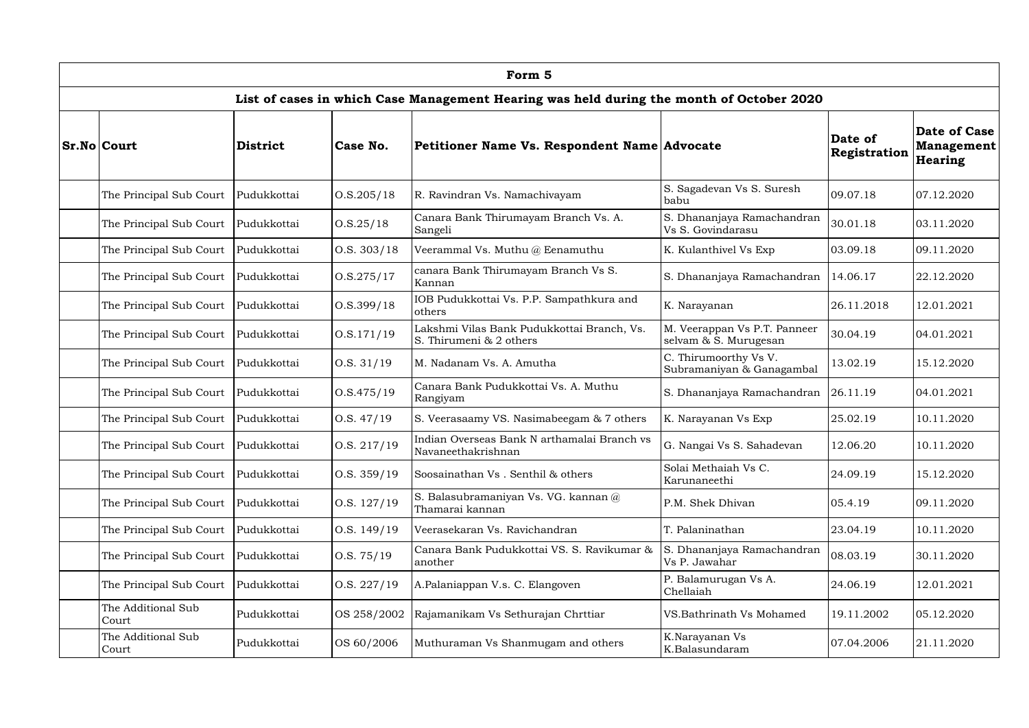| Form 5                                                   |                 |                                                    |                                                                                          |                                                       |                         |                                              |  |  |  |  |  |
|----------------------------------------------------------|-----------------|----------------------------------------------------|------------------------------------------------------------------------------------------|-------------------------------------------------------|-------------------------|----------------------------------------------|--|--|--|--|--|
|                                                          |                 |                                                    | List of cases in which Case Management Hearing was held during the month of October 2020 |                                                       |                         |                                              |  |  |  |  |  |
| <b>Sr.No Court</b>                                       | <b>District</b> | Case No.                                           | Petitioner Name Vs. Respondent Name Advocate                                             |                                                       | Date of<br>Registration | Date of Case<br>Management<br><b>Hearing</b> |  |  |  |  |  |
| The Principal Sub Court                                  | Pudukkottai     | 0. S. 205 / 18                                     | R. Ravindran Vs. Namachivayam                                                            | S. Sagadevan Vs S. Suresh<br>babu                     | 09.07.18                | 07.12.2020                                   |  |  |  |  |  |
| The Principal Sub Court                                  | Pudukkottai     | 0. S. 25 / 18                                      | Canara Bank Thirumayam Branch Vs. A.<br>Sangeli                                          | S. Dhananjaya Ramachandran<br>Vs S. Govindarasu       | 30.01.18                | 03.11.2020                                   |  |  |  |  |  |
| The Principal Sub Court                                  | Pudukkottai     | 0.S. 303/18                                        | Veerammal Vs. Muthu $(a)$ Eenamuthu                                                      | K. Kulanthivel Vs Exp                                 | 03.09.18                | 09.11.2020                                   |  |  |  |  |  |
| The Principal Sub Court                                  | Pudukkottai     | 0. S. 275 / 17                                     | canara Bank Thirumayam Branch Vs S.<br>Kannan                                            | S. Dhananjaya Ramachandran                            | 14.06.17                | 22.12.2020                                   |  |  |  |  |  |
| 0. S. 399/18<br>The Principal Sub Court<br>Pudukkottai   |                 | IOB Pudukkottai Vs. P.P. Sampathkura and<br>others | K. Narayanan                                                                             | 26.11.2018                                            | 12.01.2021              |                                              |  |  |  |  |  |
| The Principal Sub Court                                  | Pudukkottai     | 0. S. 171/19                                       | Lakshmi Vilas Bank Pudukkottai Branch, Vs.<br>S. Thirumeni & 2 others                    | M. Veerappan Vs P.T. Panneer<br>selvam & S. Murugesan | 30.04.19                | 04.01.2021                                   |  |  |  |  |  |
| The Principal Sub Court                                  | Pudukkottai     | 0.S. 31/19                                         | M. Nadanam Vs. A. Amutha                                                                 | C. Thirumoorthy Vs V.<br>Subramaniyan & Ganagambal    | 13.02.19                | 15.12.2020                                   |  |  |  |  |  |
| The Principal Sub Court                                  | Pudukkottai     | 0. S.475/19                                        | Canara Bank Pudukkottai Vs. A. Muthu<br>Rangiyam                                         | S. Dhananjaya Ramachandran                            | 26.11.19                | 04.01.2021                                   |  |  |  |  |  |
| The Principal Sub Court                                  | Pudukkottai     | 0.S. 47/19                                         | S. Veerasaamy VS. Nasimabeegam & 7 others                                                | K. Narayanan Vs Exp                                   | 25.02.19                | 10.11.2020                                   |  |  |  |  |  |
| The Principal Sub Court   Pudukkottai                    |                 | O.S. 217/19                                        | Indian Overseas Bank N arthamalai Branch vs<br>Navaneethakrishnan                        | G. Nangai Vs S. Sahadevan                             | 12.06.20                | 10.11.2020                                   |  |  |  |  |  |
| The Principal Sub Court                                  | Pudukkottai     | 0.S. 359/19                                        | Soosainathan Vs. Senthil & others                                                        | Solai Methaiah Vs C.<br>Karunaneethi                  | 24.09.19                | 15.12.2020                                   |  |  |  |  |  |
| The Principal Sub Court                                  | Pudukkottai     | O.S. 127/19                                        | S. Balasubramaniyan Vs. VG. kannan @<br>Thamarai kannan                                  | P.M. Shek Dhivan                                      | 05.4.19                 | 09.11.2020                                   |  |  |  |  |  |
| The Principal Sub Court                                  | Pudukkottai     | 0.S. 149/19                                        | Veerasekaran Vs. Ravichandran                                                            | T. Palaninathan                                       | 23.04.19                | 10.11.2020                                   |  |  |  |  |  |
| The Principal Sub Court                                  | Pudukkottai     | 0. S. 75/19                                        | Canara Bank Pudukkottai VS. S. Ravikumar &<br>another                                    | S. Dhananjaya Ramachandran<br>Vs P. Jawahar           | 08.03.19                | 30.11.2020                                   |  |  |  |  |  |
| The Principal Sub Court                                  | Pudukkottai     | 0.S. 227/19                                        | A.Palaniappan V.s. C. Elangoven                                                          | P. Balamurugan Vs A.<br>Chellaiah                     | 24.06.19                | 12.01.2021                                   |  |  |  |  |  |
| The Additional Sub<br>Court                              | Pudukkottai     | OS 258/2002                                        | Rajamanikam Vs Sethurajan Chrttiar                                                       | VS.Bathrinath Vs Mohamed                              | 19.11.2002              | 05.12.2020                                   |  |  |  |  |  |
| The Additional Sub<br>Pudukkottai<br>OS 60/2006<br>Court |                 | Muthuraman Vs Shanmugam and others                 | K.Narayanan Vs<br>K.Balasundaram                                                         | 07.04.2006                                            | 21.11.2020              |                                              |  |  |  |  |  |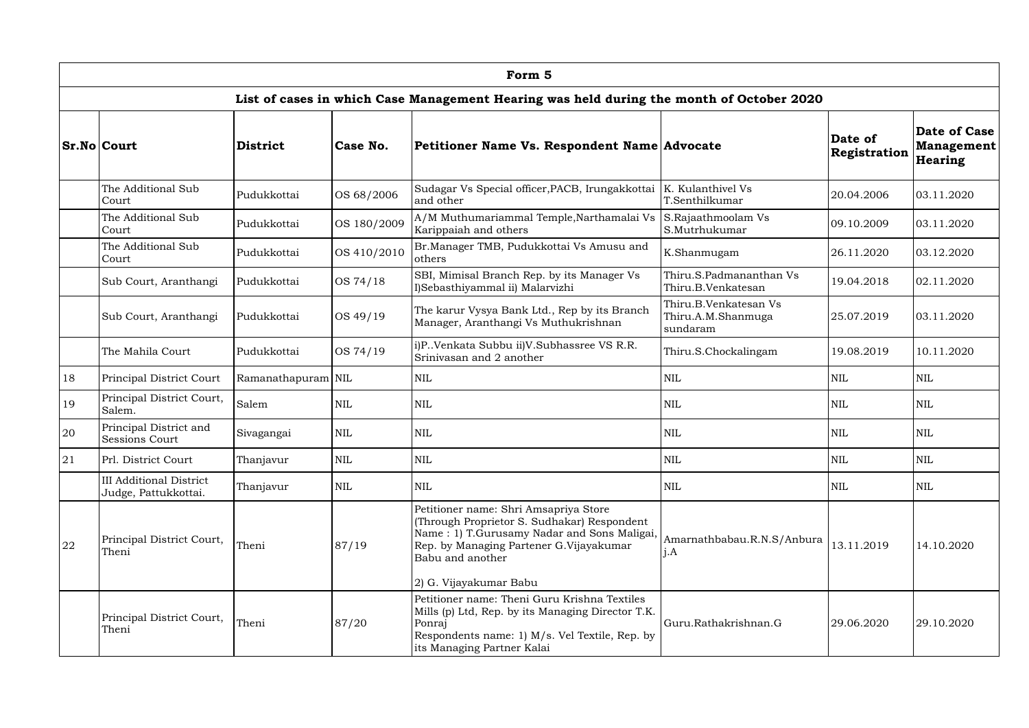|    | Form 5                                                 |                    |                                                                                                                                                                                             |                                                                                                                                                                                                                              |                                                         |                         |                                              |  |  |  |  |  |
|----|--------------------------------------------------------|--------------------|---------------------------------------------------------------------------------------------------------------------------------------------------------------------------------------------|------------------------------------------------------------------------------------------------------------------------------------------------------------------------------------------------------------------------------|---------------------------------------------------------|-------------------------|----------------------------------------------|--|--|--|--|--|
|    |                                                        |                    |                                                                                                                                                                                             | List of cases in which Case Management Hearing was held during the month of October 2020                                                                                                                                     |                                                         |                         |                                              |  |  |  |  |  |
|    | <b>Sr.No Court</b>                                     | <b>District</b>    | Case No.                                                                                                                                                                                    | Petitioner Name Vs. Respondent Name Advocate                                                                                                                                                                                 |                                                         | Date of<br>Registration | Date of Case<br><b>Management</b><br>Hearing |  |  |  |  |  |
|    | The Additional Sub<br>Court                            | Pudukkottai        | OS 68/2006                                                                                                                                                                                  | Sudagar Vs Special officer, PACB, Irungakkottai<br>and other                                                                                                                                                                 | K. Kulanthivel Vs<br>T.Senthilkumar                     | 20.04.2006              | 03.11.2020                                   |  |  |  |  |  |
|    | The Additional Sub<br>Court                            | Pudukkottai        | OS 180/2009                                                                                                                                                                                 | A/M Muthumariammal Temple, Narthamalai Vs<br>Karippaiah and others                                                                                                                                                           | S.Rajaathmoolam Vs<br>S.Mutrhukumar                     | 09.10.2009              | 03.11.2020                                   |  |  |  |  |  |
|    | The Additional Sub<br>Court                            | Pudukkottai        | OS 410/2010                                                                                                                                                                                 | Br. Manager TMB, Pudukkottai Vs Amusu and<br>others                                                                                                                                                                          | K.Shanmugam                                             | 26.11.2020              | 03.12.2020                                   |  |  |  |  |  |
|    | Sub Court, Aranthangi                                  | Pudukkottai        | OS 74/18                                                                                                                                                                                    | SBI, Mimisal Branch Rep. by its Manager Vs<br>I)Sebasthiyammal ii) Malarvizhi                                                                                                                                                | Thiru.S.Padmananthan Vs<br>Thiru.B.Venkatesan           | 19.04.2018              | 02.11.2020                                   |  |  |  |  |  |
|    | OS 49/19<br>Sub Court, Aranthangi<br>Pudukkottai       |                    |                                                                                                                                                                                             | The karur Vysya Bank Ltd., Rep by its Branch<br>Manager, Aranthangi Vs Muthukrishnan                                                                                                                                         | Thiru.B.Venkatesan Vs<br>Thiru.A.M.Shanmuga<br>sundaram | 25.07.2019              | 03.11.2020                                   |  |  |  |  |  |
|    | The Mahila Court                                       | Pudukkottai        | OS 74/19                                                                                                                                                                                    | i)P. Venkata Subbu ii)V. Subhassree VS R.R.<br>Srinivasan and 2 another                                                                                                                                                      | Thiru.S.Chockalingam                                    | 19.08.2019              | 10.11.2020                                   |  |  |  |  |  |
| 18 | Principal District Court                               | Ramanathapuram NIL |                                                                                                                                                                                             | <b>NIL</b>                                                                                                                                                                                                                   | <b>NIL</b>                                              | <b>NIL</b>              | <b>NIL</b>                                   |  |  |  |  |  |
| 19 | Principal District Court,<br>Salem.                    | Salem              | $\text{NIL}$                                                                                                                                                                                | <b>NIL</b>                                                                                                                                                                                                                   | <b>NIL</b>                                              | <b>NIL</b>              | <b>NIL</b>                                   |  |  |  |  |  |
| 20 | Principal District and<br>Sessions Court               | Sivagangai         | $\text{NIL}$                                                                                                                                                                                | <b>NIL</b>                                                                                                                                                                                                                   | $\mbox{NIL}$                                            | <b>NIL</b>              | NIL                                          |  |  |  |  |  |
| 21 | Prl. District Court                                    | Thanjavur          | $\mbox{NIL}$                                                                                                                                                                                | $\mbox{NIL}$                                                                                                                                                                                                                 | <b>NIL</b>                                              | $\mbox{NIL}$            | <b>NIL</b>                                   |  |  |  |  |  |
|    | <b>III Additional District</b><br>Judge, Pattukkottai. | Thanjavur          | $\mbox{NIL}$                                                                                                                                                                                | <b>NIL</b>                                                                                                                                                                                                                   | <b>NIL</b>                                              | <b>NIL</b>              | NIL                                          |  |  |  |  |  |
| 22 | Principal District Court,<br>Theni                     | Theni              | 87/19                                                                                                                                                                                       | Petitioner name: Shri Amsapriya Store<br>(Through Proprietor S. Sudhakar) Respondent<br>Name: 1) T.Gurusamy Nadar and Sons Maligai,<br>Rep. by Managing Partener G.Vijayakumar<br>Babu and another<br>2) G. Vijayakumar Babu | Amarnathbabau.R.N.S/Anbura<br>j.A                       | 13.11.2019              | 14.10.2020                                   |  |  |  |  |  |
|    | Principal District Court,<br>Theni<br>87/20<br>Theni   |                    | Petitioner name: Theni Guru Krishna Textiles<br>Mills (p) Ltd, Rep. by its Managing Director T.K.<br>Ponraj<br>Respondents name: 1) M/s. Vel Textile, Rep. by<br>its Managing Partner Kalai | Guru.Rathakrishnan.G                                                                                                                                                                                                         | 29.06.2020                                              | 29.10.2020              |                                              |  |  |  |  |  |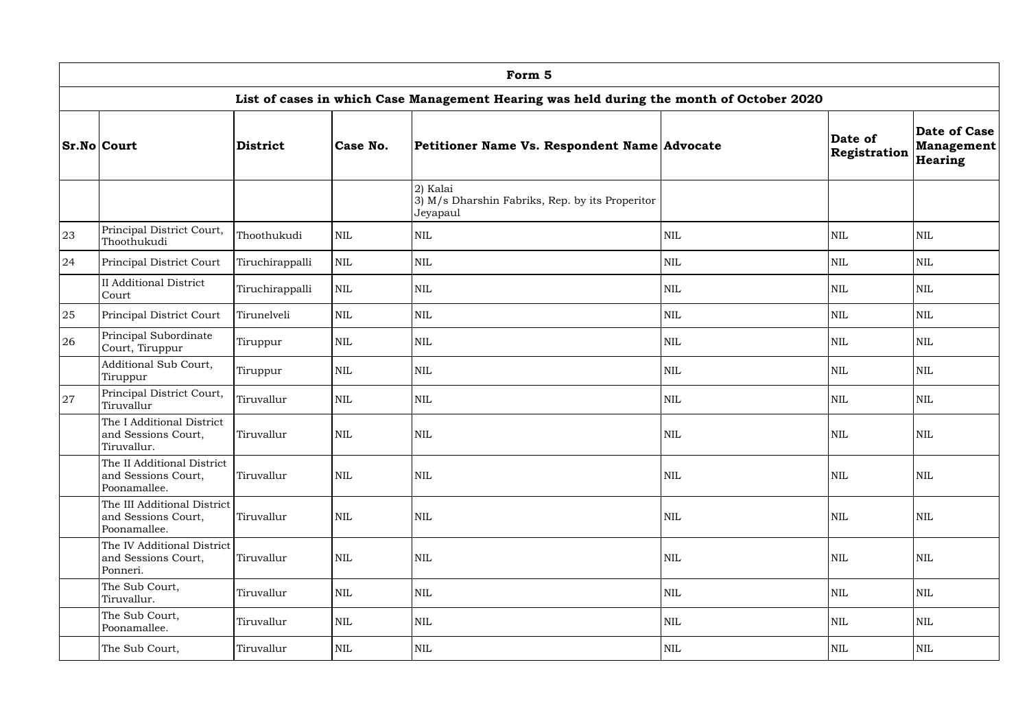|    | Form 5                                                                                         |                 |              |                                                                                          |              |                         |                                       |  |  |  |  |  |
|----|------------------------------------------------------------------------------------------------|-----------------|--------------|------------------------------------------------------------------------------------------|--------------|-------------------------|---------------------------------------|--|--|--|--|--|
|    |                                                                                                |                 |              | List of cases in which Case Management Hearing was held during the month of October 2020 |              |                         |                                       |  |  |  |  |  |
|    | <b>Sr.No Court</b>                                                                             | <b>District</b> | Case No.     | Petitioner Name Vs. Respondent Name Advocate                                             |              | Date of<br>Registration | Date of Case<br>Management<br>Hearing |  |  |  |  |  |
|    |                                                                                                |                 |              | 2) Kalai<br>3) M/s Dharshin Fabriks, Rep. by its Properitor<br>Jeyapaul                  |              |                         |                                       |  |  |  |  |  |
| 23 | Principal District Court,<br>Thoothukudi                                                       | Thoothukudi     | $\mbox{NIL}$ | $\mbox{NIL}$                                                                             | $\mbox{NIL}$ | NIL                     | <b>NIL</b>                            |  |  |  |  |  |
| 24 | $\mbox{NIL}$<br>Principal District Court<br>Tiruchirappalli                                    |                 | <b>NIL</b>   | NIL                                                                                      | <b>NIL</b>   | NIL                     |                                       |  |  |  |  |  |
|    | <b>II</b> Additional District<br>Court                                                         | Tiruchirappalli | <b>NIL</b>   | <b>NIL</b>                                                                               | <b>NIL</b>   | <b>NIL</b>              | <b>NIL</b>                            |  |  |  |  |  |
| 25 | $\mbox{NIL}$<br>Principal District Court<br>Tirunelveli                                        |                 |              | $\mbox{NIL}$                                                                             | NIL          | NIL                     | NIL                                   |  |  |  |  |  |
| 26 | Principal Subordinate<br>Court, Tiruppur                                                       | Tiruppur        | $\mbox{NIL}$ | $\mbox{NIL}$                                                                             | <b>NIL</b>   | $\mbox{NIL}$            | NIL                                   |  |  |  |  |  |
|    | Additional Sub Court,<br>Tiruppur                                                              | Tiruppur        | $\mbox{NIL}$ | $\mbox{NIL}$                                                                             | NIL          | NIL                     | NIL                                   |  |  |  |  |  |
| 27 | Principal District Court,<br>Tiruvallur                                                        | Tiruvallur      | $\mbox{NIL}$ | $\mbox{NIL}$                                                                             | <b>NIL</b>   | <b>NIL</b>              | NIL                                   |  |  |  |  |  |
|    | The I Additional District<br>and Sessions Court,<br>Tiruvallur.                                | Tiruvallur      | <b>NIL</b>   | <b>NIL</b>                                                                               | <b>NIL</b>   | <b>NIL</b>              | <b>NIL</b>                            |  |  |  |  |  |
|    | The II Additional District<br>and Sessions Court,<br>Poonamallee.                              | Tiruvallur      | $\mbox{NIL}$ | $\mbox{NIL}$                                                                             | NIL          | NIL                     | NIL                                   |  |  |  |  |  |
|    | The III Additional District<br><b>NIL</b><br>and Sessions Court,<br>Tiruvallur<br>Poonamallee. |                 |              | <b>NIL</b>                                                                               | NIL          | <b>NIL</b>              | NIL                                   |  |  |  |  |  |
|    | The IV Additional District<br><b>NIL</b><br>and Sessions Court,<br>Tiruvallur<br>Ponneri.      |                 |              | <b>NIL</b>                                                                               | <b>NIL</b>   | <b>NIL</b>              | NIL                                   |  |  |  |  |  |
|    | The Sub Court,<br><b>NIL</b><br>Tiruvallur<br>Tiruvallur.                                      |                 |              | <b>NIL</b>                                                                               | NIL          | NIL                     | NIL                                   |  |  |  |  |  |
|    | The Sub Court,<br>Poonamallee.                                                                 | Tiruvallur      | $\mbox{NIL}$ | $\mbox{NIL}$                                                                             | <b>NIL</b>   | NIL                     | NIL                                   |  |  |  |  |  |
|    | The Sub Court,                                                                                 | Tiruvallur      | <b>NIL</b>   | <b>NIL</b>                                                                               | NIL          | <b>NIL</b>              | NIL                                   |  |  |  |  |  |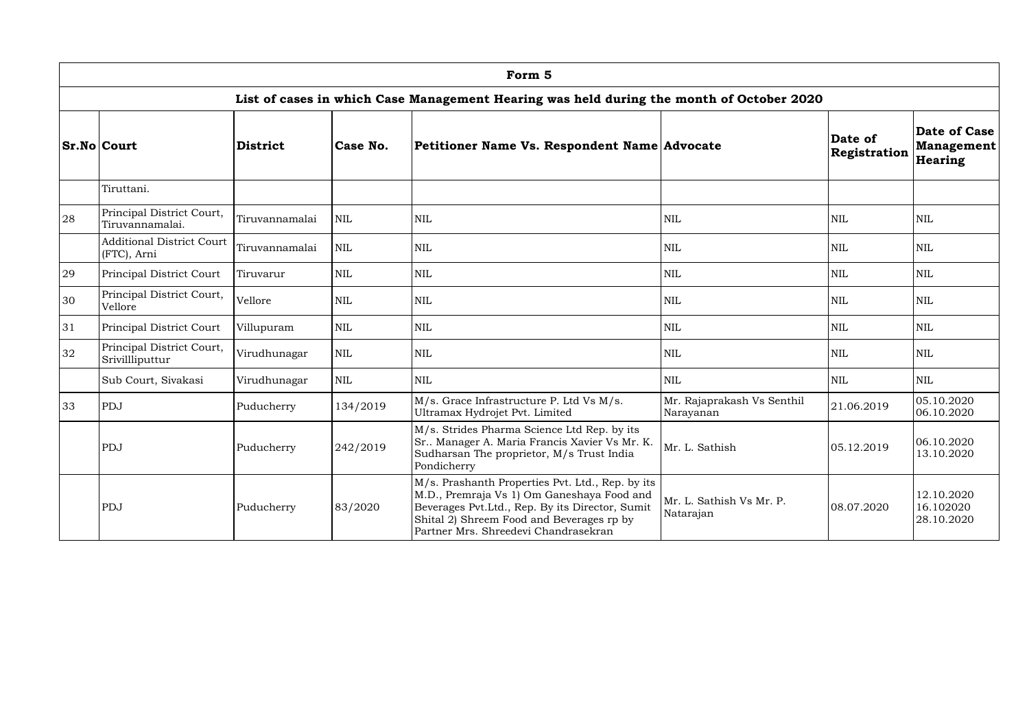|    | Form 5                                          |                 |            |                                                                                                                                                                                                                                        |                                         |                         |                                              |  |  |  |  |  |
|----|-------------------------------------------------|-----------------|------------|----------------------------------------------------------------------------------------------------------------------------------------------------------------------------------------------------------------------------------------|-----------------------------------------|-------------------------|----------------------------------------------|--|--|--|--|--|
|    |                                                 |                 |            | List of cases in which Case Management Hearing was held during the month of October 2020                                                                                                                                               |                                         |                         |                                              |  |  |  |  |  |
|    | <b>Sr.No Court</b>                              | <b>District</b> | Case No.   | Petitioner Name Vs. Respondent Name Advocate                                                                                                                                                                                           |                                         | Date of<br>Registration | Date of Case<br>Management<br><b>Hearing</b> |  |  |  |  |  |
|    | Tiruttani.                                      |                 |            |                                                                                                                                                                                                                                        |                                         |                         |                                              |  |  |  |  |  |
| 28 | Principal District Court,<br>Tiruvannamalai.    | Tiruvannamalai  | <b>NIL</b> | $\mbox{NIL}$                                                                                                                                                                                                                           | <b>NIL</b>                              | <b>NIL</b>              | <b>NIL</b>                                   |  |  |  |  |  |
|    | <b>Additional District Court</b><br>(FTC), Arni | Tiruvannamalai  | <b>NIL</b> | <b>NIL</b>                                                                                                                                                                                                                             | <b>NIL</b>                              | <b>NIL</b>              | <b>NIL</b>                                   |  |  |  |  |  |
| 29 | Principal District Court                        | Tiruvarur       | <b>NIL</b> | $\mbox{NIL}$                                                                                                                                                                                                                           | <b>NIL</b>                              | <b>NIL</b>              | NIL                                          |  |  |  |  |  |
| 30 | Principal District Court,<br>Vellore            | Vellore         | <b>NIL</b> | $\mbox{NIL}$                                                                                                                                                                                                                           | <b>NIL</b>                              | <b>NIL</b>              | <b>NIL</b>                                   |  |  |  |  |  |
| 31 | <b>Principal District Court</b>                 | Villupuram      | <b>NIL</b> | <b>NIL</b>                                                                                                                                                                                                                             | <b>NIL</b>                              | <b>NIL</b>              | <b>NIL</b>                                   |  |  |  |  |  |
| 32 | Principal District Court,<br>Srivillliputtur    | Virudhunagar    | <b>NIL</b> | $\mbox{NIL}$                                                                                                                                                                                                                           | <b>NIL</b>                              | <b>NIL</b>              | <b>NIL</b>                                   |  |  |  |  |  |
|    | Sub Court, Sivakasi                             | Virudhunagar    | <b>NIL</b> | <b>NIL</b>                                                                                                                                                                                                                             | <b>NIL</b>                              | <b>NIL</b>              | <b>NIL</b>                                   |  |  |  |  |  |
| 33 | PDJ                                             | Puducherry      | 134/2019   | M/s. Grace Infrastructure P. Ltd Vs M/s.<br>Ultramax Hydrojet Pvt. Limited                                                                                                                                                             | Mr. Rajaprakash Vs Senthil<br>Narayanan | 21.06.2019              | 05.10.2020<br>06.10.2020                     |  |  |  |  |  |
|    | PDJ                                             | Puducherry      | 242/2019   | M/s. Strides Pharma Science Ltd Rep. by its<br>Sr Manager A. Maria Francis Xavier Vs Mr. K.<br>Sudharsan The proprietor, M/s Trust India<br>Pondicherry                                                                                | Mr. L. Sathish                          | 05.12.2019              | 06.10.2020<br>13.10.2020                     |  |  |  |  |  |
|    | PDJ                                             | Puducherry      | 83/2020    | M/s. Prashanth Properties Pvt. Ltd., Rep. by its<br>M.D., Premraja Vs 1) Om Ganeshaya Food and<br>Beverages Pvt.Ltd., Rep. By its Director, Sumit<br>Shital 2) Shreem Food and Beverages rp by<br>Partner Mrs. Shreedevi Chandrasekran | Mr. L. Sathish Vs Mr. P.<br>Natarajan   | 08.07.2020              | 12.10.2020<br>16.102020<br>28.10.2020        |  |  |  |  |  |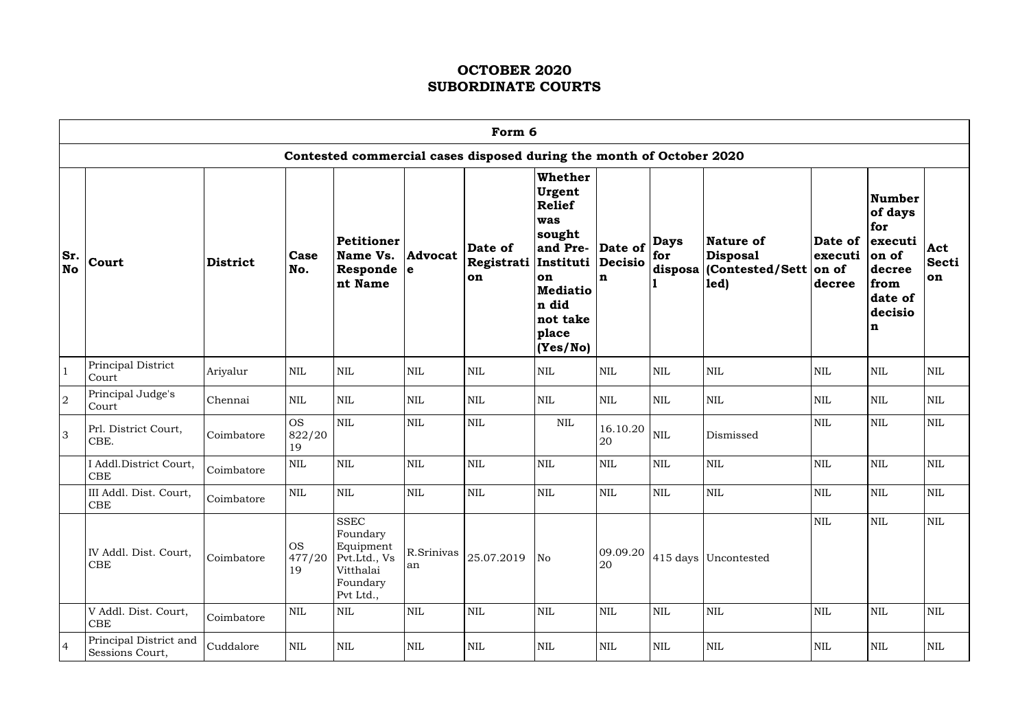|                  | Form 6                                    |                 |                           |                                                                                            |                  |                               |                                                                                                                                                                |                |                    |                                                                                          |                                       |                                                                                                  |                           |
|------------------|-------------------------------------------|-----------------|---------------------------|--------------------------------------------------------------------------------------------|------------------|-------------------------------|----------------------------------------------------------------------------------------------------------------------------------------------------------------|----------------|--------------------|------------------------------------------------------------------------------------------|---------------------------------------|--------------------------------------------------------------------------------------------------|---------------------------|
|                  |                                           |                 |                           | Contested commercial cases disposed during the month of October 2020                       |                  |                               |                                                                                                                                                                |                |                    |                                                                                          |                                       |                                                                                                  |                           |
| Sr.<br><b>No</b> | Court                                     | <b>District</b> | Case<br>No.               | <b>Petitioner</b><br>Name Vs.<br>Responde $ e $<br>nt Name                                 | <b>Advocat</b>   | Date of<br>Registrati  <br>on | <b>Whether</b><br>Urgent<br><b>Relief</b><br>was<br>sought<br>and Pre- Date of<br>Instituti<br>on<br><b>Mediatio</b><br>n did<br>not take<br>place<br>(Yes/No) | Decisio<br>n   | <b>Days</b><br>for | Nature of<br><b>Disposal</b><br>disposa (Contested/Sett<br>$\left  \mathbf{1ed} \right $ | Date of<br>executi<br>on of<br>decree | <b>Number</b><br>of days<br>for<br>executi<br>on of<br>decree<br>from<br>date of<br>decisio<br>n | Act<br><b>Secti</b><br>on |
| $\vert$ 1        | Principal District<br>Court               | Ariyalur        | <b>NIL</b>                | $\mbox{NIL}$                                                                               | <b>NIL</b>       | $\mbox{NIL}$                  | $\mbox{NIL}$                                                                                                                                                   | $\mbox{NIL}$   | $\mbox{NIL}$       | <b>NIL</b>                                                                               | $\mbox{NIL}$                          | $\mbox{NIL}$                                                                                     | $\rm NIL$                 |
| $\overline{2}$   | Principal Judge's<br>Court                | Chennai         | <b>NIL</b>                | $\mbox{NIL}$                                                                               | <b>NIL</b>       | <b>NIL</b>                    | $\mbox{NIL}$                                                                                                                                                   | $\mbox{NIL}$   | $\mbox{NIL}$       | <b>NIL</b>                                                                               | <b>NIL</b>                            | <b>NIL</b>                                                                                       | $\mbox{NIL}$              |
| 3                | Prl. District Court,<br>CBE.              | Coimbatore      | <b>OS</b><br>822/20<br>19 | <b>NIL</b>                                                                                 | NIL              | $\mbox{NIL}$                  | <b>NIL</b>                                                                                                                                                     | 16.10.20<br>20 | $\mbox{NIL}$       | Dismissed                                                                                | <b>NIL</b>                            | $\mbox{NIL}$                                                                                     | <b>NIL</b>                |
|                  | I Addl.District Court,<br>${\rm CBE}$     | Coimbatore      | <b>NIL</b>                | $\mbox{NIL}$                                                                               | <b>NIL</b>       | $\mbox{NIL}$                  | $\mbox{NIL}$                                                                                                                                                   | <b>NIL</b>     | $\mbox{NIL}$       | $\mbox{NIL}$                                                                             | $\mbox{NIL}$                          | $\mbox{NIL}$                                                                                     | $\mbox{NIL}$              |
|                  | III Addl. Dist. Court,<br>CBE             | Coimbatore      | <b>NIL</b>                | $\text{NIL}$                                                                               | $\mbox{NIL}$     | <b>NIL</b>                    | NIL                                                                                                                                                            | <b>NIL</b>     | $\mbox{NIL}$       | $\mbox{NIL}$                                                                             | <b>NIL</b>                            | $\mbox{NIL}$                                                                                     | <b>NIL</b>                |
|                  | IV Addl. Dist. Court,<br>CBE              | Coimbatore      | <b>OS</b><br>477/20<br>19 | <b>SSEC</b><br>Foundary<br>Equipment<br>Pvt.Ltd., Vs<br>Vitthalai<br>Foundary<br>Pvt Ltd., | R.Srinivas<br>an | 25.07.2019                    | No                                                                                                                                                             | 09.09.20<br>20 |                    | 415 days Uncontested                                                                     | $\mbox{NIL}$                          | $\mbox{NIL}$                                                                                     | <b>NIL</b>                |
|                  | V Addl. Dist. Court,<br><b>CBE</b>        | Coimbatore      | $\mbox{NIL}$              | $\mbox{NIL}$                                                                               | <b>NIL</b>       | $\mbox{NIL}$                  | $\mbox{NIL}$                                                                                                                                                   | <b>NIL</b>     | $\mbox{NIL}$       | <b>NIL</b>                                                                               | $\mbox{NIL}$                          | $\mbox{NIL}$                                                                                     | $\mbox{NIL}$              |
| $\vert 4 \vert$  | Principal District and<br>Sessions Court, | Cuddalore       | $\mbox{NIL}$              | $\mbox{NIL}$                                                                               | <b>NIL</b>       | $\mbox{NIL}$                  | $\mbox{NIL}$                                                                                                                                                   | $\mbox{NIL}$   | $\mbox{NIL}$       | $\mbox{NIL}$                                                                             | $\mbox{NIL}$                          | $\mbox{NIL}$                                                                                     | $\mbox{NIL}$              |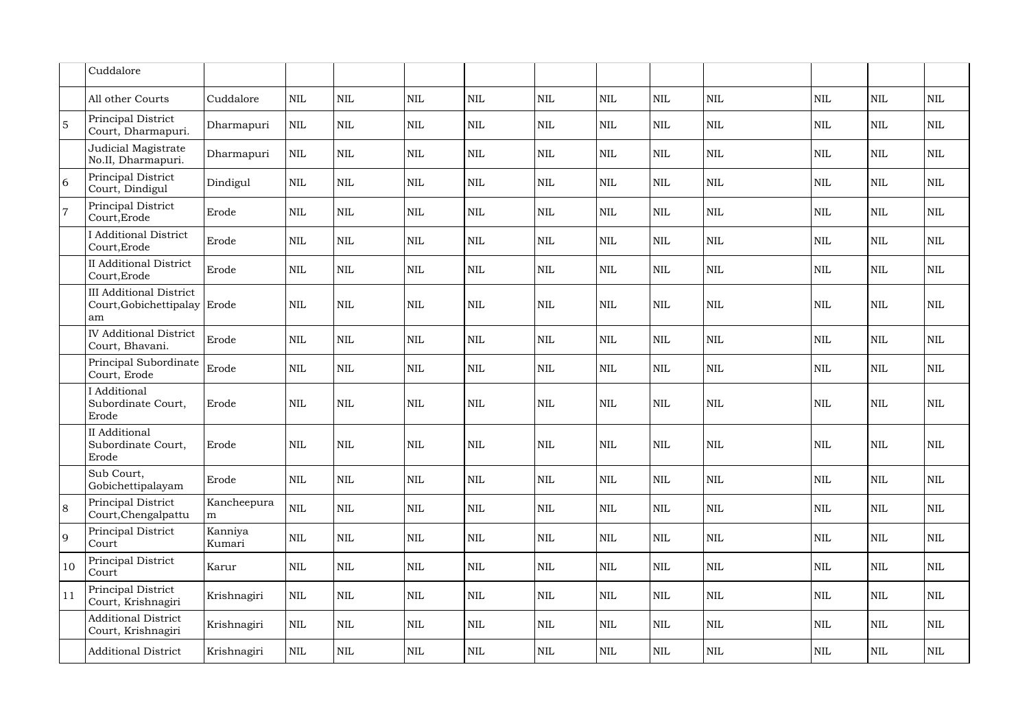|                 | Cuddalore                                                            |                   |              |              |              |              |              |              |              |              |              |              |              |
|-----------------|----------------------------------------------------------------------|-------------------|--------------|--------------|--------------|--------------|--------------|--------------|--------------|--------------|--------------|--------------|--------------|
|                 | All other Courts                                                     | Cuddalore         | $\mbox{NIL}$ | <b>NIL</b>   | <b>NIL</b>   | $\mbox{NIL}$ | $\mbox{NIL}$ | $\mbox{NIL}$ | $\mbox{NIL}$ | $\mbox{NIL}$ | $\mbox{NIL}$ | $\mbox{NIL}$ | $\mbox{NIL}$ |
| $5\overline{5}$ | Principal District<br>Court, Dharmapuri.                             | Dharmapuri        | $\mbox{NIL}$ | <b>NIL</b>   | NIL          | $\text{NIL}$ | <b>NIL</b>   | <b>NIL</b>   | <b>NIL</b>   | $\mbox{NIL}$ | <b>NIL</b>   | <b>NIL</b>   | $\mbox{NIL}$ |
|                 | Judicial Magistrate<br>No.II, Dharmapuri.                            | Dharmapuri        | $\mbox{NIL}$ | <b>NIL</b>   | <b>NIL</b>   | $\text{NIL}$ | <b>NIL</b>   | <b>NIL</b>   | $\mbox{NIL}$ | <b>NIL</b>   | <b>NIL</b>   | <b>NIL</b>   | $\mbox{NIL}$ |
| <sup>6</sup>    | Principal District<br>Court, Dindigul                                | Dindigul          | <b>NIL</b>   | <b>NIL</b>   | <b>NIL</b>   | $\mbox{NIL}$ | $\mbox{NIL}$ | <b>NIL</b>   | <b>NIL</b>   | <b>NIL</b>   | <b>NIL</b>   | <b>NIL</b>   | $\mbox{NIL}$ |
| $\overline{7}$  | Principal District<br>Court, Erode                                   | Erode             | $\mbox{NIL}$ | <b>NIL</b>   | <b>NIL</b>   | $\mbox{NIL}$ | $\mbox{NIL}$ | <b>NIL</b>   | $\mbox{NIL}$ | $\mbox{NIL}$ | $\mbox{NIL}$ | <b>NIL</b>   | $\mbox{NIL}$ |
|                 | <b>I</b> Additional District<br>Court, Erode                         | Erode             | $\mbox{NIL}$ | <b>NIL</b>   | <b>NIL</b>   | $\mbox{NIL}$ | $\mbox{NIL}$ | <b>NIL</b>   | $\mbox{NIL}$ | $\mbox{NIL}$ | $\mbox{NIL}$ | <b>NIL</b>   | $\mbox{NIL}$ |
|                 | <b>II Additional District</b><br>Court, Erode                        | Erode             | <b>NIL</b>   | <b>NIL</b>   | <b>NIL</b>   | $\mbox{NIL}$ | $\mbox{NIL}$ | <b>NIL</b>   | $\mbox{NIL}$ | <b>NIL</b>   | $\mbox{NIL}$ | <b>NIL</b>   | $\mbox{NIL}$ |
|                 | <b>III Additional District</b><br>Court, Gobichettipalay Erode<br>am |                   | <b>NIL</b>   | <b>NIL</b>   | <b>NIL</b>   | <b>NIL</b>   | <b>NIL</b>   | <b>NIL</b>   | <b>NIL</b>   | <b>NIL</b>   | <b>NIL</b>   | <b>NIL</b>   | <b>NIL</b>   |
|                 | <b>IV Additional District</b><br>Court, Bhavani.                     | Erode             | <b>NIL</b>   | <b>NIL</b>   | <b>NIL</b>   | NIL          | <b>NIL</b>   | <b>NIL</b>   | $\mbox{NIL}$ | $\mbox{NIL}$ | $\mbox{NIL}$ | $\mbox{NIL}$ | $\mbox{NIL}$ |
|                 | Principal Subordinate<br>Court, Erode                                | Erode             | $\mbox{NIL}$ | $\text{NIL}$ | <b>NIL</b>   | $\mbox{NIL}$ | $\mbox{NIL}$ | $\mbox{NIL}$ | $\mbox{NIL}$ | <b>NIL</b>   | $\mbox{NIL}$ | $\mbox{NIL}$ | $\mbox{NIL}$ |
|                 | <b>I</b> Additional<br>Subordinate Court,<br>Erode                   | Erode             | <b>NIL</b>   | <b>NIL</b>   | <b>NIL</b>   | <b>NIL</b>   | <b>NIL</b>   | <b>NIL</b>   | $\mbox{NIL}$ | $\mbox{NIL}$ | <b>NIL</b>   | $\mbox{NIL}$ | $\mbox{NIL}$ |
|                 | <b>II</b> Additional<br>Subordinate Court,<br>Erode                  | Erode             | <b>NIL</b>   | <b>NIL</b>   | <b>NIL</b>   | $\mbox{NIL}$ | <b>NIL</b>   | <b>NIL</b>   | <b>NIL</b>   | <b>NIL</b>   | <b>NIL</b>   | <b>NIL</b>   | $\mbox{NIL}$ |
|                 | Sub Court,<br>Gobichettipalayam                                      | Erode             | $\mbox{NIL}$ | $\mbox{NIL}$ | $\mbox{NIL}$ | $\mbox{NIL}$ | $\mbox{NIL}$ | <b>NIL</b>   | $\mbox{NIL}$ | NIL          | $\mbox{NIL}$ | <b>NIL</b>   | $\mbox{NIL}$ |
| 8               | Principal District<br>Court, Chengalpattu                            | Kancheepura<br>m  | $\mbox{NIL}$ | $\mbox{NIL}$ | <b>NIL</b>   | $\mbox{NIL}$ | $\mbox{NIL}$ | <b>NIL</b>   | $\mbox{NIL}$ | NIL          | <b>NIL</b>   | NIL          | $\mbox{NIL}$ |
| 9               | Principal District<br>Court                                          | Kanniya<br>Kumari | $\mbox{NIL}$ | $\mbox{NIL}$ | $\mbox{NIL}$ | $\mbox{NIL}$ | $\mbox{NIL}$ | <b>NIL</b>   | $\mbox{NIL}$ | $\mbox{NIL}$ | $\mbox{NIL}$ | <b>NIL</b>   | $\mbox{NIL}$ |
| 10              | Principal District<br>Court                                          | Karur             | <b>NIL</b>   | NIL          | <b>NIL</b>   | $\mbox{NIL}$ | $\mbox{NIL}$ | NIL          | NIL          | NIL          | <b>NIL</b>   | <b>NIL</b>   | $\mbox{NIL}$ |
| 11              | Principal District<br>Court, Krishnagiri                             | Krishnagiri       | $\mbox{NIL}$ | $\mbox{NIL}$ | $\mbox{NIL}$ | $\mbox{NIL}$ | $\mbox{NIL}$ | <b>NIL</b>   | $\mbox{NIL}$ | $\mbox{NIL}$ | $\mbox{NIL}$ | <b>NIL</b>   | $\mbox{NIL}$ |
|                 | <b>Additional District</b><br>Court, Krishnagiri                     | Krishnagiri       | $\mbox{NIL}$ | $\mbox{NIL}$ | $\mbox{NIL}$ | $\mbox{NIL}$ | $\mbox{NIL}$ | <b>NIL</b>   | $\mbox{NIL}$ | <b>NIL</b>   | $\mbox{NIL}$ | <b>NIL</b>   | $\mbox{NIL}$ |
|                 | <b>Additional District</b>                                           | Krishnagiri       | $\mbox{NIL}$ | $\mbox{NIL}$ | $\mbox{NIL}$ | $\mbox{NIL}$ | $\mbox{NIL}$ | $\mbox{NIL}$ | $\mbox{NIL}$ | <b>NIL</b>   | NIL          | NIL          | <b>NIL</b>   |
|                 |                                                                      |                   |              |              |              |              |              |              |              |              |              |              |              |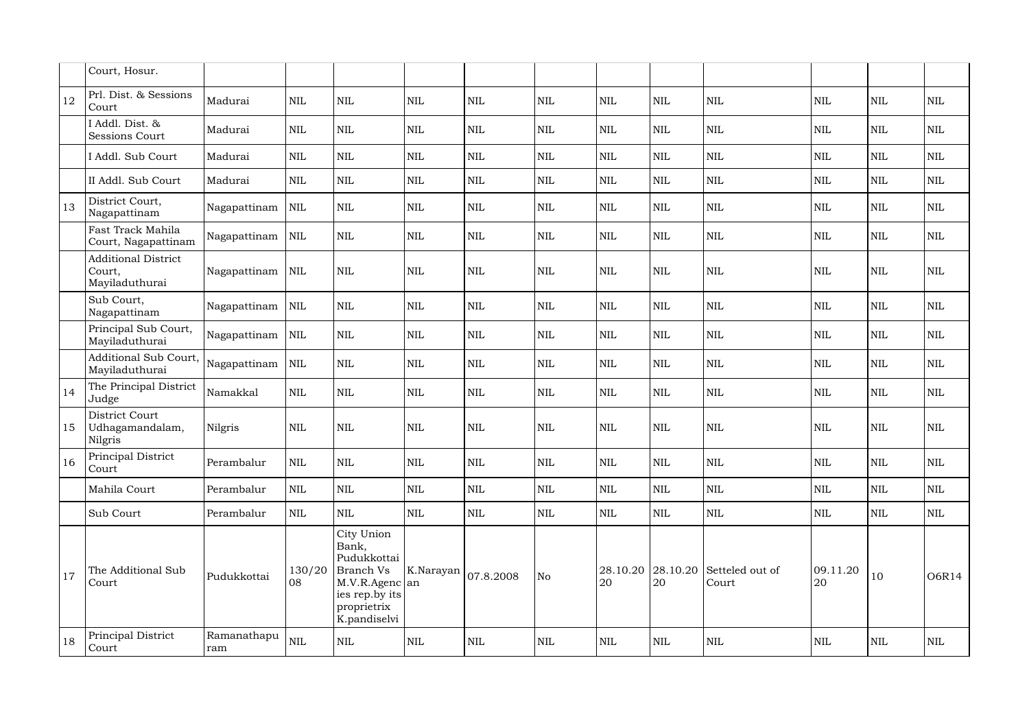|    | Court, Hosur.                                          |                    |              |                                                                                                                    |              |              |              |                |              |                                     |                |              |              |
|----|--------------------------------------------------------|--------------------|--------------|--------------------------------------------------------------------------------------------------------------------|--------------|--------------|--------------|----------------|--------------|-------------------------------------|----------------|--------------|--------------|
| 12 | Prl. Dist. & Sessions<br>Court                         | Madurai            | <b>NIL</b>   | <b>NIL</b>                                                                                                         | <b>NIL</b>   | $\mbox{NIL}$ | <b>NIL</b>   | <b>NIL</b>     | $\mbox{NIL}$ | <b>NIL</b>                          | <b>NIL</b>     | <b>NIL</b>   | $\mbox{NIL}$ |
|    | I Addl. Dist. &<br><b>Sessions Court</b>               | Madurai            | <b>NIL</b>   | $\mbox{NIL}$                                                                                                       | <b>NIL</b>   | $\mbox{NIL}$ | $\mbox{NIL}$ | $\mbox{NIL}$   | $\mbox{NIL}$ | $\mbox{NIL}$                        | <b>NIL</b>     | <b>NIL</b>   | $\mbox{NIL}$ |
|    | I Addl. Sub Court                                      | Madurai            | <b>NIL</b>   | $\mbox{NIL}$                                                                                                       | <b>NIL</b>   | <b>NIL</b>   | <b>NIL</b>   | <b>NIL</b>     | $\mbox{NIL}$ | <b>NIL</b>                          | <b>NIL</b>     | <b>NIL</b>   | <b>NIL</b>   |
|    | II Addl. Sub Court                                     | Madurai            | $\mbox{NIL}$ | $\mbox{NIL}$                                                                                                       | <b>NIL</b>   | $\mbox{NIL}$ | $\mbox{NIL}$ | <b>NIL</b>     | $\mbox{NIL}$ | <b>NIL</b>                          | <b>NIL</b>     | <b>NIL</b>   | $\mbox{NIL}$ |
| 13 | District Court,<br>Nagapattinam                        | Nagapattinam       | <b>NIL</b>   | <b>NIL</b>                                                                                                         | <b>NIL</b>   | $\mbox{NIL}$ | <b>NIL</b>   | <b>NIL</b>     | $\mbox{NIL}$ | $\mbox{NIL}$                        | <b>NIL</b>     | <b>NIL</b>   | $\mbox{NIL}$ |
|    | Fast Track Mahila<br>Court, Nagapattinam               | Nagapattinam       | <b>NIL</b>   | <b>NIL</b>                                                                                                         | <b>NIL</b>   | $\mbox{NIL}$ | $\mbox{NIL}$ | <b>NIL</b>     | $\mbox{NIL}$ | $\mbox{NIL}$                        | <b>NIL</b>     | <b>NIL</b>   | $\mbox{NIL}$ |
|    | <b>Additional District</b><br>Court,<br>Mayiladuthurai | Nagapattinam       | <b>NIL</b>   | <b>NIL</b>                                                                                                         | <b>NIL</b>   | $\mbox{NIL}$ | $\mbox{NIL}$ | <b>NIL</b>     | $\mbox{NIL}$ | <b>NIL</b>                          | <b>NIL</b>     | <b>NIL</b>   | $\mbox{NIL}$ |
|    | Sub Court,<br>Nagapattinam                             | Nagapattinam       | $\mbox{NIL}$ | <b>NIL</b>                                                                                                         | <b>NIL</b>   | $\mbox{NIL}$ | $\mbox{NIL}$ | <b>NIL</b>     | $\mbox{NIL}$ | $\mbox{NIL}$                        | <b>NIL</b>     | <b>NIL</b>   | $\mbox{NIL}$ |
|    | Principal Sub Court,<br>Mayiladuthurai                 | Nagapattinam       | $\mbox{NIL}$ | <b>NIL</b>                                                                                                         | <b>NIL</b>   | <b>NIL</b>   | $\mbox{NIL}$ | <b>NIL</b>     | $\mbox{NIL}$ | $\mbox{NIL}$                        | <b>NIL</b>     | <b>NIL</b>   | $\mbox{NIL}$ |
|    | Additional Sub Court,<br>Mayiladuthurai                | Nagapattinam       | <b>NIL</b>   | $\mbox{NIL}$                                                                                                       | <b>NIL</b>   | <b>NIL</b>   | <b>NIL</b>   | <b>NIL</b>     | $\mbox{NIL}$ | <b>NIL</b>                          | <b>NIL</b>     | <b>NIL</b>   | $\mbox{NIL}$ |
| 14 | The Principal District<br>Judge                        | Namakkal           | $\mbox{NIL}$ | <b>NIL</b>                                                                                                         | <b>NIL</b>   | $\mbox{NIL}$ | $\mbox{NIL}$ | <b>NIL</b>     | $\mbox{NIL}$ | $\mbox{NIL}$                        | <b>NIL</b>     | $\mbox{NIL}$ | $\mbox{NIL}$ |
| 15 | District Court<br>Udhagamandalam,<br>Nilgris           | Nilgris            | <b>NIL</b>   | <b>NIL</b>                                                                                                         | <b>NIL</b>   | $\mbox{NIL}$ | $\mbox{NIL}$ | <b>NIL</b>     | $\mbox{NIL}$ | <b>NIL</b>                          | <b>NIL</b>     | <b>NIL</b>   | $\mbox{NIL}$ |
| 16 | Principal District<br>Court                            | Perambalur         | <b>NIL</b>   | $\mbox{NIL}$                                                                                                       | $\mbox{NIL}$ | $\mbox{NIL}$ | $\mbox{NIL}$ | $\mbox{NIL}$   | NIL          | <b>NIL</b>                          | <b>NIL</b>     | <b>NIL</b>   | $\mbox{NIL}$ |
|    | Mahila Court                                           | Perambalur         | <b>NIL</b>   | $\mbox{NIL}$                                                                                                       | <b>NIL</b>   | $\mbox{NIL}$ | $\mbox{NIL}$ | <b>NIL</b>     | $\mbox{NIL}$ | <b>NIL</b>                          | <b>NIL</b>     | <b>NIL</b>   | $\mbox{NIL}$ |
|    | Sub Court                                              | Perambalur         | <b>NIL</b>   | <b>NIL</b>                                                                                                         | <b>NIL</b>   | <b>NIL</b>   | $\mbox{NIL}$ | <b>NIL</b>     | NIL          | <b>NIL</b>                          | <b>NIL</b>     | $\mbox{NIL}$ | $\mbox{NIL}$ |
| 17 | The Additional Sub<br>Court                            | Pudukkottai        | 130/20<br>08 | City Union<br>Bank,<br>Pudukkottai<br>Branch Vs<br>M.V.R.Agenc an<br>ies rep.by its<br>proprietrix<br>K.pandiselvi | K.Narayan    | 07.8.2008    | No           | 28.10.20<br>20 | 20           | $28.10.20$ Setteled out of<br>Court | 09.11.20<br>20 | 10           | <b>O6R14</b> |
| 18 | Principal District<br>Court                            | Ramanathapu<br>ram | $\mbox{NIL}$ | $\mbox{NIL}$                                                                                                       | $\mbox{NIL}$ | $\mbox{NIL}$ | $\mbox{NIL}$ | $\mbox{NIL}$   | $\mbox{NIL}$ | <b>NIL</b>                          | <b>NIL</b>     | $\mbox{NIL}$ | $\mbox{NIL}$ |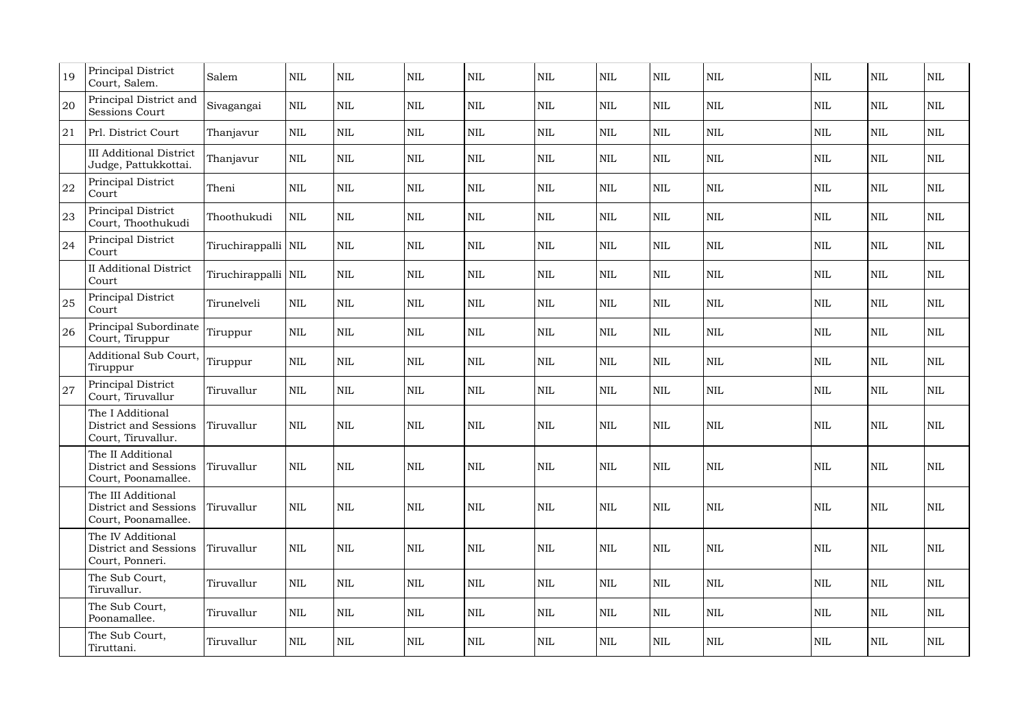| 19 | Principal District<br>Court, Salem.                                      | Salem                 | <b>NIL</b>   | <b>NIL</b>   | <b>NIL</b> | <b>NIL</b>   | $\mbox{NIL}$ | <b>NIL</b>   | $\mbox{NIL}$ | $\mbox{NIL}$ | <b>NIL</b> | <b>NIL</b>   | $\mbox{NIL}$ |
|----|--------------------------------------------------------------------------|-----------------------|--------------|--------------|------------|--------------|--------------|--------------|--------------|--------------|------------|--------------|--------------|
| 20 | Principal District and<br><b>Sessions Court</b>                          | Sivagangai            | <b>NIL</b>   | <b>NIL</b>   | <b>NIL</b> | <b>NIL</b>   | $\mbox{NIL}$ | <b>NIL</b>   | <b>NIL</b>   | <b>NIL</b>   | <b>NIL</b> | <b>NIL</b>   | $\mbox{NIL}$ |
| 21 | Prl. District Court                                                      | Thanjavur             | <b>NIL</b>   | $\mbox{NIL}$ | <b>NIL</b> | <b>NIL</b>   | <b>NIL</b>   | $\mbox{NIL}$ | $\mbox{NIL}$ | <b>NIL</b>   | <b>NIL</b> | <b>NIL</b>   | $\mbox{NIL}$ |
|    | <b>III Additional District</b><br>Judge, Pattukkottai.                   | Thanjavur             | $\mbox{NIL}$ | <b>NIL</b>   | <b>NIL</b> | $\mbox{NIL}$ | $\mbox{NIL}$ | <b>NIL</b>   | $\mbox{NIL}$ | $\mbox{NIL}$ | <b>NIL</b> | <b>NIL</b>   | $\mbox{NIL}$ |
| 22 | Principal District<br>Court                                              | Theni                 | <b>NIL</b>   | <b>NIL</b>   | <b>NIL</b> | $\mbox{NIL}$ | $\mbox{NIL}$ | <b>NIL</b>   | $\mbox{NIL}$ | $\mbox{NIL}$ | <b>NIL</b> | <b>NIL</b>   | $\mbox{NIL}$ |
| 23 | Principal District<br>Court, Thoothukudi                                 | Thoothukudi           | $\mbox{NIL}$ | <b>NIL</b>   | <b>NIL</b> | $\mbox{NIL}$ | $\mbox{NIL}$ | <b>NIL</b>   | $\mbox{NIL}$ | $\mbox{NIL}$ | <b>NIL</b> | <b>NIL</b>   | $\mbox{NIL}$ |
| 24 | Principal District<br>Court                                              | Tiruchirappalli   NIL |              | $\mbox{NIL}$ | <b>NIL</b> | <b>NIL</b>   | $\mbox{NIL}$ | <b>NIL</b>   | $\mbox{NIL}$ | <b>NIL</b>   | <b>NIL</b> | <b>NIL</b>   | $\mbox{NIL}$ |
|    | <b>II</b> Additional District<br>Court                                   | Tiruchirappalli   NIL |              | <b>NIL</b>   | <b>NIL</b> | <b>NIL</b>   | <b>NIL</b>   | <b>NIL</b>   | $\mbox{NIL}$ | $\mbox{NIL}$ | NIL        | <b>NIL</b>   | $\mbox{NIL}$ |
| 25 | Principal District<br>Court                                              | Tirunelveli           | <b>NIL</b>   | $\mbox{NIL}$ | <b>NIL</b> | $\mbox{NIL}$ | $\mbox{NIL}$ | <b>NIL</b>   | $\mbox{NIL}$ | <b>NIL</b>   | <b>NIL</b> | <b>NIL</b>   | $\mbox{NIL}$ |
| 26 | Principal Subordinate<br>Court, Tiruppur                                 | Tiruppur              | <b>NIL</b>   | <b>NIL</b>   | <b>NIL</b> | $\mbox{NIL}$ | $\mbox{NIL}$ | <b>NIL</b>   | $\mbox{NIL}$ | $\mbox{NIL}$ | <b>NIL</b> | <b>NIL</b>   | $\mbox{NIL}$ |
|    | Additional Sub Court, Tiruppur<br>Tiruppur                               |                       | <b>NIL</b>   | <b>NIL</b>   | <b>NIL</b> | $\mbox{NIL}$ | $\mbox{NIL}$ | <b>NIL</b>   | $\mbox{NIL}$ | $\mbox{NIL}$ | <b>NIL</b> | <b>NIL</b>   | $\mbox{NIL}$ |
| 27 | <b>Principal District</b><br>Court, Tiruvallur                           | Tiruvallur            | $\mbox{NIL}$ | $\mbox{NIL}$ | <b>NIL</b> | $\mbox{NIL}$ | $\mbox{NIL}$ | <b>NIL</b>   | $\mbox{NIL}$ | $\mbox{NIL}$ | <b>NIL</b> | <b>NIL</b>   | $\mbox{NIL}$ |
|    | The I Additional<br><b>District and Sessions</b><br>Court, Tiruvallur.   | Tiruvallur            | <b>NIL</b>   | <b>NIL</b>   | <b>NIL</b> | $\mbox{NIL}$ | $\mbox{NIL}$ | <b>NIL</b>   | $\mbox{NIL}$ | <b>NIL</b>   | <b>NIL</b> | <b>NIL</b>   | <b>NIL</b>   |
|    | The II Additional<br><b>District and Sessions</b><br>Court, Poonamallee. | Tiruvallur            | <b>NIL</b>   | <b>NIL</b>   | <b>NIL</b> | $\mbox{NIL}$ | $\mbox{NIL}$ | <b>NIL</b>   | $\mbox{NIL}$ | <b>NIL</b>   | <b>NIL</b> | <b>NIL</b>   | <b>NIL</b>   |
|    | The III Additional<br>District and Sessions<br>Court, Poonamallee.       | Tiruvallur            | <b>NIL</b>   | $\mbox{NIL}$ | <b>NIL</b> | $\mbox{NIL}$ | $\mbox{NIL}$ | <b>NIL</b>   | $\mbox{NIL}$ | <b>NIL</b>   | <b>NIL</b> | <b>NIL</b>   | <b>NIL</b>   |
|    | The IV Additional<br><b>District and Sessions</b><br>Court, Ponneri.     | Tiruvallur            | $\mbox{NIL}$ | $\mbox{NIL}$ | <b>NIL</b> | $\mbox{NIL}$ | $\mbox{NIL}$ | $\mbox{NIL}$ | $\mbox{NIL}$ | <b>NIL</b>   | <b>NIL</b> | $\mbox{NIL}$ | $\mbox{NIL}$ |
|    | The Sub Court,<br>Tiruvallur.                                            | Tiruvallur            | <b>NIL</b>   | $\mbox{NIL}$ | <b>NIL</b> | <b>NIL</b>   | $\mbox{NIL}$ | <b>NIL</b>   | <b>NIL</b>   | <b>NIL</b>   | <b>NIL</b> | <b>NIL</b>   | $\mbox{NIL}$ |
|    | The Sub Court,<br>Poonamallee.                                           | Tiruvallur            | <b>NIL</b>   | $\text{NIL}$ | <b>NIL</b> | $\mbox{NIL}$ | $\mbox{NIL}$ | <b>NIL</b>   | $\mbox{NIL}$ | <b>NIL</b>   | <b>NIL</b> | <b>NIL</b>   | $\mbox{NIL}$ |
|    | The Sub Court,<br>Tiruttani.                                             | Tiruvallur            | <b>NIL</b>   | $\mbox{NIL}$ | <b>NIL</b> | $\mbox{NIL}$ | $\mbox{NIL}$ | <b>NIL</b>   | NIL          | <b>NIL</b>   | <b>NIL</b> | $\mbox{NIL}$ | $\mbox{NIL}$ |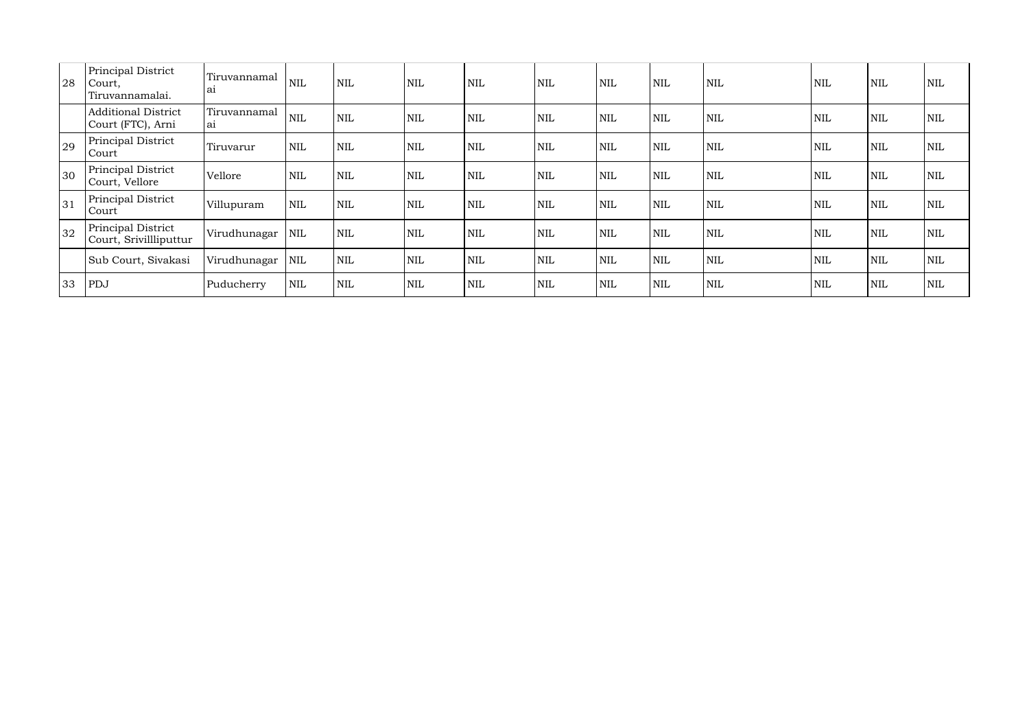| 28 | <b>Principal District</b><br>Court,<br>Tiruvannamalai. | Tiruvannamal<br>a <sub>1</sub> | <b>NIL</b> | <b>NIL</b>   | <b>NIL</b> | NIL        | <b>NIL</b> | $\mbox{NIL}$ | <b>NIL</b> | <b>NIL</b> | <b>NIL</b> | <b>NIL</b> | <b>NIL</b> |
|----|--------------------------------------------------------|--------------------------------|------------|--------------|------------|------------|------------|--------------|------------|------------|------------|------------|------------|
|    | <b>Additional District</b><br>Court (FTC), Arni        | Tiruvannamal<br>a <sub>1</sub> | <b>NIL</b> | $\mbox{NIL}$ | <b>NIL</b> | NIL        | NIL        | <b>NIL</b>   | <b>NIL</b> | <b>NIL</b> | <b>NIL</b> | <b>NIL</b> | <b>NIL</b> |
| 29 | Principal District<br>Court                            | Tiruvarur                      | <b>NIL</b> | $\text{NIL}$ | <b>NIL</b> | NIL        | NIL        | NIL          | <b>NIL</b> | <b>NIL</b> | <b>NIL</b> | <b>NIL</b> | <b>NIL</b> |
| 30 | Principal District<br>Court, Vellore                   | Vellore                        | <b>NIL</b> | <b>NIL</b>   | <b>NIL</b> | NIL        | <b>NIL</b> | <b>NIL</b>   | <b>NIL</b> | <b>NIL</b> | <b>NIL</b> | <b>NIL</b> | <b>NIL</b> |
| 31 | Principal District<br>Court                            | Villupuram                     | <b>NIL</b> | <b>NIL</b>   | <b>NIL</b> | NIL        | <b>NIL</b> | <b>NIL</b>   | <b>NIL</b> | <b>NIL</b> | <b>NIL</b> | <b>NIL</b> | <b>NIL</b> |
| 32 | Principal District<br>Court, Srivillliputtur           | Virudhunagar                   | <b>NIL</b> | <b>NIL</b>   | <b>NIL</b> | NIL        | <b>NIL</b> | <b>NIL</b>   | <b>NIL</b> | <b>NIL</b> | <b>NIL</b> | <b>NIL</b> | <b>NIL</b> |
|    | Sub Court, Sivakasi                                    | Virudhunagar                   | <b>NIL</b> | <b>NIL</b>   | <b>NIL</b> | <b>NIL</b> | <b>NIL</b> | <b>NIL</b>   | <b>NIL</b> | <b>NIL</b> | <b>NIL</b> | <b>NIL</b> | <b>NIL</b> |
| 33 | PDJ                                                    | Puducherry                     | <b>NIL</b> | <b>NIL</b>   | <b>NIL</b> | NIL        | NIL        | <b>NIL</b>   | <b>NIL</b> | <b>NIL</b> | <b>NIL</b> | <b>NIL</b> | <b>NIL</b> |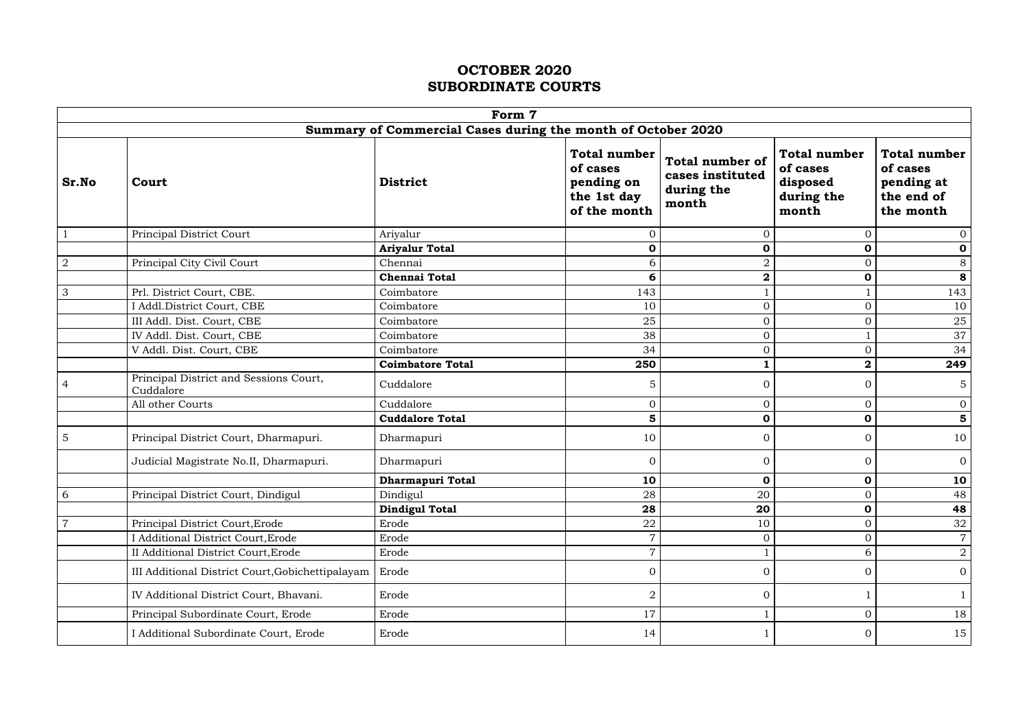|                | Form 7                                                       |                         |                                                                              |                                                                   |                                                                    |                                                                          |  |  |  |  |
|----------------|--------------------------------------------------------------|-------------------------|------------------------------------------------------------------------------|-------------------------------------------------------------------|--------------------------------------------------------------------|--------------------------------------------------------------------------|--|--|--|--|
|                | Summary of Commercial Cases during the month of October 2020 |                         |                                                                              |                                                                   |                                                                    |                                                                          |  |  |  |  |
| Sr.No          | Court                                                        | <b>District</b>         | <b>Total number</b><br>of cases<br>pending on<br>the 1st day<br>of the month | <b>Total number of</b><br>cases instituted<br>during the<br>month | <b>Total number</b><br>of cases<br>disposed<br>during the<br>month | <b>Total number</b><br>of cases<br>pending at<br>the end of<br>the month |  |  |  |  |
|                | Principal District Court                                     | Ariyalur                | $\Omega$                                                                     | $\overline{0}$                                                    | $\mathbf{0}$                                                       | $\overline{0}$                                                           |  |  |  |  |
|                |                                                              | <b>Ariyalur Total</b>   | $\mathbf 0$                                                                  | $\mathbf 0$                                                       | $\mathbf 0$                                                        | $\mathbf 0$                                                              |  |  |  |  |
| $\overline{2}$ | Principal City Civil Court                                   | Chennai                 | 6                                                                            | $\overline{2}$                                                    | $\mathbf 0$                                                        | $8\,$                                                                    |  |  |  |  |
|                |                                                              | <b>Chennai Total</b>    | 6                                                                            | $\boldsymbol{2}$                                                  | $\mathbf 0$                                                        | 8                                                                        |  |  |  |  |
| $\mathfrak{Z}$ | Prl. District Court, CBE.                                    | Coimbatore              | 143                                                                          |                                                                   |                                                                    | 143                                                                      |  |  |  |  |
|                | I Addl.District Court, CBE                                   | Coimbatore              | 10                                                                           | $\overline{0}$                                                    | $\mathbf{0}$                                                       | 10                                                                       |  |  |  |  |
|                | III Addl. Dist. Court, CBE                                   | Coimbatore              | 25                                                                           | $\mathbf 0$                                                       | $\mathbf 0$                                                        | 25                                                                       |  |  |  |  |
|                | IV Addl. Dist. Court, CBE                                    | Coimbatore              | 38                                                                           | $\boldsymbol{0}$                                                  | $\mathbf{1}$                                                       | 37                                                                       |  |  |  |  |
|                | V Addl. Dist. Court, CBE                                     | Coimbatore              | 34                                                                           | $\overline{0}$                                                    | $\mathbf{0}$                                                       | 34                                                                       |  |  |  |  |
|                |                                                              | <b>Coimbatore Total</b> | 250                                                                          |                                                                   | $\mathbf{2}$                                                       | 249                                                                      |  |  |  |  |
| 4              | Principal District and Sessions Court,<br>Cuddalore          | Cuddalore               | 5                                                                            | $\overline{0}$                                                    | $\Omega$                                                           | 5                                                                        |  |  |  |  |
|                | All other Courts                                             | Cuddalore               | $\overline{0}$                                                               | $\overline{0}$                                                    | $\mathbf{0}$                                                       | $\overline{0}$                                                           |  |  |  |  |
|                |                                                              | <b>Cuddalore Total</b>  | 5                                                                            | $\mathbf 0$                                                       | $\mathbf 0$                                                        | 5                                                                        |  |  |  |  |
| 5              | Principal District Court, Dharmapuri.                        | Dharmapuri              | 10                                                                           | $\overline{O}$                                                    | $\mathbf{0}$                                                       | 10                                                                       |  |  |  |  |
|                | Judicial Magistrate No.II, Dharmapuri.                       | Dharmapuri              | $\Omega$                                                                     | $\overline{0}$                                                    | $\mathbf{0}$                                                       | $\overline{0}$                                                           |  |  |  |  |
|                |                                                              | Dharmapuri Total        | 10                                                                           | $\mathbf 0$                                                       | $\mathbf 0$                                                        | 10                                                                       |  |  |  |  |
| 6              | Principal District Court, Dindigul                           | Dindigul                | 28                                                                           | 20                                                                | $\overline{0}$                                                     | 48                                                                       |  |  |  |  |
|                |                                                              | <b>Dindigul Total</b>   | 28                                                                           | 20                                                                | $\mathbf 0$                                                        | 48                                                                       |  |  |  |  |
| $\overline{7}$ | Principal District Court, Erode                              | Erode                   | 22                                                                           | 10                                                                | $\mathbf{0}$                                                       | $\frac{32}{2}$                                                           |  |  |  |  |
|                | I Additional District Court, Erode                           | Erode                   | $\overline{7}$                                                               | $\boldsymbol{0}$                                                  | $\mathbf{0}$                                                       | $\overline{7}$                                                           |  |  |  |  |
|                | II Additional District Court, Erode                          | Erode                   | $\overline{7}$                                                               |                                                                   | 6                                                                  | $\overline{2}$                                                           |  |  |  |  |
|                | III Additional District Court, Gobichettipalayam             | Erode                   | $\overline{0}$                                                               | $\boldsymbol{0}$                                                  | $\overline{0}$                                                     | $\overline{0}$                                                           |  |  |  |  |
|                | IV Additional District Court, Bhavani.                       | Erode                   | $\overline{2}$                                                               | $\overline{0}$                                                    |                                                                    |                                                                          |  |  |  |  |
|                | Principal Subordinate Court, Erode                           | Erode                   | 17                                                                           |                                                                   | $\overline{0}$                                                     | 18                                                                       |  |  |  |  |
|                | I Additional Subordinate Court, Erode                        | Erode                   | 14                                                                           |                                                                   | $\mathbf{0}$                                                       | 15                                                                       |  |  |  |  |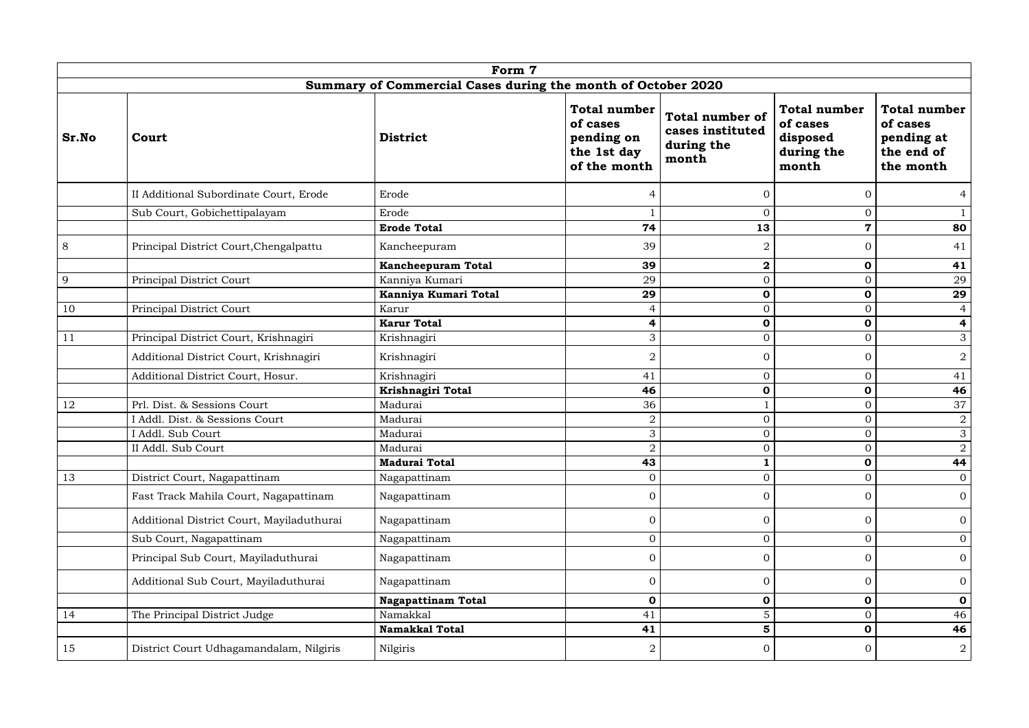|       | Form 7                                                       |                           |                                                                              |                                                                   |                                                                    |                                                                          |  |  |  |  |
|-------|--------------------------------------------------------------|---------------------------|------------------------------------------------------------------------------|-------------------------------------------------------------------|--------------------------------------------------------------------|--------------------------------------------------------------------------|--|--|--|--|
|       | Summary of Commercial Cases during the month of October 2020 |                           |                                                                              |                                                                   |                                                                    |                                                                          |  |  |  |  |
| Sr.No | Court                                                        | <b>District</b>           | <b>Total number</b><br>of cases<br>pending on<br>the 1st day<br>of the month | <b>Total number of</b><br>cases instituted<br>during the<br>month | <b>Total number</b><br>of cases<br>disposed<br>during the<br>month | <b>Total number</b><br>of cases<br>pending at<br>the end of<br>the month |  |  |  |  |
|       | II Additional Subordinate Court, Erode                       | Erode                     | 4                                                                            | $\Omega$                                                          | $\overline{0}$                                                     | $\overline{4}$                                                           |  |  |  |  |
|       | Sub Court, Gobichettipalayam                                 | Erode                     |                                                                              | $\Omega$                                                          | $\overline{0}$                                                     | $\mathbf{1}$                                                             |  |  |  |  |
|       |                                                              | <b>Erode Total</b>        | 74                                                                           | 13                                                                | $\mathbf 7$                                                        | 80                                                                       |  |  |  |  |
| 8     | Principal District Court, Chengalpattu                       | Kancheepuram              | 39                                                                           | $\overline{2}$                                                    | $\overline{0}$                                                     | 41                                                                       |  |  |  |  |
|       |                                                              | <b>Kancheepuram Total</b> | 39                                                                           | $\mathbf 2$                                                       | $\mathbf 0$                                                        | 41                                                                       |  |  |  |  |
| 9     | Principal District Court                                     | Kanniya Kumari            | 29                                                                           | $\overline{0}$                                                    | $\boldsymbol{0}$                                                   | 29                                                                       |  |  |  |  |
|       |                                                              | Kanniya Kumari Total      | 29                                                                           | $\mathbf 0$                                                       | $\mathbf 0$                                                        | 29                                                                       |  |  |  |  |
| 10    | Principal District Court                                     | Karur                     | 4                                                                            | $\Omega$                                                          | $\mathbf{0}$                                                       | $\overline{4}$                                                           |  |  |  |  |
|       |                                                              | <b>Karur Total</b>        | 4                                                                            | $\mathbf 0$                                                       | $\mathbf 0$                                                        | 4                                                                        |  |  |  |  |
| 11    | Principal District Court, Krishnagiri                        | Krishnagiri               | 3                                                                            | $\overline{0}$                                                    | $\overline{0}$                                                     | 3                                                                        |  |  |  |  |
|       | Additional District Court, Krishnagiri                       | Krishnagiri               | $\overline{2}$                                                               | $\overline{0}$                                                    | $\overline{0}$                                                     | $\overline{2}$                                                           |  |  |  |  |
|       | Additional District Court, Hosur.                            | Krishnagiri               | 41                                                                           | $\mathbf 0$                                                       | $\mathbf{0}$                                                       | 41                                                                       |  |  |  |  |
|       |                                                              | Krishnagiri Total         | 46                                                                           | $\mathbf 0$                                                       | $\mathbf 0$                                                        | 46                                                                       |  |  |  |  |
| 12    | Prl. Dist. & Sessions Court                                  | Madurai                   | 36                                                                           |                                                                   | $\mathbf{0}$                                                       | 37                                                                       |  |  |  |  |
|       | I Addl. Dist. & Sessions Court                               | Madurai                   | ∩                                                                            | $\overline{0}$                                                    | $\mathbf{0}$                                                       | $\overline{2}$                                                           |  |  |  |  |
|       | I Addl. Sub Court                                            | Madurai                   | 3                                                                            | $\overline{0}$                                                    | $\overline{0}$                                                     | 3                                                                        |  |  |  |  |
|       | II Addl. Sub Court                                           | Madurai                   | $\overline{2}$                                                               | $\overline{0}$                                                    | $\overline{O}$                                                     | $\overline{2}$                                                           |  |  |  |  |
|       |                                                              | <b>Madurai Total</b>      | 43                                                                           | 1                                                                 | $\mathbf 0$                                                        | 44                                                                       |  |  |  |  |
| 13    | District Court, Nagapattinam                                 | Nagapattinam              |                                                                              | $\overline{0}$                                                    | $\overline{0}$                                                     | $\overline{0}$                                                           |  |  |  |  |
|       | Fast Track Mahila Court, Nagapattinam                        | Nagapattinam              | $\overline{0}$                                                               | $\overline{0}$                                                    | $\overline{0}$                                                     | $\overline{0}$                                                           |  |  |  |  |
|       | Additional District Court, Mayiladuthurai                    | Nagapattinam              | $\overline{0}$                                                               | $\boldsymbol{0}$                                                  | $\overline{0}$                                                     | $\overline{0}$                                                           |  |  |  |  |
|       | Sub Court, Nagapattinam                                      | Nagapattinam              | $\overline{0}$                                                               | $\overline{0}$                                                    | $\mathbf{0}$                                                       | $\overline{0}$                                                           |  |  |  |  |
|       | Principal Sub Court, Mayiladuthurai                          | Nagapattinam              | $\overline{0}$                                                               | $\overline{0}$                                                    | $\overline{0}$                                                     | $\overline{0}$                                                           |  |  |  |  |
|       | Additional Sub Court, Mayiladuthurai                         | Nagapattinam              | $\overline{0}$                                                               | $\mathbf{0}$                                                      | $\overline{0}$                                                     | $\overline{0}$                                                           |  |  |  |  |
|       |                                                              | <b>Nagapattinam Total</b> | $\mathbf 0$                                                                  | $\mathbf 0$                                                       | $\mathbf 0$                                                        | $\mathbf 0$                                                              |  |  |  |  |
| 14    | The Principal District Judge                                 | Namakkal                  | 41                                                                           | $\mathbf 5$                                                       | $\mathbf{0}$                                                       | 46                                                                       |  |  |  |  |
|       |                                                              | <b>Namakkal Total</b>     | 41                                                                           | 5                                                                 | $\mathbf 0$                                                        | 46                                                                       |  |  |  |  |
| 15    | District Court Udhagamandalam, Nilgiris                      | Nilgiris                  | $\overline{2}$                                                               | $\overline{0}$                                                    | $\overline{0}$                                                     | $\overline{2}$                                                           |  |  |  |  |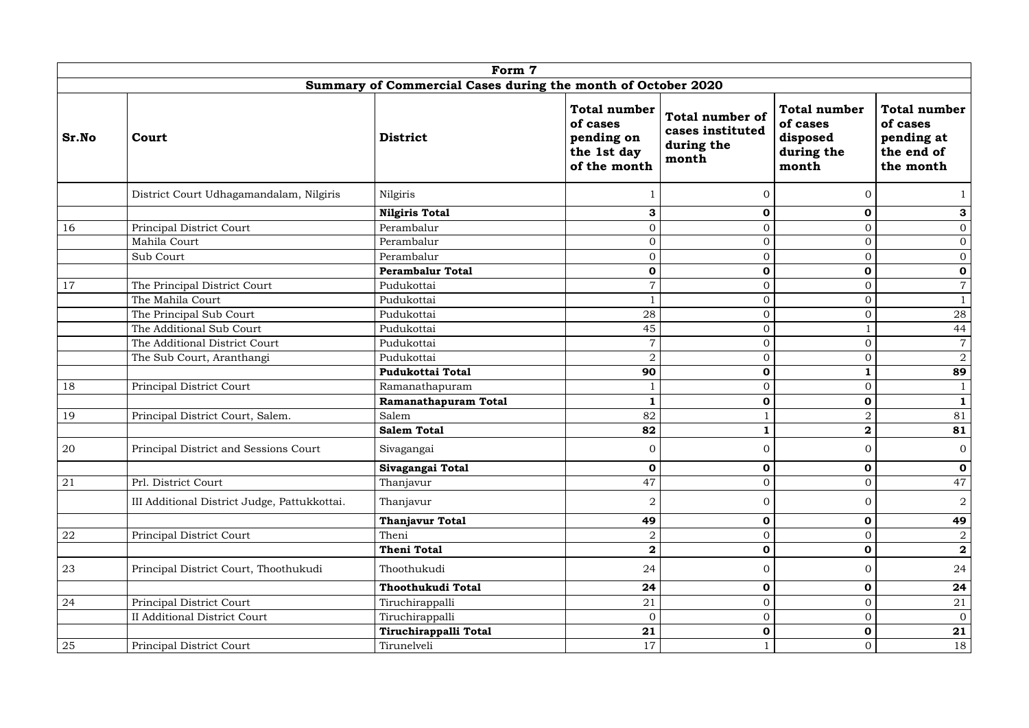|       |                                                              | Form 7                  |                                                                              |                                                                   |                                                                    |                                                                          |  |  |  |  |
|-------|--------------------------------------------------------------|-------------------------|------------------------------------------------------------------------------|-------------------------------------------------------------------|--------------------------------------------------------------------|--------------------------------------------------------------------------|--|--|--|--|
|       | Summary of Commercial Cases during the month of October 2020 |                         |                                                                              |                                                                   |                                                                    |                                                                          |  |  |  |  |
| Sr.No | Court                                                        | <b>District</b>         | <b>Total number</b><br>of cases<br>pending on<br>the 1st day<br>of the month | <b>Total number of</b><br>cases instituted<br>during the<br>month | <b>Total number</b><br>of cases<br>disposed<br>during the<br>month | <b>Total number</b><br>of cases<br>pending at<br>the end of<br>the month |  |  |  |  |
|       | District Court Udhagamandalam, Nilgiris                      | Nilgiris                |                                                                              | $\overline{0}$                                                    | $\Omega$                                                           |                                                                          |  |  |  |  |
|       |                                                              | <b>Nilgiris Total</b>   | 3                                                                            | $\mathbf 0$                                                       | $\mathbf 0$                                                        | 3                                                                        |  |  |  |  |
| 16    | Principal District Court                                     | Perambalur              | $\overline{O}$                                                               | $\overline{0}$                                                    | $\boldsymbol{0}$                                                   | $\overline{0}$                                                           |  |  |  |  |
|       | Mahila Court                                                 | Perambalur              | $\Omega$                                                                     | $\overline{0}$                                                    | $\mathbf{0}$                                                       | $\overline{0}$                                                           |  |  |  |  |
|       | Sub Court                                                    | Perambalur              | $\overline{0}$                                                               | $\mathbf 0$                                                       | $\mathbf{0}$                                                       | $\overline{0}$                                                           |  |  |  |  |
|       |                                                              | <b>Perambalur Total</b> | 0                                                                            | $\mathbf 0$                                                       | $\mathbf 0$                                                        | $\mathbf 0$                                                              |  |  |  |  |
| 17    | The Principal District Court                                 | Pudukottai              | 7                                                                            | $\overline{0}$                                                    | $\mathbf{0}$                                                       | $\overline{7}$                                                           |  |  |  |  |
|       | The Mahila Court                                             | Pudukottai              |                                                                              | $\overline{0}$                                                    | $\boldsymbol{0}$                                                   |                                                                          |  |  |  |  |
|       | The Principal Sub Court                                      | Pudukottai              | 28                                                                           | $\overline{0}$                                                    | $\mathbf 0$                                                        | 28                                                                       |  |  |  |  |
|       | The Additional Sub Court                                     | Pudukottai              | 45                                                                           | $\mathbf 0$                                                       | $\mathbf{1}$                                                       | 44                                                                       |  |  |  |  |
|       | The Additional District Court                                | Pudukottai              | 7                                                                            | $\mathbf{0}$                                                      | $\mathbf 0$                                                        | $\overline{7}$                                                           |  |  |  |  |
|       | The Sub Court, Aranthangi                                    | Pudukottai              | $\overline{2}$                                                               | $\overline{0}$                                                    | $\boldsymbol{0}$                                                   | $\overline{2}$                                                           |  |  |  |  |
|       |                                                              | Pudukottai Total        | 90                                                                           | $\mathbf 0$                                                       | $\mathbf{1}$                                                       | 89                                                                       |  |  |  |  |
| 18    | Principal District Court                                     | Ramanathapuram          |                                                                              | $\Omega$                                                          | $\overline{0}$                                                     |                                                                          |  |  |  |  |
|       |                                                              | Ramanathapuram Total    |                                                                              | $\mathbf 0$                                                       | $\mathbf 0$                                                        | $\mathbf{1}$                                                             |  |  |  |  |
| 19    | Principal District Court, Salem.                             | Salem                   | 82                                                                           |                                                                   | $\overline{2}$                                                     | 81                                                                       |  |  |  |  |
|       |                                                              | <b>Salem Total</b>      | 82                                                                           |                                                                   | $\overline{\mathbf{2}}$                                            | 81                                                                       |  |  |  |  |
| 20    | Principal District and Sessions Court                        | Sivagangai              | $\overline{0}$                                                               | <sup>O</sup>                                                      | <sup>O</sup>                                                       | $\overline{0}$                                                           |  |  |  |  |
|       |                                                              | Sivagangai Total        | $\mathbf 0$                                                                  | $\mathbf 0$                                                       | $\mathbf 0$                                                        | $\mathbf 0$                                                              |  |  |  |  |
| 21    | Prl. District Court                                          | Thanjavur               | 47                                                                           | $\mathbf 0$                                                       | $\overline{0}$                                                     | 47                                                                       |  |  |  |  |
|       | III Additional District Judge, Pattukkottai.                 | Thanjavur               | $\overline{2}$                                                               | $\mathbf{0}$                                                      | $\overline{0}$                                                     | $\overline{2}$                                                           |  |  |  |  |
|       |                                                              | <b>Thanjavur Total</b>  | 49                                                                           | $\mathbf 0$                                                       | $\mathbf 0$                                                        | 49                                                                       |  |  |  |  |
| 22    | Principal District Court                                     | Theni                   | $\overline{2}$                                                               | $\boldsymbol{0}$                                                  | $\mathbf{0}$                                                       | $\overline{2}$                                                           |  |  |  |  |
|       |                                                              | <b>Theni Total</b>      | $\mathbf{2}$                                                                 | $\mathbf 0$                                                       | $\mathbf 0$                                                        | $\overline{\mathbf{2}}$                                                  |  |  |  |  |
| 23    | Principal District Court, Thoothukudi                        | Thoothukudi             | 24                                                                           | $\Omega$                                                          | $\overline{0}$                                                     | 24                                                                       |  |  |  |  |
|       |                                                              | Thoothukudi Total       | 24                                                                           | $\mathbf 0$                                                       | $\mathbf 0$                                                        | 24                                                                       |  |  |  |  |
| 24    | Principal District Court                                     | Tiruchirappalli         | 21                                                                           | $\mathbf{0}$                                                      | $\boldsymbol{0}$                                                   | 21                                                                       |  |  |  |  |
|       | <b>II Additional District Court</b>                          | Tiruchirappalli         | $\overline{0}$                                                               | $\mathbf{0}$                                                      | $\overline{0}$                                                     | $\overline{0}$                                                           |  |  |  |  |
|       |                                                              | Tiruchirappalli Total   | 21                                                                           | $\mathbf 0$                                                       | $\mathbf 0$                                                        | 21                                                                       |  |  |  |  |
| 25    | Principal District Court                                     | Tirunelveli             | 17                                                                           |                                                                   | $\mathbf{0}$                                                       | 18                                                                       |  |  |  |  |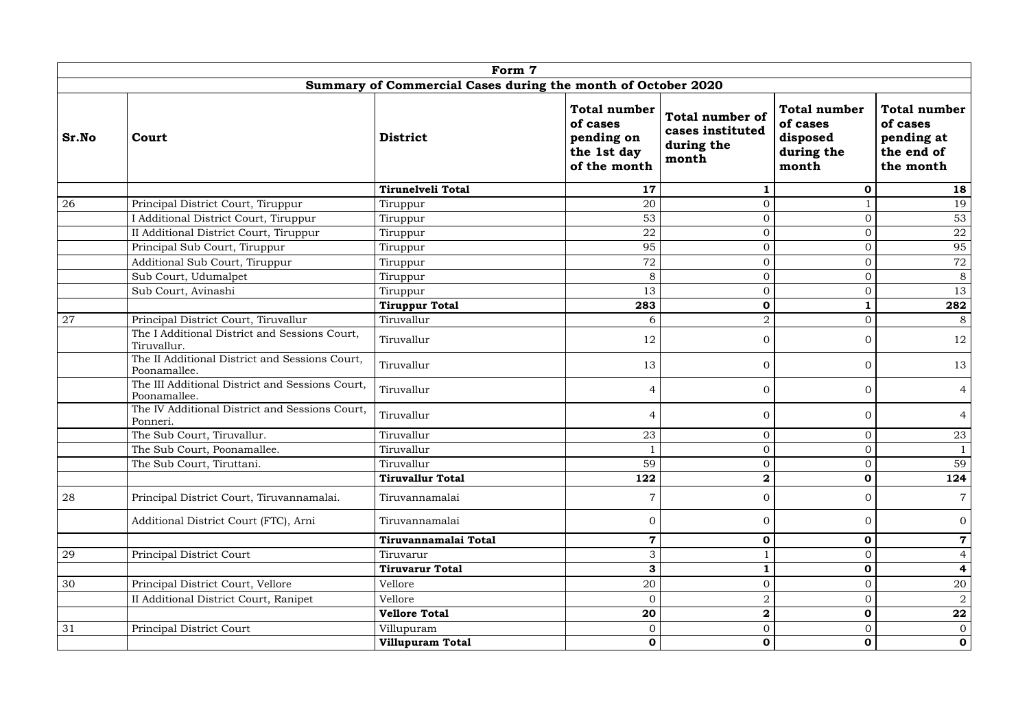|       | Form 7<br>Summary of Commercial Cases during the month of October 2020 |                          |                                                                              |                                                                   |                                                                    |                                                                          |  |  |  |  |
|-------|------------------------------------------------------------------------|--------------------------|------------------------------------------------------------------------------|-------------------------------------------------------------------|--------------------------------------------------------------------|--------------------------------------------------------------------------|--|--|--|--|
|       |                                                                        |                          |                                                                              |                                                                   |                                                                    |                                                                          |  |  |  |  |
| Sr.No | Court                                                                  | <b>District</b>          | <b>Total number</b><br>of cases<br>pending on<br>the 1st day<br>of the month | <b>Total number of</b><br>cases instituted<br>during the<br>month | <b>Total number</b><br>of cases<br>disposed<br>during the<br>month | <b>Total number</b><br>of cases<br>pending at<br>the end of<br>the month |  |  |  |  |
|       |                                                                        | <b>Tirunelveli Total</b> | 17                                                                           |                                                                   | $\mathbf 0$                                                        | 18                                                                       |  |  |  |  |
| 26    | Principal District Court, Tiruppur                                     | Tiruppur                 | 20                                                                           | $\mathbf 0$                                                       |                                                                    | 19                                                                       |  |  |  |  |
|       | I Additional District Court, Tiruppur                                  | Tiruppur                 | 53                                                                           | $\overline{0}$                                                    | $\mathbf{0}$                                                       | 53                                                                       |  |  |  |  |
|       | II Additional District Court, Tiruppur                                 | Tiruppur                 | 22                                                                           | $\overline{0}$                                                    | $\mathbf{0}$                                                       | 22                                                                       |  |  |  |  |
|       | Principal Sub Court, Tiruppur                                          | Tiruppur                 | 95                                                                           | $\mathbf 0$                                                       | $\overline{0}$                                                     | 95                                                                       |  |  |  |  |
|       | Additional Sub Court, Tiruppur                                         | Tiruppur                 | 72                                                                           | $\overline{O}$                                                    | $\mathbf{0}$                                                       | 72                                                                       |  |  |  |  |
|       | Sub Court, Udumalpet                                                   | Tiruppur                 | 8                                                                            | $\boldsymbol{0}$                                                  | $\mathbf 0$                                                        | 8                                                                        |  |  |  |  |
|       | Sub Court, Avinashi                                                    | Tiruppur                 | 13                                                                           | $\overline{0}$                                                    | $\mathbf{0}$                                                       | 13                                                                       |  |  |  |  |
|       |                                                                        | <b>Tiruppur Total</b>    | 283                                                                          | $\mathbf 0$                                                       |                                                                    | 282                                                                      |  |  |  |  |
| 27    | Principal District Court, Tiruvallur                                   | Tiruvallur               | 6                                                                            | $\overline{2}$                                                    | $\overline{0}$                                                     | 8                                                                        |  |  |  |  |
|       | The I Additional District and Sessions Court,<br>Tiruvallur.           | Tiruvallur               | 12                                                                           | $\mathbf{0}$                                                      | $\overline{0}$                                                     | 12                                                                       |  |  |  |  |
|       | The II Additional District and Sessions Court,<br>Poonamallee.         | Tiruvallur               | 13                                                                           | $\overline{O}$                                                    | $\overline{0}$                                                     | 13                                                                       |  |  |  |  |
|       | The III Additional District and Sessions Court,<br>Poonamallee.        | Tiruvallur               | 4                                                                            | $\boldsymbol{0}$                                                  | $\overline{0}$                                                     | $\overline{4}$                                                           |  |  |  |  |
|       | The IV Additional District and Sessions Court,<br>Ponneri.             | Tiruvallur               | 4                                                                            | $\overline{0}$                                                    | $\overline{0}$                                                     | 4                                                                        |  |  |  |  |
|       | The Sub Court, Tiruvallur.                                             | Tiruvallur               | 23                                                                           | $\overline{0}$                                                    | $\overline{0}$                                                     | 23                                                                       |  |  |  |  |
|       | The Sub Court, Poonamallee.                                            | Tiruvallur               |                                                                              | $\cup$                                                            | $\overline{O}$                                                     | $\mathbf{1}$                                                             |  |  |  |  |
|       | The Sub Court, Tiruttani.                                              | Tiruvallur               | 59                                                                           | $\overline{0}$                                                    | $\mathbf{0}$                                                       | 59                                                                       |  |  |  |  |
|       |                                                                        | <b>Tiruvallur Total</b>  | 122                                                                          | $\boldsymbol{2}$                                                  | $\mathbf 0$                                                        | 124                                                                      |  |  |  |  |
| 28    | Principal District Court, Tiruvannamalai.                              | Tiruvannamalai           | 7                                                                            | $\boldsymbol{0}$                                                  | $\overline{0}$                                                     | $\overline{7}$                                                           |  |  |  |  |
|       | Additional District Court (FTC), Arni                                  | Tiruvannamalai           | $\overline{0}$                                                               | $\mathbf{0}$                                                      | $\overline{0}$                                                     | $\overline{0}$                                                           |  |  |  |  |
|       |                                                                        | Tiruvannamalai Total     | 7                                                                            | 0                                                                 | $\mathbf 0$                                                        | $\mathbf 7$                                                              |  |  |  |  |
| 29    | Principal District Court                                               | Tiruvarur                | 3                                                                            |                                                                   | $\mathbf{0}$                                                       | $\overline{4}$                                                           |  |  |  |  |
|       |                                                                        | <b>Tiruvarur Total</b>   | 3                                                                            |                                                                   | $\mathbf 0$                                                        | $\overline{\mathbf{4}}$                                                  |  |  |  |  |
| 30    | Principal District Court, Vellore                                      | Vellore                  | 20                                                                           | $\boldsymbol{0}$                                                  | $\mathbf{0}$                                                       | 20                                                                       |  |  |  |  |
|       | II Additional District Court, Ranipet                                  | Vellore                  | $\Omega$                                                                     | $\overline{2}$                                                    | $\mathbf{0}$                                                       | $\overline{2}$                                                           |  |  |  |  |
|       |                                                                        | <b>Vellore Total</b>     | 20                                                                           | $\mathbf 2$                                                       | $\mathbf 0$                                                        | 22                                                                       |  |  |  |  |
| 31    | Principal District Court                                               | Villupuram               | $\overline{0}$                                                               | $\boldsymbol{0}$                                                  | $\mathbf{0}$                                                       | $\overline{0}$                                                           |  |  |  |  |
|       |                                                                        | <b>Villupuram Total</b>  | $\mathbf 0$                                                                  | $\mathbf 0$                                                       | $\mathbf 0$                                                        | $\mathbf 0$                                                              |  |  |  |  |